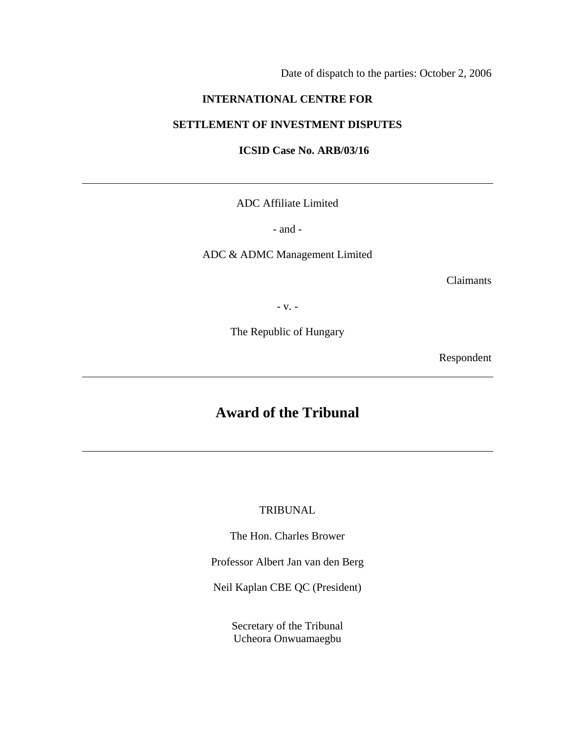Date of dispatch to the parties: October 2, 2006

#### **INTERNATIONAL CENTRE FOR**

#### **SETTLEMENT OF INVESTMENT DISPUTES**

**ICSID Case No. ARB/03/16**

#### ADC Affiliate Limited

- and -

ADC & ADMC Management Limited

Claimants

- v. -

The Republic of Hungary

Respondent

# **Award of the Tribunal**

TRIBUNAL

The Hon. Charles Brower

Professor Albert Jan van den Berg

Neil Kaplan CBE QC (President)

Secretary of the Tribunal Ucheora Onwuamaegbu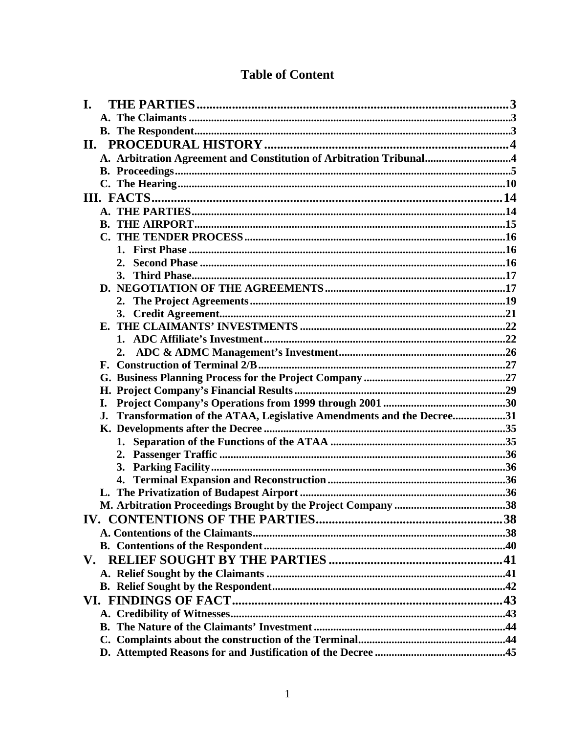# **Table of Content**

| I. |                                                                           |  |  |  |
|----|---------------------------------------------------------------------------|--|--|--|
|    |                                                                           |  |  |  |
|    |                                                                           |  |  |  |
|    |                                                                           |  |  |  |
|    | A. Arbitration Agreement and Constitution of Arbitration Tribunal4        |  |  |  |
|    |                                                                           |  |  |  |
|    |                                                                           |  |  |  |
|    |                                                                           |  |  |  |
|    |                                                                           |  |  |  |
|    |                                                                           |  |  |  |
|    |                                                                           |  |  |  |
|    |                                                                           |  |  |  |
|    |                                                                           |  |  |  |
|    |                                                                           |  |  |  |
|    |                                                                           |  |  |  |
|    |                                                                           |  |  |  |
|    |                                                                           |  |  |  |
|    |                                                                           |  |  |  |
|    |                                                                           |  |  |  |
|    |                                                                           |  |  |  |
|    | F.                                                                        |  |  |  |
|    |                                                                           |  |  |  |
|    |                                                                           |  |  |  |
|    | I.                                                                        |  |  |  |
|    | Transformation of the ATAA, Legislative Amendments and the Decree31<br>J. |  |  |  |
|    |                                                                           |  |  |  |
|    |                                                                           |  |  |  |
|    |                                                                           |  |  |  |
|    | 3.                                                                        |  |  |  |
|    |                                                                           |  |  |  |
|    |                                                                           |  |  |  |
|    |                                                                           |  |  |  |
|    |                                                                           |  |  |  |
|    |                                                                           |  |  |  |
|    |                                                                           |  |  |  |
|    |                                                                           |  |  |  |
|    |                                                                           |  |  |  |
|    |                                                                           |  |  |  |
|    |                                                                           |  |  |  |
|    |                                                                           |  |  |  |
|    |                                                                           |  |  |  |
|    |                                                                           |  |  |  |
|    |                                                                           |  |  |  |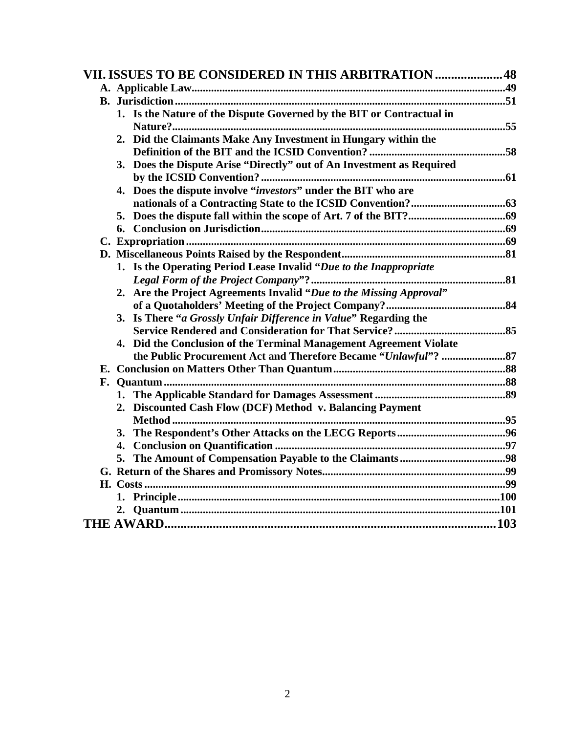| VII. ISSUES TO BE CONSIDERED IN THIS ARBITRATION 48                   |  |
|-----------------------------------------------------------------------|--|
|                                                                       |  |
|                                                                       |  |
| 1. Is the Nature of the Dispute Governed by the BIT or Contractual in |  |
|                                                                       |  |
| 2. Did the Claimants Make Any Investment in Hungary within the        |  |
|                                                                       |  |
| 3. Does the Dispute Arise "Directly" out of An Investment as Required |  |
|                                                                       |  |
| 4. Does the dispute involve "investors" under the BIT who are         |  |
|                                                                       |  |
|                                                                       |  |
| 6.                                                                    |  |
|                                                                       |  |
|                                                                       |  |
| 1. Is the Operating Period Lease Invalid "Due to the Inappropriate"   |  |
|                                                                       |  |
| 2. Are the Project Agreements Invalid "Due to the Missing Approval"   |  |
|                                                                       |  |
| 3. Is There "a Grossly Unfair Difference in Value" Regarding the      |  |
|                                                                       |  |
| 4. Did the Conclusion of the Terminal Management Agreement Violate    |  |
|                                                                       |  |
|                                                                       |  |
|                                                                       |  |
|                                                                       |  |
|                                                                       |  |
| 2. Discounted Cash Flow (DCF) Method v. Balancing Payment             |  |
|                                                                       |  |
| 3.                                                                    |  |
| 4.                                                                    |  |
|                                                                       |  |
|                                                                       |  |
|                                                                       |  |
|                                                                       |  |
|                                                                       |  |
|                                                                       |  |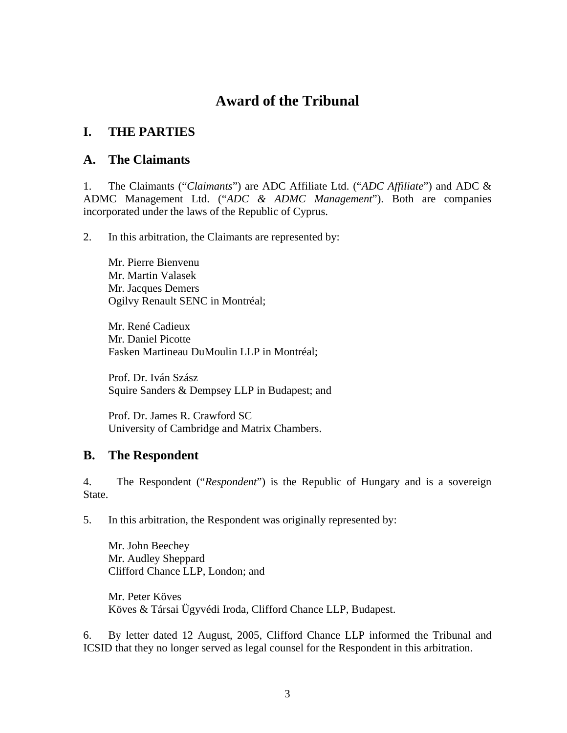# **Award of the Tribunal**

## <span id="page-3-0"></span>**I. THE PARTIES**

### **A. The Claimants**

1. The Claimants ("*Claimants*") are ADC Affiliate Ltd. ("*ADC Affiliate*") and ADC & ADMC Management Ltd. ("*ADC & ADMC Management*"). Both are companies incorporated under the laws of the Republic of Cyprus.

2. In this arbitration, the Claimants are represented by:

Mr. Pierre Bienvenu Mr. Martin Valasek Mr. Jacques Demers Ogilvy Renault SENC in Montréal;

Mr. René Cadieux Mr. Daniel Picotte Fasken Martineau DuMoulin LLP in Montréal;

Prof. Dr. Iván Szász Squire Sanders & Dempsey LLP in Budapest; and

Prof. Dr. James R. Crawford SC University of Cambridge and Matrix Chambers.

## **B. The Respondent**

4. The Respondent ("*Respondent*") is the Republic of Hungary and is a sovereign State.

5. In this arbitration, the Respondent was originally represented by:

Mr. John Beechey Mr. Audley Sheppard Clifford Chance LLP, London; and

Mr. Peter Köves Köves & Társai Ügyvédi Iroda, Clifford Chance LLP, Budapest.

6. By letter dated 12 August, 2005, Clifford Chance LLP informed the Tribunal and ICSID that they no longer served as legal counsel for the Respondent in this arbitration.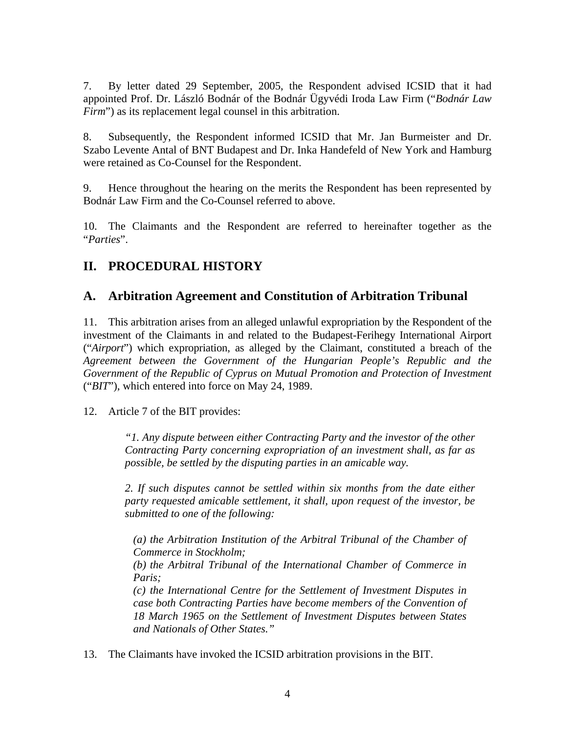<span id="page-4-0"></span>7. By letter dated 29 September, 2005, the Respondent advised ICSID that it had appointed Prof. Dr. László Bodnár of the Bodnár Ügyvédi Iroda Law Firm ("*Bodnár Law Firm*") as its replacement legal counsel in this arbitration.

8. Subsequently, the Respondent informed ICSID that Mr. Jan Burmeister and Dr. Szabo Levente Antal of BNT Budapest and Dr. Inka Handefeld of New York and Hamburg were retained as Co-Counsel for the Respondent.

9. Hence throughout the hearing on the merits the Respondent has been represented by Bodnár Law Firm and the Co-Counsel referred to above.

10. The Claimants and the Respondent are referred to hereinafter together as the "*Parties*".

# **II. PROCEDURAL HISTORY**

# **A. Arbitration Agreement and Constitution of Arbitration Tribunal**

11. This arbitration arises from an alleged unlawful expropriation by the Respondent of the investment of the Claimants in and related to the Budapest-Ferihegy International Airport ("*Airport*") which expropriation, as alleged by the Claimant, constituted a breach of the *Agreement between the Government of the Hungarian People's Republic and the Government of the Republic of Cyprus on Mutual Promotion and Protection of Investment* ("*BIT*"), which entered into force on May 24, 1989.

12. Article 7 of the BIT provides:

*"1. Any dispute between either Contracting Party and the investor of the other Contracting Party concerning expropriation of an investment shall, as far as possible, be settled by the disputing parties in an amicable way.* 

2. If such disputes cannot be settled within six months from the date either *party requested amicable settlement, it shall, upon request of the investor, be submitted to one of the following:* 

*(a) the Arbitration Institution of the Arbitral Tribunal of the Chamber of Commerce in Stockholm; (b) the Arbitral Tribunal of the International Chamber of Commerce in Paris; (c) the International Centre for the Settlement of Investment Disputes in case both Contracting Parties have become members of the Convention of 18 March 1965 on the Settlement of Investment Disputes between States and Nationals of Other States."* 

13. The Claimants have invoked the ICSID arbitration provisions in the BIT.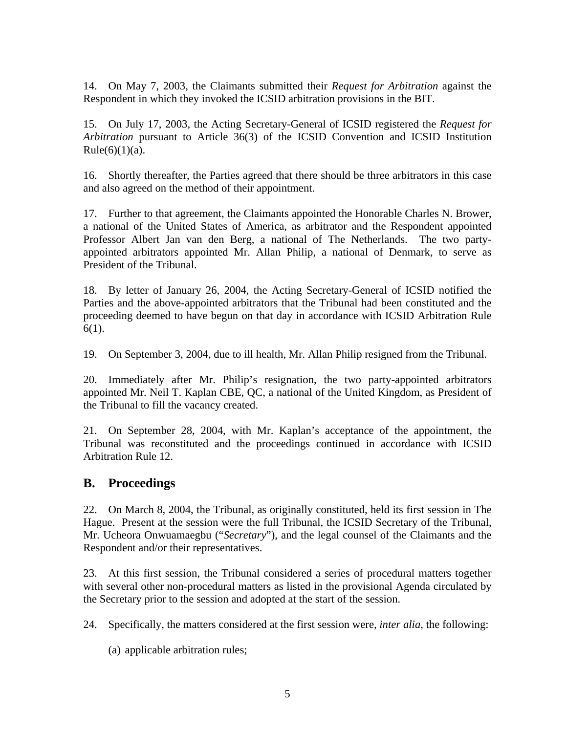<span id="page-5-0"></span>14. On May 7, 2003, the Claimants submitted their *Request for Arbitration* against the Respondent in which they invoked the ICSID arbitration provisions in the BIT.

15. On July 17, 2003, the Acting Secretary-General of ICSID registered the *Request for Arbitration* pursuant to Article 36(3) of the ICSID Convention and ICSID Institution  $Rule(6)(1)(a).$ 

16. Shortly thereafter, the Parties agreed that there should be three arbitrators in this case and also agreed on the method of their appointment.

17. Further to that agreement, the Claimants appointed the Honorable Charles N. Brower, a national of the United States of America, as arbitrator and the Respondent appointed Professor Albert Jan van den Berg, a national of The Netherlands. The two partyappointed arbitrators appointed Mr. Allan Philip, a national of Denmark, to serve as President of the Tribunal.

18. By letter of January 26, 2004, the Acting Secretary-General of ICSID notified the Parties and the above-appointed arbitrators that the Tribunal had been constituted and the proceeding deemed to have begun on that day in accordance with ICSID Arbitration Rule 6(1).

19. On September 3, 2004, due to ill health, Mr. Allan Philip resigned from the Tribunal.

20. Immediately after Mr. Philip's resignation, the two party-appointed arbitrators appointed Mr. Neil T. Kaplan CBE, QC, a national of the United Kingdom, as President of the Tribunal to fill the vacancy created.

21. On September 28, 2004, with Mr. Kaplan's acceptance of the appointment, the Tribunal was reconstituted and the proceedings continued in accordance with ICSID Arbitration Rule 12.

## **B. Proceedings**

22. On March 8, 2004, the Tribunal, as originally constituted, held its first session in The Hague. Present at the session were the full Tribunal, the ICSID Secretary of the Tribunal, Mr. Ucheora Onwuamaegbu ("*Secretary*"), and the legal counsel of the Claimants and the Respondent and/or their representatives.

23. At this first session, the Tribunal considered a series of procedural matters together with several other non-procedural matters as listed in the provisional Agenda circulated by the Secretary prior to the session and adopted at the start of the session.

24. Specifically, the matters considered at the first session were, *inter alia*, the following:

(a) applicable arbitration rules;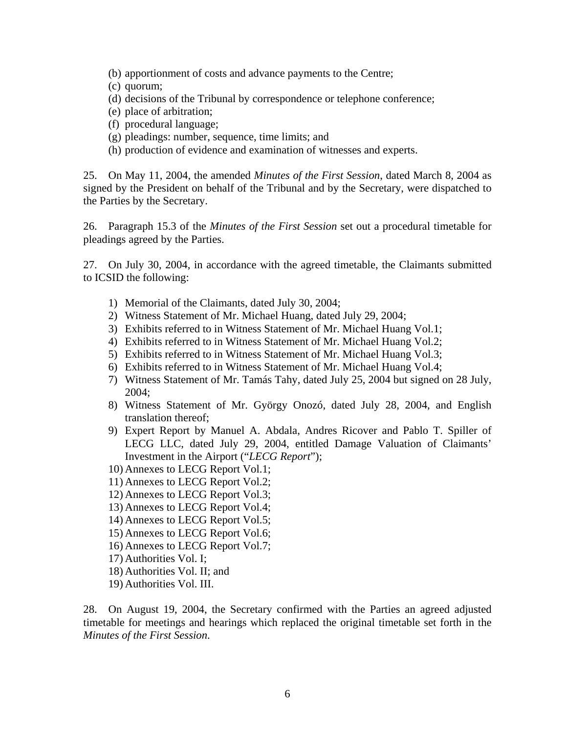- (b) apportionment of costs and advance payments to the Centre;
- (c) quorum;
- (d) decisions of the Tribunal by correspondence or telephone conference;
- (e) place of arbitration;
- (f) procedural language;
- (g) pleadings: number, sequence, time limits; and
- (h) production of evidence and examination of witnesses and experts.

25. On May 11, 2004, the amended *Minutes of the First Session*, dated March 8, 2004 as signed by the President on behalf of the Tribunal and by the Secretary, were dispatched to the Parties by the Secretary.

26. Paragraph 15.3 of the *Minutes of the First Session* set out a procedural timetable for pleadings agreed by the Parties.

27. On July 30, 2004, in accordance with the agreed timetable, the Claimants submitted to ICSID the following:

- 1) Memorial of the Claimants, dated July 30, 2004;
- 2) Witness Statement of Mr. Michael Huang, dated July 29, 2004;
- 3) Exhibits referred to in Witness Statement of Mr. Michael Huang Vol.1;
- 4) Exhibits referred to in Witness Statement of Mr. Michael Huang Vol.2;
- 5) Exhibits referred to in Witness Statement of Mr. Michael Huang Vol.3;
- 6) Exhibits referred to in Witness Statement of Mr. Michael Huang Vol.4;
- 7) Witness Statement of Mr. Tamás Tahy, dated July 25, 2004 but signed on 28 July, 2004;
- 8) Witness Statement of Mr. György Onozó, dated July 28, 2004, and English translation thereof;
- 9) Expert Report by Manuel A. Abdala, Andres Ricover and Pablo T. Spiller of LECG LLC, dated July 29, 2004, entitled Damage Valuation of Claimants' Investment in the Airport ("*LECG Report*");
- 10) Annexes to LECG Report Vol.1;
- 11) Annexes to LECG Report Vol.2;
- 12) Annexes to LECG Report Vol.3;
- 13) Annexes to LECG Report Vol.4;
- 14) Annexes to LECG Report Vol.5;
- 15) Annexes to LECG Report Vol.6;
- 16) Annexes to LECG Report Vol.7;
- 17) Authorities Vol. I;
- 18) Authorities Vol. II; and
- 19) Authorities Vol. III.

28. On August 19, 2004, the Secretary confirmed with the Parties an agreed adjusted timetable for meetings and hearings which replaced the original timetable set forth in the *Minutes of the First Session*.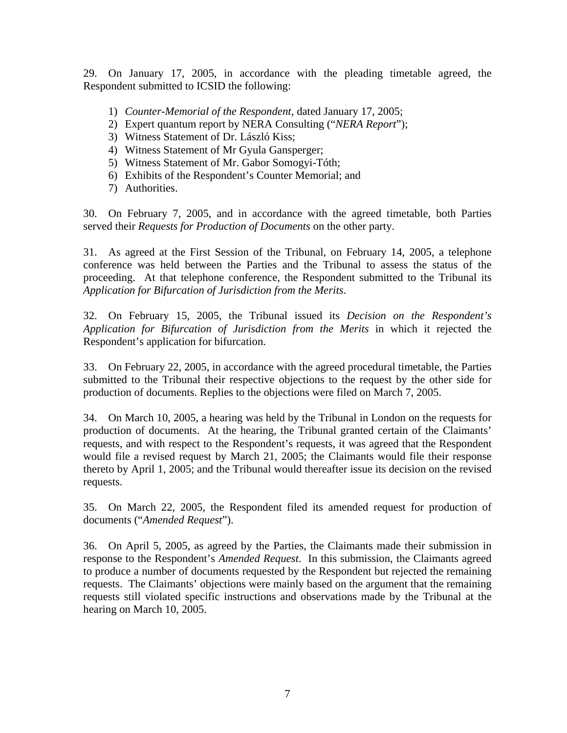29. On January 17, 2005, in accordance with the pleading timetable agreed, the Respondent submitted to ICSID the following:

- 1) *Counter-Memorial of the Respondent*, dated January 17, 2005;
- 2) Expert quantum report by NERA Consulting ("*NERA Report*");
- 3) Witness Statement of Dr. László Kiss;
- 4) Witness Statement of Mr Gyula Gansperger;
- 5) Witness Statement of Mr. Gabor Somogyi-Tóth;
- 6) Exhibits of the Respondent's Counter Memorial; and
- 7) Authorities.

30. On February 7, 2005, and in accordance with the agreed timetable, both Parties served their *Requests for Production of Documents* on the other party.

31. As agreed at the First Session of the Tribunal, on February 14, 2005, a telephone conference was held between the Parties and the Tribunal to assess the status of the proceeding. At that telephone conference, the Respondent submitted to the Tribunal its *Application for Bifurcation of Jurisdiction from the Merits*.

32. On February 15, 2005, the Tribunal issued its *Decision on the Respondent's Application for Bifurcation of Jurisdiction from the Merits* in which it rejected the Respondent's application for bifurcation.

33. On February 22, 2005, in accordance with the agreed procedural timetable, the Parties submitted to the Tribunal their respective objections to the request by the other side for production of documents. Replies to the objections were filed on March 7, 2005.

34. On March 10, 2005, a hearing was held by the Tribunal in London on the requests for production of documents. At the hearing, the Tribunal granted certain of the Claimants' requests, and with respect to the Respondent's requests, it was agreed that the Respondent would file a revised request by March 21, 2005; the Claimants would file their response thereto by April 1, 2005; and the Tribunal would thereafter issue its decision on the revised requests.

35. On March 22, 2005, the Respondent filed its amended request for production of documents ("*Amended Request*").

36. On April 5, 2005, as agreed by the Parties, the Claimants made their submission in response to the Respondent's *Amended Request*. In this submission, the Claimants agreed to produce a number of documents requested by the Respondent but rejected the remaining requests. The Claimants' objections were mainly based on the argument that the remaining requests still violated specific instructions and observations made by the Tribunal at the hearing on March 10, 2005.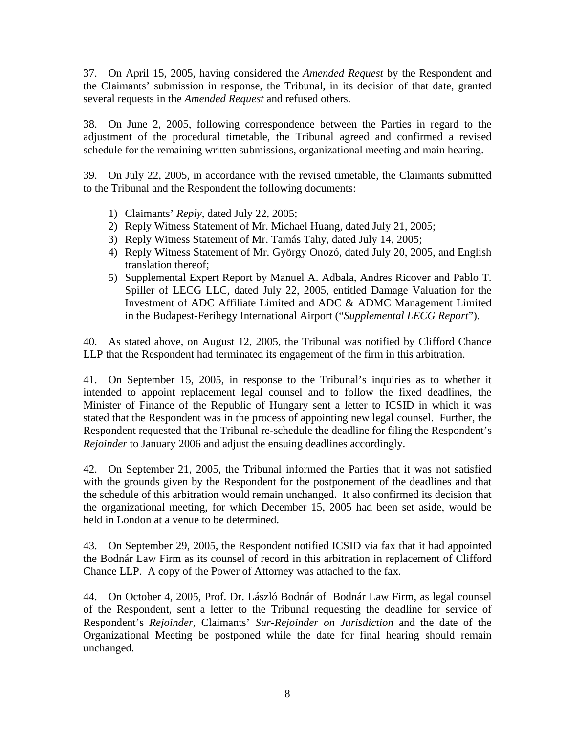37. On April 15, 2005, having considered the *Amended Request* by the Respondent and the Claimants' submission in response, the Tribunal, in its decision of that date, granted several requests in the *Amended Request* and refused others.

38. On June 2, 2005, following correspondence between the Parties in regard to the adjustment of the procedural timetable, the Tribunal agreed and confirmed a revised schedule for the remaining written submissions, organizational meeting and main hearing.

39. On July 22, 2005, in accordance with the revised timetable, the Claimants submitted to the Tribunal and the Respondent the following documents:

- 1) Claimants' *Reply*, dated July 22, 2005;
- 2) Reply Witness Statement of Mr. Michael Huang, dated July 21, 2005;
- 3) Reply Witness Statement of Mr. Tamás Tahy, dated July 14, 2005;
- 4) Reply Witness Statement of Mr. György Onozó, dated July 20, 2005, and English translation thereof;
- 5) Supplemental Expert Report by Manuel A. Adbala, Andres Ricover and Pablo T. Spiller of LECG LLC, dated July 22, 2005, entitled Damage Valuation for the Investment of ADC Affiliate Limited and ADC & ADMC Management Limited in the Budapest-Ferihegy International Airport ("*Supplemental LECG Report*").

40. As stated above, on August 12, 2005, the Tribunal was notified by Clifford Chance LLP that the Respondent had terminated its engagement of the firm in this arbitration.

41. On September 15, 2005, in response to the Tribunal's inquiries as to whether it intended to appoint replacement legal counsel and to follow the fixed deadlines, the Minister of Finance of the Republic of Hungary sent a letter to ICSID in which it was stated that the Respondent was in the process of appointing new legal counsel. Further, the Respondent requested that the Tribunal re-schedule the deadline for filing the Respondent's *Rejoinder* to January 2006 and adjust the ensuing deadlines accordingly.

42. On September 21, 2005, the Tribunal informed the Parties that it was not satisfied with the grounds given by the Respondent for the postponement of the deadlines and that the schedule of this arbitration would remain unchanged. It also confirmed its decision that the organizational meeting, for which December 15, 2005 had been set aside, would be held in London at a venue to be determined.

43. On September 29, 2005, the Respondent notified ICSID via fax that it had appointed the Bodnár Law Firm as its counsel of record in this arbitration in replacement of Clifford Chance LLP. A copy of the Power of Attorney was attached to the fax.

44. On October 4, 2005, Prof. Dr. László Bodnár of Bodnár Law Firm, as legal counsel of the Respondent, sent a letter to the Tribunal requesting the deadline for service of Respondent's *Rejoinder*, Claimants' *Sur-Rejoinder on Jurisdiction* and the date of the Organizational Meeting be postponed while the date for final hearing should remain unchanged.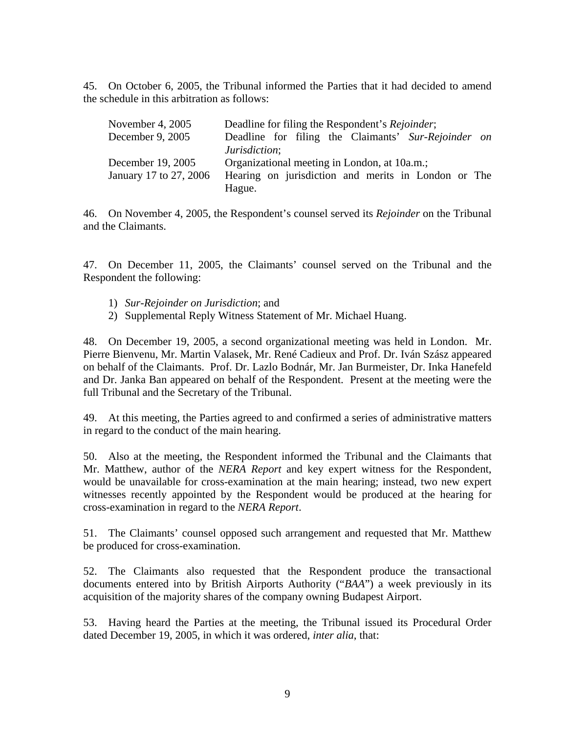45. On October 6, 2005, the Tribunal informed the Parties that it had decided to amend the schedule in this arbitration as follows:

| November 4, 2005       | Deadline for filing the Respondent's Rejoinder;     |  |  |  |
|------------------------|-----------------------------------------------------|--|--|--|
| December 9, 2005       | Deadline for filing the Claimants' Sur-Rejoinder on |  |  |  |
|                        | Jurisdiction;                                       |  |  |  |
| December 19, 2005      | Organizational meeting in London, at 10a.m.;        |  |  |  |
| January 17 to 27, 2006 | Hearing on jurisdiction and merits in London or The |  |  |  |
|                        | Hague.                                              |  |  |  |

46. On November 4, 2005, the Respondent's counsel served its *Rejoinder* on the Tribunal and the Claimants.

47. On December 11, 2005, the Claimants' counsel served on the Tribunal and the Respondent the following:

- 1) *Sur-Rejoinder on Jurisdiction*; and
- 2) Supplemental Reply Witness Statement of Mr. Michael Huang.

48. On December 19, 2005, a second organizational meeting was held in London. Mr. Pierre Bienvenu, Mr. Martin Valasek, Mr. René Cadieux and Prof. Dr. Iván Szász appeared on behalf of the Claimants. Prof. Dr. Lazlo Bodnár, Mr. Jan Burmeister, Dr. Inka Hanefeld and Dr. Janka Ban appeared on behalf of the Respondent. Present at the meeting were the full Tribunal and the Secretary of the Tribunal.

49. At this meeting, the Parties agreed to and confirmed a series of administrative matters in regard to the conduct of the main hearing.

50. Also at the meeting, the Respondent informed the Tribunal and the Claimants that Mr. Matthew, author of the *NERA Report* and key expert witness for the Respondent, would be unavailable for cross-examination at the main hearing; instead, two new expert witnesses recently appointed by the Respondent would be produced at the hearing for cross-examination in regard to the *NERA Report*.

51. The Claimants' counsel opposed such arrangement and requested that Mr. Matthew be produced for cross-examination.

52. The Claimants also requested that the Respondent produce the transactional documents entered into by British Airports Authority ("*BAA*") a week previously in its acquisition of the majority shares of the company owning Budapest Airport.

53. Having heard the Parties at the meeting, the Tribunal issued its Procedural Order dated December 19, 2005, in which it was ordered, *inter alia*, that: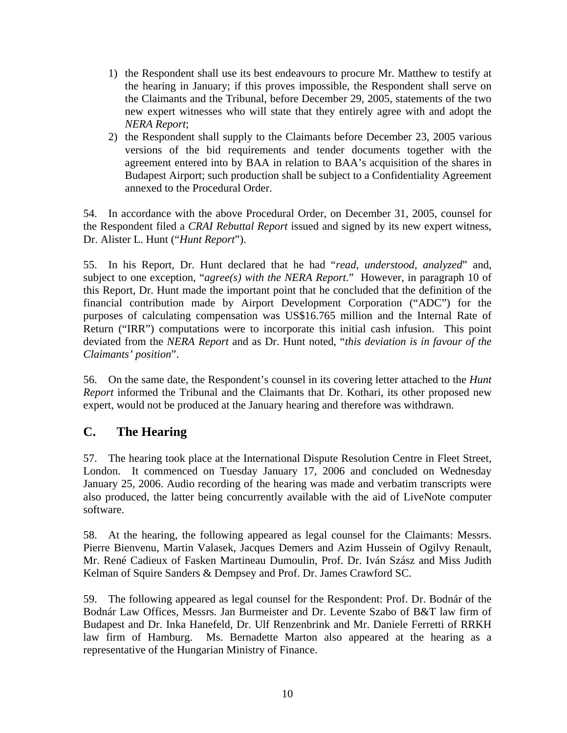- <span id="page-10-0"></span>1) the Respondent shall use its best endeavours to procure Mr. Matthew to testify at the hearing in January; if this proves impossible, the Respondent shall serve on the Claimants and the Tribunal, before December 29, 2005, statements of the two new expert witnesses who will state that they entirely agree with and adopt the *NERA Report*;
- 2) the Respondent shall supply to the Claimants before December 23, 2005 various versions of the bid requirements and tender documents together with the agreement entered into by BAA in relation to BAA's acquisition of the shares in Budapest Airport; such production shall be subject to a Confidentiality Agreement annexed to the Procedural Order.

54. In accordance with the above Procedural Order, on December 31, 2005, counsel for the Respondent filed a *CRAI Rebuttal Report* issued and signed by its new expert witness, Dr. Alister L. Hunt ("*Hunt Report*").

55. In his Report, Dr. Hunt declared that he had "*read, understood, analyzed*" and, subject to one exception, "*agree(s) with the NERA Report.*" However, in paragraph 10 of this Report, Dr. Hunt made the important point that he concluded that the definition of the financial contribution made by Airport Development Corporation ("ADC") for the purposes of calculating compensation was US\$16.765 million and the Internal Rate of Return ("IRR") computations were to incorporate this initial cash infusion. This point deviated from the *NERA Report* and as Dr. Hunt noted, "*this deviation is in favour of the Claimants' position*".

56. On the same date, the Respondent's counsel in its covering letter attached to the *Hunt Report* informed the Tribunal and the Claimants that Dr. Kothari, its other proposed new expert, would not be produced at the January hearing and therefore was withdrawn.

# **C. The Hearing**

57. The hearing took place at the International Dispute Resolution Centre in Fleet Street, London. It commenced on Tuesday January 17, 2006 and concluded on Wednesday January 25, 2006. Audio recording of the hearing was made and verbatim transcripts were also produced, the latter being concurrently available with the aid of LiveNote computer software.

58. At the hearing, the following appeared as legal counsel for the Claimants: Messrs. Pierre Bienvenu, Martin Valasek, Jacques Demers and Azim Hussein of Ogilvy Renault, Mr. René Cadieux of Fasken Martineau Dumoulin, Prof. Dr. Iván Szász and Miss Judith Kelman of Squire Sanders & Dempsey and Prof. Dr. James Crawford SC.

59. The following appeared as legal counsel for the Respondent: Prof. Dr. Bodnár of the Bodnár Law Offices, Messrs. Jan Burmeister and Dr. Levente Szabo of B&T law firm of Budapest and Dr. Inka Hanefeld, Dr. Ulf Renzenbrink and Mr. Daniele Ferretti of RRKH law firm of Hamburg. Ms. Bernadette Marton also appeared at the hearing as a representative of the Hungarian Ministry of Finance.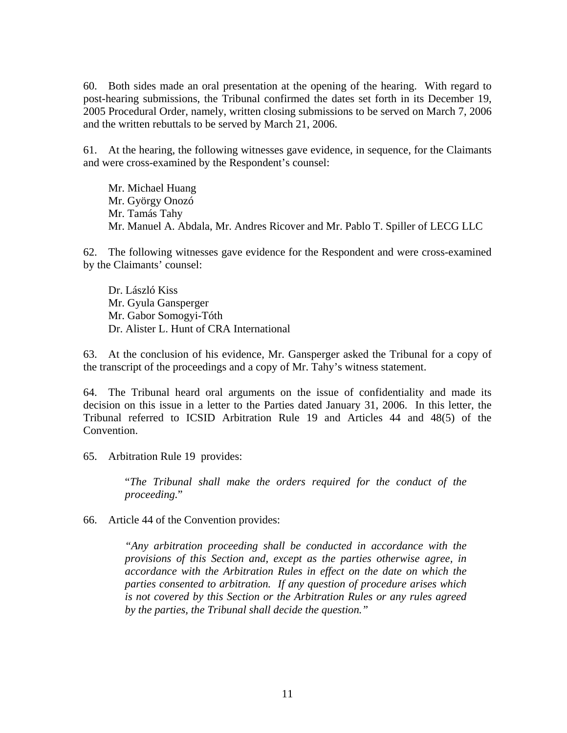60. Both sides made an oral presentation at the opening of the hearing. With regard to post-hearing submissions, the Tribunal confirmed the dates set forth in its December 19, 2005 Procedural Order, namely, written closing submissions to be served on March 7, 2006 and the written rebuttals to be served by March 21, 2006.

61. At the hearing, the following witnesses gave evidence, in sequence, for the Claimants and were cross-examined by the Respondent's counsel:

Mr. Michael Huang Mr. György Onozó Mr. Tamás Tahy Mr. Manuel A. Abdala, Mr. Andres Ricover and Mr. Pablo T. Spiller of LECG LLC

62. The following witnesses gave evidence for the Respondent and were cross-examined by the Claimants' counsel:

Dr. László Kiss Mr. Gyula Gansperger Mr. Gabor Somogyi-Tóth Dr. Alister L. Hunt of CRA International

63. At the conclusion of his evidence, Mr. Gansperger asked the Tribunal for a copy of the transcript of the proceedings and a copy of Mr. Tahy's witness statement.

64. The Tribunal heard oral arguments on the issue of confidentiality and made its decision on this issue in a letter to the Parties dated January 31, 2006. In this letter, the Tribunal referred to ICSID Arbitration Rule 19 and Articles 44 and 48(5) of the **Convention** 

65. Arbitration Rule 19 provides:

"*The Tribunal shall make the orders required for the conduct of the proceeding.*"

66. Article 44 of the Convention provides:

*"Any arbitration proceeding shall be conducted in accordance with the provisions of this Section and, except as the parties otherwise agree, in accordance with the Arbitration Rules in effect on the date on which the parties consented to arbitration. If any question of procedure arises which is not covered by this Section or the Arbitration Rules or any rules agreed by the parties, the Tribunal shall decide the question."*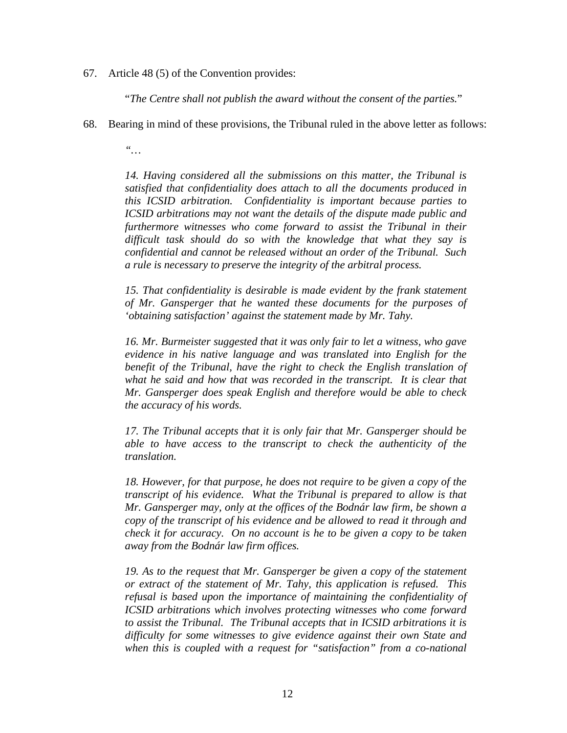67. Article 48 (5) of the Convention provides:

"*The Centre shall not publish the award without the consent of the parties.*"

- 68. Bearing in mind of these provisions, the Tribunal ruled in the above letter as follows:
	- *"…*

*14. Having considered all the submissions on this matter, the Tribunal is satisfied that confidentiality does attach to all the documents produced in this ICSID arbitration. Confidentiality is important because parties to ICSID arbitrations may not want the details of the dispute made public and furthermore witnesses who come forward to assist the Tribunal in their difficult task should do so with the knowledge that what they say is confidential and cannot be released without an order of the Tribunal. Such a rule is necessary to preserve the integrity of the arbitral process.* 

*15. That confidentiality is desirable is made evident by the frank statement of Mr. Gansperger that he wanted these documents for the purposes of 'obtaining satisfaction' against the statement made by Mr. Tahy.* 

*16. Mr. Burmeister suggested that it was only fair to let a witness, who gave evidence in his native language and was translated into English for the benefit of the Tribunal, have the right to check the English translation of what he said and how that was recorded in the transcript. It is clear that Mr. Gansperger does speak English and therefore would be able to check the accuracy of his words.* 

*17. The Tribunal accepts that it is only fair that Mr. Gansperger should be able to have access to the transcript to check the authenticity of the translation.* 

*18. However, for that purpose, he does not require to be given a copy of the transcript of his evidence. What the Tribunal is prepared to allow is that Mr. Gansperger may, only at the offices of the Bodnár law firm, be shown a copy of the transcript of his evidence and be allowed to read it through and check it for accuracy. On no account is he to be given a copy to be taken away from the Bodnár law firm offices.* 

*19. As to the request that Mr. Gansperger be given a copy of the statement or extract of the statement of Mr. Tahy, this application is refused. This refusal is based upon the importance of maintaining the confidentiality of ICSID arbitrations which involves protecting witnesses who come forward to assist the Tribunal. The Tribunal accepts that in ICSID arbitrations it is difficulty for some witnesses to give evidence against their own State and when this is coupled with a request for "satisfaction" from a co-national*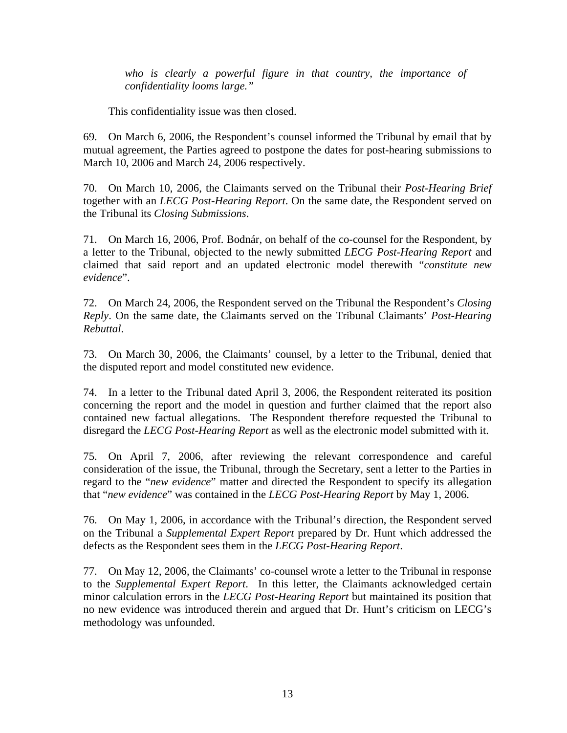*who is clearly a powerful figure in that country, the importance of confidentiality looms large."* 

This confidentiality issue was then closed.

69. On March 6, 2006, the Respondent's counsel informed the Tribunal by email that by mutual agreement, the Parties agreed to postpone the dates for post-hearing submissions to March 10, 2006 and March 24, 2006 respectively.

70. On March 10, 2006, the Claimants served on the Tribunal their *Post-Hearing Brief* together with an *LECG Post-Hearing Report*. On the same date, the Respondent served on the Tribunal its *Closing Submissions*.

71. On March 16, 2006, Prof. Bodnár, on behalf of the co-counsel for the Respondent, by a letter to the Tribunal, objected to the newly submitted *LECG Post-Hearing Report* and claimed that said report and an updated electronic model therewith "*constitute new evidence*".

72. On March 24, 2006, the Respondent served on the Tribunal the Respondent's *Closing Reply*. On the same date, the Claimants served on the Tribunal Claimants' *Post-Hearing Rebuttal*.

73. On March 30, 2006, the Claimants' counsel, by a letter to the Tribunal, denied that the disputed report and model constituted new evidence.

74. In a letter to the Tribunal dated April 3, 2006, the Respondent reiterated its position concerning the report and the model in question and further claimed that the report also contained new factual allegations. The Respondent therefore requested the Tribunal to disregard the *LECG Post-Hearing Report* as well as the electronic model submitted with it.

75. On April 7, 2006, after reviewing the relevant correspondence and careful consideration of the issue, the Tribunal, through the Secretary, sent a letter to the Parties in regard to the "*new evidence*" matter and directed the Respondent to specify its allegation that "*new evidence*" was contained in the *LECG Post-Hearing Report* by May 1, 2006.

76. On May 1, 2006, in accordance with the Tribunal's direction, the Respondent served on the Tribunal a *Supplemental Expert Report* prepared by Dr. Hunt which addressed the defects as the Respondent sees them in the *LECG Post-Hearing Report*.

77. On May 12, 2006, the Claimants' co-counsel wrote a letter to the Tribunal in response to the *Supplemental Expert Report*. In this letter, the Claimants acknowledged certain minor calculation errors in the *LECG Post-Hearing Report* but maintained its position that no new evidence was introduced therein and argued that Dr. Hunt's criticism on LECG's methodology was unfounded.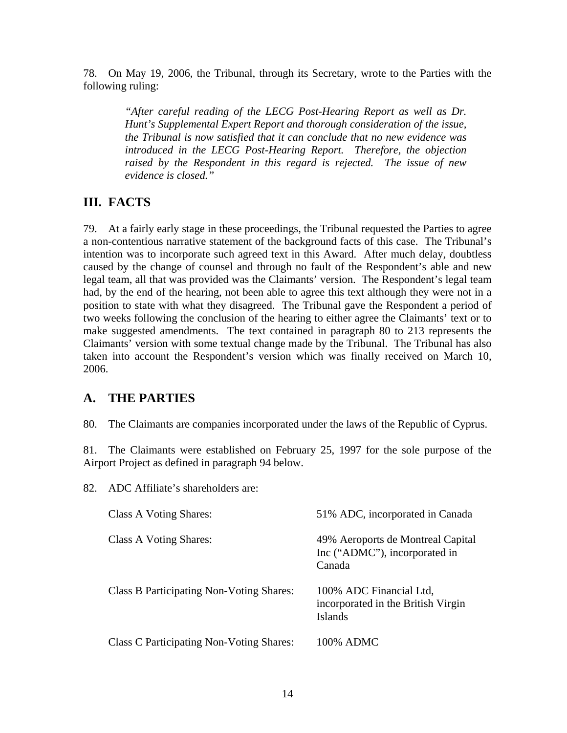<span id="page-14-0"></span>78. On May 19, 2006, the Tribunal, through its Secretary, wrote to the Parties with the following ruling:

> *"After careful reading of the LECG Post-Hearing Report as well as Dr. Hunt's Supplemental Expert Report and thorough consideration of the issue, the Tribunal is now satisfied that it can conclude that no new evidence was introduced in the LECG Post-Hearing Report. Therefore, the objection raised by the Respondent in this regard is rejected. The issue of new evidence is closed."*

# **III. FACTS**

79. At a fairly early stage in these proceedings, the Tribunal requested the Parties to agree a non-contentious narrative statement of the background facts of this case. The Tribunal's intention was to incorporate such agreed text in this Award. After much delay, doubtless caused by the change of counsel and through no fault of the Respondent's able and new legal team, all that was provided was the Claimants' version. The Respondent's legal team had, by the end of the hearing, not been able to agree this text although they were not in a position to state with what they disagreed. The Tribunal gave the Respondent a period of two weeks following the conclusion of the hearing to either agree the Claimants' text or to make suggested amendments. The text contained in paragraph 80 to 213 represents the Claimants' version with some textual change made by the Tribunal. The Tribunal has also taken into account the Respondent's version which was finally received on March 10, 2006.

## **A. THE PARTIES**

80. The Claimants are companies incorporated under the laws of the Republic of Cyprus.

81. The Claimants were established on February 25, 1997 for the sole purpose of the Airport Project as defined in paragraph 94 below.

82. ADC Affiliate's shareholders are:

| Class A Voting Shares:                   | 51% ADC, incorporated in Canada                                                 |
|------------------------------------------|---------------------------------------------------------------------------------|
| Class A Voting Shares:                   | 49% Aeroports de Montreal Capital<br>Inc ("ADMC"), incorporated in<br>Canada    |
| Class B Participating Non-Voting Shares: | 100% ADC Financial Ltd,<br>incorporated in the British Virgin<br><b>Islands</b> |
| Class C Participating Non-Voting Shares: | 100% ADMC                                                                       |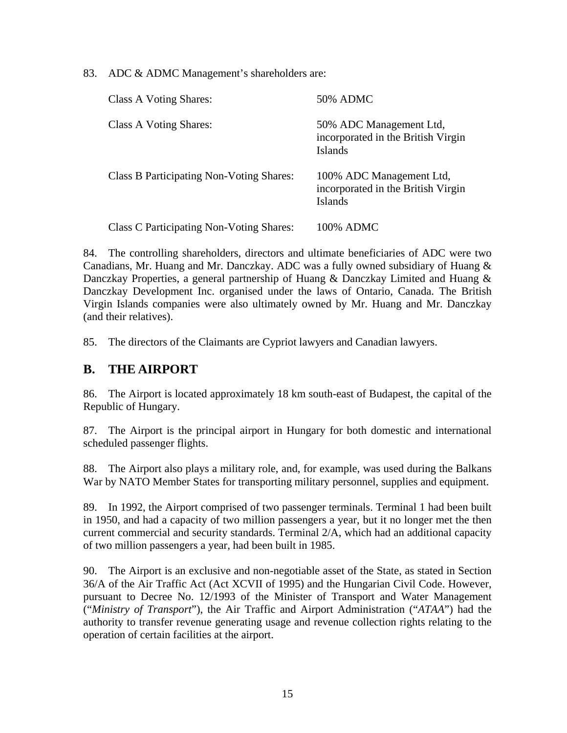<span id="page-15-0"></span>83. ADC & ADMC Management's shareholders are:

| Class A Voting Shares:                   | 50% ADMC                                                                         |
|------------------------------------------|----------------------------------------------------------------------------------|
| Class A Voting Shares:                   | 50% ADC Management Ltd,<br>incorporated in the British Virgin<br>Islands         |
| Class B Participating Non-Voting Shares: | 100% ADC Management Ltd,<br>incorporated in the British Virgin<br><b>Islands</b> |
| Class C Participating Non-Voting Shares: | 100% ADMC                                                                        |

84. The controlling shareholders, directors and ultimate beneficiaries of ADC were two Canadians, Mr. Huang and Mr. Danczkay. ADC was a fully owned subsidiary of Huang & Danczkay Properties, a general partnership of Huang & Danczkay Limited and Huang & Danczkay Development Inc. organised under the laws of Ontario, Canada. The British Virgin Islands companies were also ultimately owned by Mr. Huang and Mr. Danczkay (and their relatives).

85. The directors of the Claimants are Cypriot lawyers and Canadian lawyers.

## **B. THE AIRPORT**

86. The Airport is located approximately 18 km south-east of Budapest, the capital of the Republic of Hungary.

87. The Airport is the principal airport in Hungary for both domestic and international scheduled passenger flights.

88. The Airport also plays a military role, and, for example, was used during the Balkans War by NATO Member States for transporting military personnel, supplies and equipment.

89. In 1992, the Airport comprised of two passenger terminals. Terminal 1 had been built in 1950, and had a capacity of two million passengers a year, but it no longer met the then current commercial and security standards. Terminal 2/A, which had an additional capacity of two million passengers a year, had been built in 1985.

90. The Airport is an exclusive and non-negotiable asset of the State, as stated in Section 36/A of the Air Traffic Act (Act XCVII of 1995) and the Hungarian Civil Code. However, pursuant to Decree No. 12/1993 of the Minister of Transport and Water Management ("*Ministry of Transport*"), the Air Traffic and Airport Administration ("*ATAA*") had the authority to transfer revenue generating usage and revenue collection rights relating to the operation of certain facilities at the airport.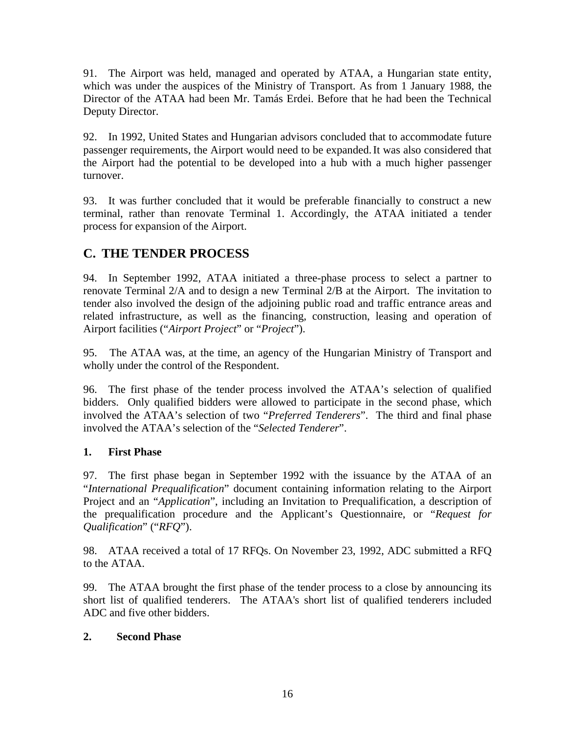<span id="page-16-0"></span>91. The Airport was held, managed and operated by ATAA, a Hungarian state entity, which was under the auspices of the Ministry of Transport. As from 1 January 1988, the Director of the ATAA had been Mr. Tamás Erdei. Before that he had been the Technical Deputy Director.

92. In 1992, United States and Hungarian advisors concluded that to accommodate future passenger requirements, the Airport would need to be expanded.It was also considered that the Airport had the potential to be developed into a hub with a much higher passenger turnover.

93. It was further concluded that it would be preferable financially to construct a new terminal, rather than renovate Terminal 1. Accordingly, the ATAA initiated a tender process for expansion of the Airport.

# **C. THE TENDER PROCESS**

94. In September 1992, ATAA initiated a three-phase process to select a partner to renovate Terminal 2/A and to design a new Terminal 2/B at the Airport. The invitation to tender also involved the design of the adjoining public road and traffic entrance areas and related infrastructure, as well as the financing, construction, leasing and operation of Airport facilities ("*Airport Project*" or "*Project*").

95. The ATAA was, at the time, an agency of the Hungarian Ministry of Transport and wholly under the control of the Respondent.

96. The first phase of the tender process involved the ATAA's selection of qualified bidders. Only qualified bidders were allowed to participate in the second phase, which involved the ATAA's selection of two "*Preferred Tenderers*". The third and final phase involved the ATAA's selection of the "*Selected Tenderer*".

## **1. First Phase**

97. The first phase began in September 1992 with the issuance by the ATAA of an "*International Prequalification*" document containing information relating to the Airport Project and an "*Application*", including an Invitation to Prequalification, a description of the prequalification procedure and the Applicant's Questionnaire, or "*Request for Qualification*" ("*RFQ*").

98. ATAA received a total of 17 RFQs. On November 23, 1992, ADC submitted a RFQ to the ATAA.

99. The ATAA brought the first phase of the tender process to a close by announcing its short list of qualified tenderers. The ATAA's short list of qualified tenderers included ADC and five other bidders.

#### **2. Second Phase**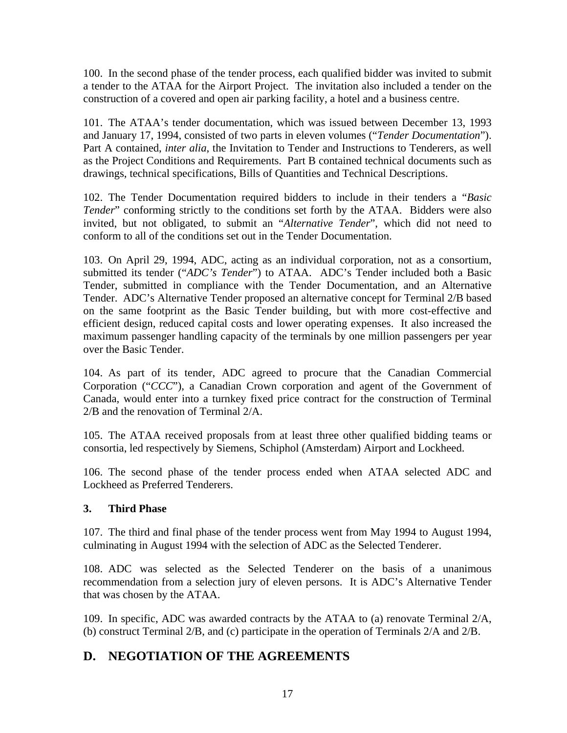<span id="page-17-0"></span>100. In the second phase of the tender process, each qualified bidder was invited to submit a tender to the ATAA for the Airport Project. The invitation also included a tender on the construction of a covered and open air parking facility, a hotel and a business centre.

101. The ATAA's tender documentation, which was issued between December 13, 1993 and January 17, 1994, consisted of two parts in eleven volumes ("*Tender Documentation*"). Part A contained, *inter alia*, the Invitation to Tender and Instructions to Tenderers, as well as the Project Conditions and Requirements. Part B contained technical documents such as drawings, technical specifications, Bills of Quantities and Technical Descriptions.

102. The Tender Documentation required bidders to include in their tenders a "*Basic Tender*" conforming strictly to the conditions set forth by the ATAA. Bidders were also invited, but not obligated, to submit an "*Alternative Tender*", which did not need to conform to all of the conditions set out in the Tender Documentation.

103. On April 29, 1994, ADC, acting as an individual corporation, not as a consortium, submitted its tender ("*ADC's Tender*") to ATAA. ADC's Tender included both a Basic Tender, submitted in compliance with the Tender Documentation, and an Alternative Tender. ADC's Alternative Tender proposed an alternative concept for Terminal 2/B based on the same footprint as the Basic Tender building, but with more cost-effective and efficient design, reduced capital costs and lower operating expenses. It also increased the maximum passenger handling capacity of the terminals by one million passengers per year over the Basic Tender.

104. As part of its tender, ADC agreed to procure that the Canadian Commercial Corporation ("*CCC*"), a Canadian Crown corporation and agent of the Government of Canada, would enter into a turnkey fixed price contract for the construction of Terminal 2/B and the renovation of Terminal 2/A.

105. The ATAA received proposals from at least three other qualified bidding teams or consortia, led respectively by Siemens, Schiphol (Amsterdam) Airport and Lockheed.

106. The second phase of the tender process ended when ATAA selected ADC and Lockheed as Preferred Tenderers.

#### **3. Third Phase**

107. The third and final phase of the tender process went from May 1994 to August 1994, culminating in August 1994 with the selection of ADC as the Selected Tenderer.

108. ADC was selected as the Selected Tenderer on the basis of a unanimous recommendation from a selection jury of eleven persons. It is ADC's Alternative Tender that was chosen by the ATAA.

109. In specific, ADC was awarded contracts by the ATAA to (a) renovate Terminal 2/A, (b) construct Terminal 2/B, and (c) participate in the operation of Terminals 2/A and 2/B.

# **D. NEGOTIATION OF THE AGREEMENTS**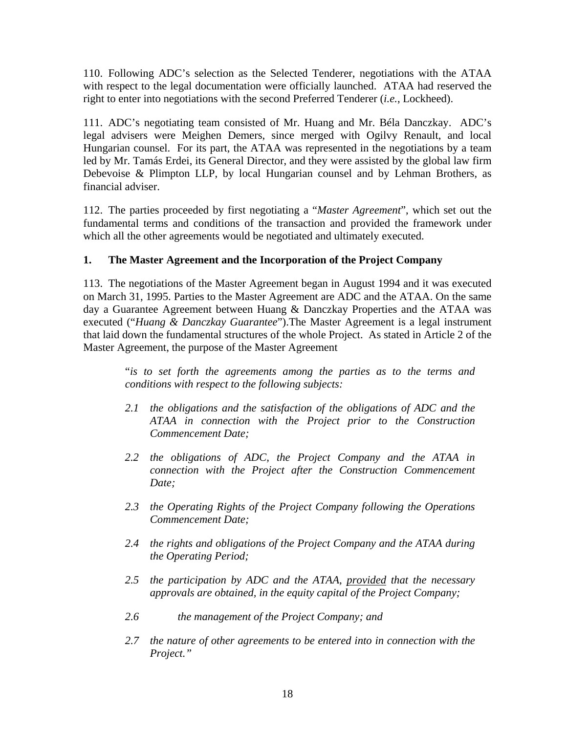110. Following ADC's selection as the Selected Tenderer, negotiations with the ATAA with respect to the legal documentation were officially launched. ATAA had reserved the right to enter into negotiations with the second Preferred Tenderer (*i.e.*, Lockheed).

111. ADC's negotiating team consisted of Mr. Huang and Mr. Béla Danczkay. ADC's legal advisers were Meighen Demers, since merged with Ogilvy Renault, and local Hungarian counsel. For its part, the ATAA was represented in the negotiations by a team led by Mr. Tamás Erdei, its General Director, and they were assisted by the global law firm Debevoise & Plimpton LLP, by local Hungarian counsel and by Lehman Brothers, as financial adviser.

112. The parties proceeded by first negotiating a "*Master Agreement*", which set out the fundamental terms and conditions of the transaction and provided the framework under which all the other agreements would be negotiated and ultimately executed.

#### **1. The Master Agreement and the Incorporation of the Project Company**

113. The negotiations of the Master Agreement began in August 1994 and it was executed on March 31, 1995. Parties to the Master Agreement are ADC and the ATAA. On the same day a Guarantee Agreement between Huang & Danczkay Properties and the ATAA was executed ("*Huang & Danczkay Guarantee*").The Master Agreement is a legal instrument that laid down the fundamental structures of the whole Project. As stated in Article 2 of the Master Agreement, the purpose of the Master Agreement

> "*is to set forth the agreements among the parties as to the terms and conditions with respect to the following subjects:*

- *2.1 the obligations and the satisfaction of the obligations of ADC and the ATAA in connection with the Project prior to the Construction Commencement Date;*
- *2.2 the obligations of ADC, the Project Company and the ATAA in connection with the Project after the Construction Commencement Date;*
- *2.3 the Operating Rights of the Project Company following the Operations Commencement Date;*
- *2.4 the rights and obligations of the Project Company and the ATAA during the Operating Period;*
- *2.5 the participation by ADC and the ATAA, provided that the necessary approvals are obtained, in the equity capital of the Project Company;*
- *2.6 the management of the Project Company; and*
- *2.7 the nature of other agreements to be entered into in connection with the Project."*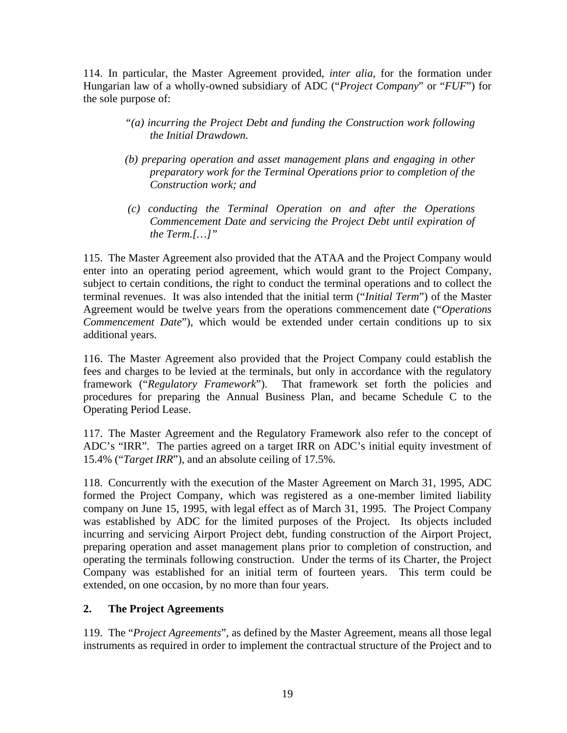<span id="page-19-0"></span>114. In particular, the Master Agreement provided, *inter alia*, for the formation under Hungarian law of a wholly-owned subsidiary of ADC ("*Project Company*" or "*FUF*") for the sole purpose of:

- *"(a) incurring the Project Debt and funding the Construction work following the Initial Drawdown.*
- *(b) preparing operation and asset management plans and engaging in other preparatory work for the Terminal Operations prior to completion of the Construction work; and*
- *(c) conducting the Terminal Operation on and after the Operations Commencement Date and servicing the Project Debt until expiration of the Term.[…]"*

115. The Master Agreement also provided that the ATAA and the Project Company would enter into an operating period agreement, which would grant to the Project Company, subject to certain conditions, the right to conduct the terminal operations and to collect the terminal revenues. It was also intended that the initial term ("*Initial Term*") of the Master Agreement would be twelve years from the operations commencement date ("*Operations Commencement Date*"), which would be extended under certain conditions up to six additional years.

116. The Master Agreement also provided that the Project Company could establish the fees and charges to be levied at the terminals, but only in accordance with the regulatory framework ("*Regulatory Framework*"). That framework set forth the policies and procedures for preparing the Annual Business Plan, and became Schedule C to the Operating Period Lease.

117. The Master Agreement and the Regulatory Framework also refer to the concept of ADC's "IRR". The parties agreed on a target IRR on ADC's initial equity investment of 15.4% ("*Target IRR*"), and an absolute ceiling of 17.5%.

118. Concurrently with the execution of the Master Agreement on March 31, 1995, ADC formed the Project Company, which was registered as a one-member limited liability company on June 15, 1995, with legal effect as of March 31, 1995. The Project Company was established by ADC for the limited purposes of the Project. Its objects included incurring and servicing Airport Project debt, funding construction of the Airport Project, preparing operation and asset management plans prior to completion of construction, and operating the terminals following construction. Under the terms of its Charter, the Project Company was established for an initial term of fourteen years. This term could be extended, on one occasion, by no more than four years.

#### **2. The Project Agreements**

119. The "*Project Agreements*", as defined by the Master Agreement, means all those legal instruments as required in order to implement the contractual structure of the Project and to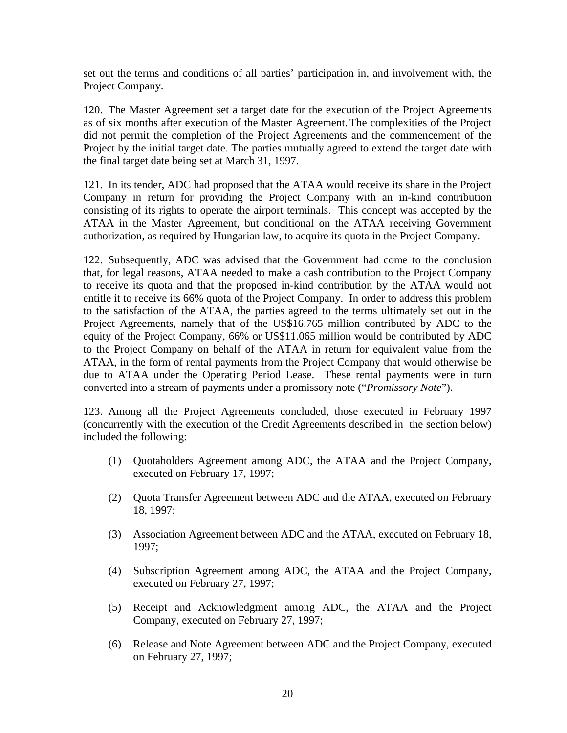set out the terms and conditions of all parties' participation in, and involvement with, the Project Company.

120. The Master Agreement set a target date for the execution of the Project Agreements as of six months after execution of the Master Agreement. The complexities of the Project did not permit the completion of the Project Agreements and the commencement of the Project by the initial target date. The parties mutually agreed to extend the target date with the final target date being set at March 31, 1997.

121. In its tender, ADC had proposed that the ATAA would receive its share in the Project Company in return for providing the Project Company with an in-kind contribution consisting of its rights to operate the airport terminals. This concept was accepted by the ATAA in the Master Agreement, but conditional on the ATAA receiving Government authorization, as required by Hungarian law, to acquire its quota in the Project Company.

122. Subsequently, ADC was advised that the Government had come to the conclusion that, for legal reasons, ATAA needed to make a cash contribution to the Project Company to receive its quota and that the proposed in-kind contribution by the ATAA would not entitle it to receive its 66% quota of the Project Company. In order to address this problem to the satisfaction of the ATAA, the parties agreed to the terms ultimately set out in the Project Agreements, namely that of the US\$16.765 million contributed by ADC to the equity of the Project Company, 66% or US\$11.065 million would be contributed by ADC to the Project Company on behalf of the ATAA in return for equivalent value from the ATAA, in the form of rental payments from the Project Company that would otherwise be due to ATAA under the Operating Period Lease. These rental payments were in turn converted into a stream of payments under a promissory note ("*Promissory Note*").

123. Among all the Project Agreements concluded, those executed in February 1997 (concurrently with the execution of the Credit Agreements described in the section below) included the following:

- (1) Quotaholders Agreement among ADC, the ATAA and the Project Company, executed on February 17, 1997;
- (2) Quota Transfer Agreement between ADC and the ATAA, executed on February 18, 1997;
- (3) Association Agreement between ADC and the ATAA, executed on February 18, 1997;
- (4) Subscription Agreement among ADC, the ATAA and the Project Company, executed on February 27, 1997;
- (5) Receipt and Acknowledgment among ADC, the ATAA and the Project Company, executed on February 27, 1997;
- (6) Release and Note Agreement between ADC and the Project Company, executed on February 27, 1997;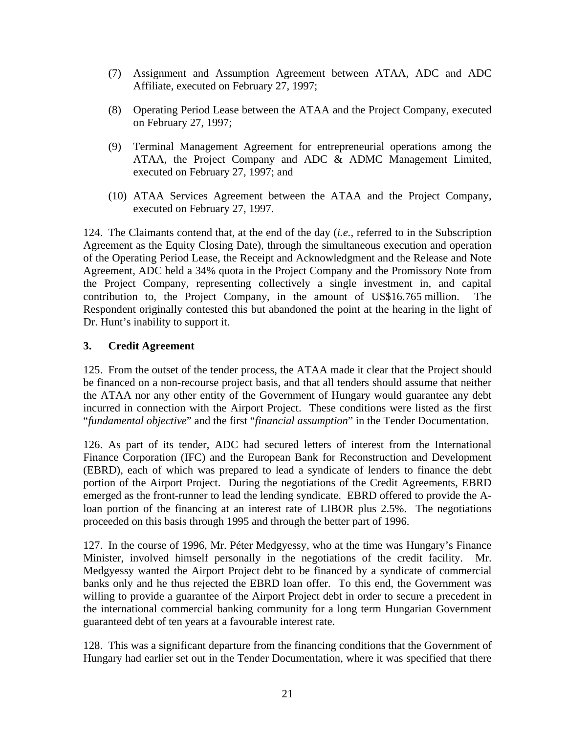- <span id="page-21-0"></span>(7) Assignment and Assumption Agreement between ATAA, ADC and ADC Affiliate, executed on February 27, 1997;
- (8) Operating Period Lease between the ATAA and the Project Company, executed on February 27, 1997;
- (9) Terminal Management Agreement for entrepreneurial operations among the ATAA, the Project Company and ADC & ADMC Management Limited, executed on February 27, 1997; and
- (10) ATAA Services Agreement between the ATAA and the Project Company, executed on February 27, 1997.

124. The Claimants contend that, at the end of the day (*i.e.*, referred to in the Subscription Agreement as the Equity Closing Date), through the simultaneous execution and operation of the Operating Period Lease, the Receipt and Acknowledgment and the Release and Note Agreement, ADC held a 34% quota in the Project Company and the Promissory Note from the Project Company, representing collectively a single investment in, and capital contribution to, the Project Company, in the amount of US\$16.765 million. The Respondent originally contested this but abandoned the point at the hearing in the light of Dr. Hunt's inability to support it.

#### **3. Credit Agreement**

125. From the outset of the tender process, the ATAA made it clear that the Project should be financed on a non-recourse project basis, and that all tenders should assume that neither the ATAA nor any other entity of the Government of Hungary would guarantee any debt incurred in connection with the Airport Project. These conditions were listed as the first "*fundamental objective*" and the first "*financial assumption*" in the Tender Documentation.

126. As part of its tender, ADC had secured letters of interest from the International Finance Corporation (IFC) and the European Bank for Reconstruction and Development (EBRD), each of which was prepared to lead a syndicate of lenders to finance the debt portion of the Airport Project. During the negotiations of the Credit Agreements, EBRD emerged as the front-runner to lead the lending syndicate. EBRD offered to provide the Aloan portion of the financing at an interest rate of LIBOR plus 2.5%. The negotiations proceeded on this basis through 1995 and through the better part of 1996.

127. In the course of 1996, Mr. Péter Medgyessy, who at the time was Hungary's Finance Minister, involved himself personally in the negotiations of the credit facility. Mr. Medgyessy wanted the Airport Project debt to be financed by a syndicate of commercial banks only and he thus rejected the EBRD loan offer. To this end, the Government was willing to provide a guarantee of the Airport Project debt in order to secure a precedent in the international commercial banking community for a long term Hungarian Government guaranteed debt of ten years at a favourable interest rate.

128. This was a significant departure from the financing conditions that the Government of Hungary had earlier set out in the Tender Documentation, where it was specified that there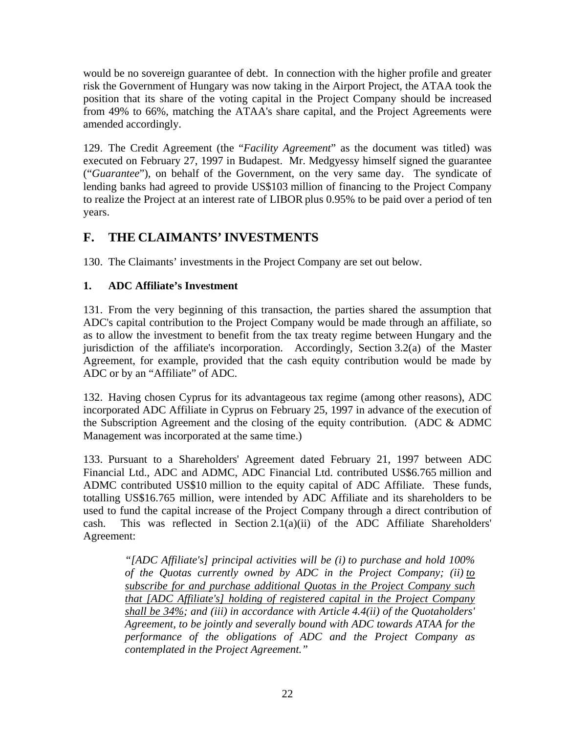<span id="page-22-0"></span>would be no sovereign guarantee of debt. In connection with the higher profile and greater risk the Government of Hungary was now taking in the Airport Project, the ATAA took the position that its share of the voting capital in the Project Company should be increased from 49% to 66%, matching the ATAA's share capital, and the Project Agreements were amended accordingly.

129. The Credit Agreement (the "*Facility Agreement*" as the document was titled) was executed on February 27, 1997 in Budapest. Mr. Medgyessy himself signed the guarantee ("*Guarantee*"), on behalf of the Government, on the very same day. The syndicate of lending banks had agreed to provide US\$103 million of financing to the Project Company to realize the Project at an interest rate of LIBOR plus 0.95% to be paid over a period of ten years.

# **F. THE CLAIMANTS' INVESTMENTS**

130. The Claimants' investments in the Project Company are set out below.

## **1. ADC Affiliate's Investment**

131. From the very beginning of this transaction, the parties shared the assumption that ADC's capital contribution to the Project Company would be made through an affiliate, so as to allow the investment to benefit from the tax treaty regime between Hungary and the jurisdiction of the affiliate's incorporation. Accordingly, Section 3.2(a) of the Master Agreement, for example, provided that the cash equity contribution would be made by ADC or by an "Affiliate" of ADC.

132. Having chosen Cyprus for its advantageous tax regime (among other reasons), ADC incorporated ADC Affiliate in Cyprus on February 25, 1997 in advance of the execution of the Subscription Agreement and the closing of the equity contribution. (ADC & ADMC Management was incorporated at the same time.)

133. Pursuant to a Shareholders' Agreement dated February 21, 1997 between ADC Financial Ltd., ADC and ADMC, ADC Financial Ltd. contributed US\$6.765 million and ADMC contributed US\$10 million to the equity capital of ADC Affiliate. These funds, totalling US\$16.765 million, were intended by ADC Affiliate and its shareholders to be used to fund the capital increase of the Project Company through a direct contribution of cash. This was reflected in Section 2.1(a)(ii) of the ADC Affiliate Shareholders' Agreement:

*"[ADC Affiliate's] principal activities will be (i) to purchase and hold 100% of the Quotas currently owned by ADC in the Project Company; (ii) to subscribe for and purchase additional Quotas in the Project Company such that [ADC Affiliate's] holding of registered capital in the Project Company shall be 34%; and (iii) in accordance with Article 4.4(ii) of the Quotaholders' Agreement, to be jointly and severally bound with ADC towards ATAA for the performance of the obligations of ADC and the Project Company as contemplated in the Project Agreement."*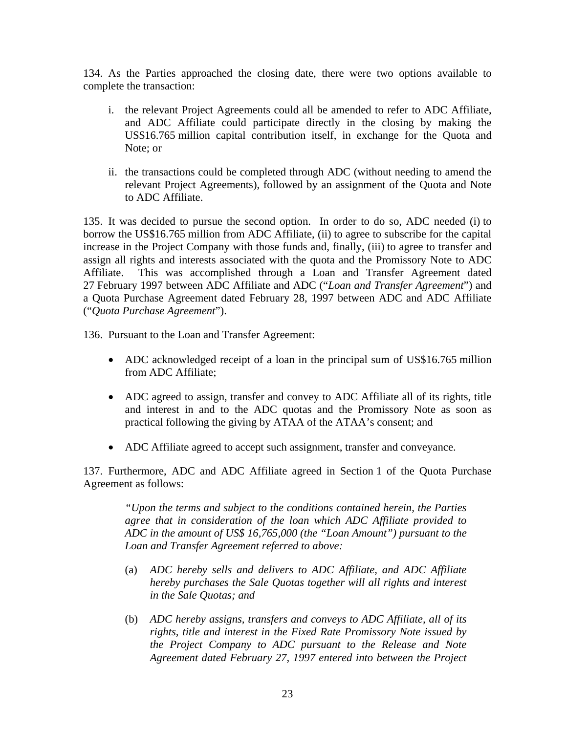134. As the Parties approached the closing date, there were two options available to complete the transaction:

- i. the relevant Project Agreements could all be amended to refer to ADC Affiliate, and ADC Affiliate could participate directly in the closing by making the US\$16.765 million capital contribution itself, in exchange for the Quota and Note; or
- ii. the transactions could be completed through ADC (without needing to amend the relevant Project Agreements), followed by an assignment of the Quota and Note to ADC Affiliate.

135. It was decided to pursue the second option. In order to do so, ADC needed (i) to borrow the US\$16.765 million from ADC Affiliate, (ii) to agree to subscribe for the capital increase in the Project Company with those funds and, finally, (iii) to agree to transfer and assign all rights and interests associated with the quota and the Promissory Note to ADC Affiliate. This was accomplished through a Loan and Transfer Agreement dated 27 February 1997 between ADC Affiliate and ADC ("*Loan and Transfer Agreement*") and a Quota Purchase Agreement dated February 28, 1997 between ADC and ADC Affiliate ("*Quota Purchase Agreement*").

136. Pursuant to the Loan and Transfer Agreement:

- ADC acknowledged receipt of a loan in the principal sum of US\$16.765 million from ADC Affiliate;
- ADC agreed to assign, transfer and convey to ADC Affiliate all of its rights, title and interest in and to the ADC quotas and the Promissory Note as soon as practical following the giving by ATAA of the ATAA's consent; and
- ADC Affiliate agreed to accept such assignment, transfer and conveyance.

137. Furthermore, ADC and ADC Affiliate agreed in Section 1 of the Quota Purchase Agreement as follows:

> *"Upon the terms and subject to the conditions contained herein, the Parties agree that in consideration of the loan which ADC Affiliate provided to ADC in the amount of US\$ 16,765,000 (the "Loan Amount") pursuant to the Loan and Transfer Agreement referred to above:*

- (a) *ADC hereby sells and delivers to ADC Affiliate, and ADC Affiliate hereby purchases the Sale Quotas together will all rights and interest in the Sale Quotas; and*
- (b) *ADC hereby assigns, transfers and conveys to ADC Affiliate, all of its rights, title and interest in the Fixed Rate Promissory Note issued by the Project Company to ADC pursuant to the Release and Note Agreement dated February 27, 1997 entered into between the Project*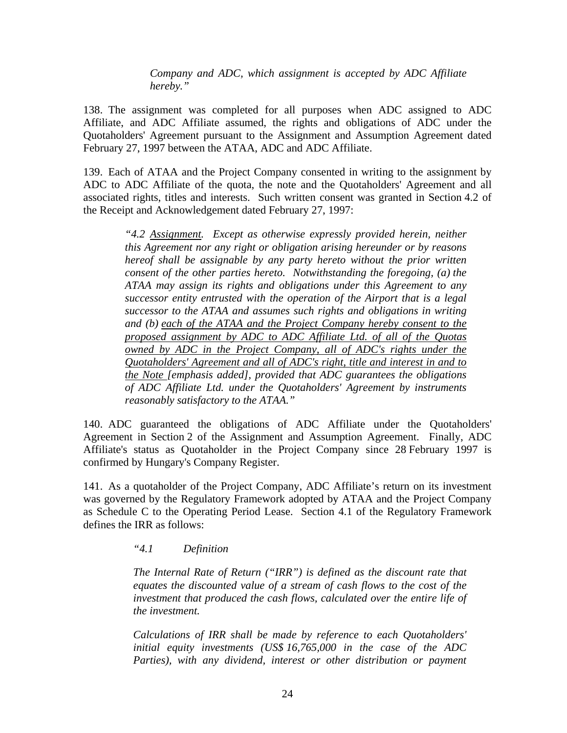*Company and ADC, which assignment is accepted by ADC Affiliate hereby."* 

138. The assignment was completed for all purposes when ADC assigned to ADC Affiliate, and ADC Affiliate assumed, the rights and obligations of ADC under the Quotaholders' Agreement pursuant to the Assignment and Assumption Agreement dated February 27, 1997 between the ATAA, ADC and ADC Affiliate.

139. Each of ATAA and the Project Company consented in writing to the assignment by ADC to ADC Affiliate of the quota, the note and the Quotaholders' Agreement and all associated rights, titles and interests. Such written consent was granted in Section 4.2 of the Receipt and Acknowledgement dated February 27, 1997:

*"4.2 Assignment. Except as otherwise expressly provided herein, neither this Agreement nor any right or obligation arising hereunder or by reasons hereof shall be assignable by any party hereto without the prior written consent of the other parties hereto. Notwithstanding the foregoing, (a) the ATAA may assign its rights and obligations under this Agreement to any successor entity entrusted with the operation of the Airport that is a legal successor to the ATAA and assumes such rights and obligations in writing and (b) each of the ATAA and the Project Company hereby consent to the proposed assignment by ADC to ADC Affiliate Ltd. of all of the Quotas owned by ADC in the Project Company, all of ADC's rights under the Quotaholders' Agreement and all of ADC's right, title and interest in and to the Note [emphasis added], provided that ADC guarantees the obligations of ADC Affiliate Ltd. under the Quotaholders' Agreement by instruments reasonably satisfactory to the ATAA."* 

140. ADC guaranteed the obligations of ADC Affiliate under the Quotaholders' Agreement in Section 2 of the Assignment and Assumption Agreement. Finally, ADC Affiliate's status as Quotaholder in the Project Company since 28 February 1997 is confirmed by Hungary's Company Register.

141. As a quotaholder of the Project Company, ADC Affiliate's return on its investment was governed by the Regulatory Framework adopted by ATAA and the Project Company as Schedule C to the Operating Period Lease. Section 4.1 of the Regulatory Framework defines the IRR as follows:

#### *"4.1 Definition*

*The Internal Rate of Return ("IRR") is defined as the discount rate that equates the discounted value of a stream of cash flows to the cost of the investment that produced the cash flows, calculated over the entire life of the investment.* 

*Calculations of IRR shall be made by reference to each Quotaholders' initial equity investments (US\$ 16,765,000 in the case of the ADC Parties), with any dividend, interest or other distribution or payment*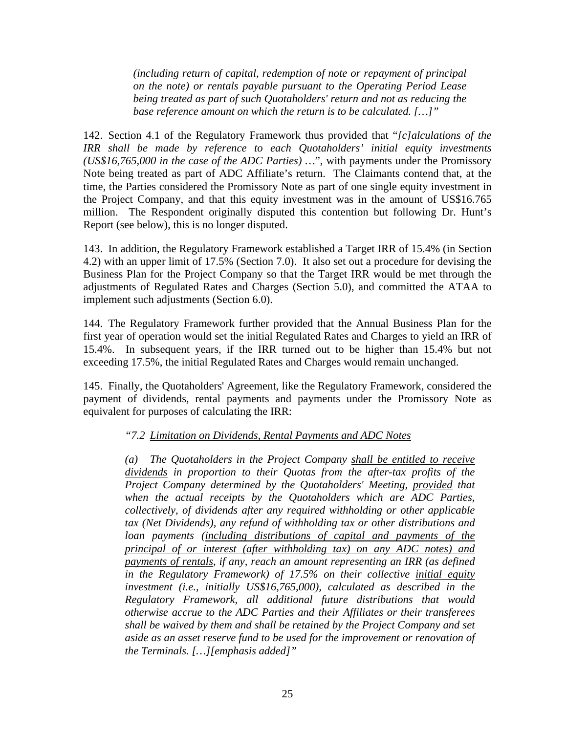*(including return of capital, redemption of note or repayment of principal on the note) or rentals payable pursuant to the Operating Period Lease being treated as part of such Quotaholders' return and not as reducing the base reference amount on which the return is to be calculated. […]"* 

142. Section 4.1 of the Regulatory Framework thus provided that "*[c]alculations of the IRR* shall be made by reference to each Quotaholders' initial equity investments *(US\$16,765,000 in the case of the ADC Parties) …*", with payments under the Promissory Note being treated as part of ADC Affiliate's return. The Claimants contend that, at the time, the Parties considered the Promissory Note as part of one single equity investment in the Project Company, and that this equity investment was in the amount of US\$16.765 million. The Respondent originally disputed this contention but following Dr. Hunt's Report (see below), this is no longer disputed.

143. In addition, the Regulatory Framework established a Target IRR of 15.4% (in Section 4.2) with an upper limit of 17.5% (Section 7.0). It also set out a procedure for devising the Business Plan for the Project Company so that the Target IRR would be met through the adjustments of Regulated Rates and Charges (Section 5.0), and committed the ATAA to implement such adjustments (Section 6.0).

144. The Regulatory Framework further provided that the Annual Business Plan for the first year of operation would set the initial Regulated Rates and Charges to yield an IRR of 15.4%. In subsequent years, if the IRR turned out to be higher than 15.4% but not exceeding 17.5%, the initial Regulated Rates and Charges would remain unchanged.

145. Finally, the Quotaholders' Agreement, like the Regulatory Framework, considered the payment of dividends, rental payments and payments under the Promissory Note as equivalent for purposes of calculating the IRR:

#### *"7.2 Limitation on Dividends, Rental Payments and ADC Notes*

*(a) The Quotaholders in the Project Company shall be entitled to receive dividends in proportion to their Quotas from the after-tax profits of the Project Company determined by the Quotaholders' Meeting, provided that when the actual receipts by the Quotaholders which are ADC Parties, collectively, of dividends after any required withholding or other applicable tax (Net Dividends), any refund of withholding tax or other distributions and loan payments (including distributions of capital and payments of the principal of or interest (after withholding tax) on any ADC notes) and payments of rentals, if any, reach an amount representing an IRR (as defined in the Regulatory Framework) of 17.5% on their collective initial equity investment (i.e., initially US\$16,765,000), calculated as described in the Regulatory Framework, all additional future distributions that would otherwise accrue to the ADC Parties and their Affiliates or their transferees shall be waived by them and shall be retained by the Project Company and set aside as an asset reserve fund to be used for the improvement or renovation of the Terminals. […][emphasis added]"*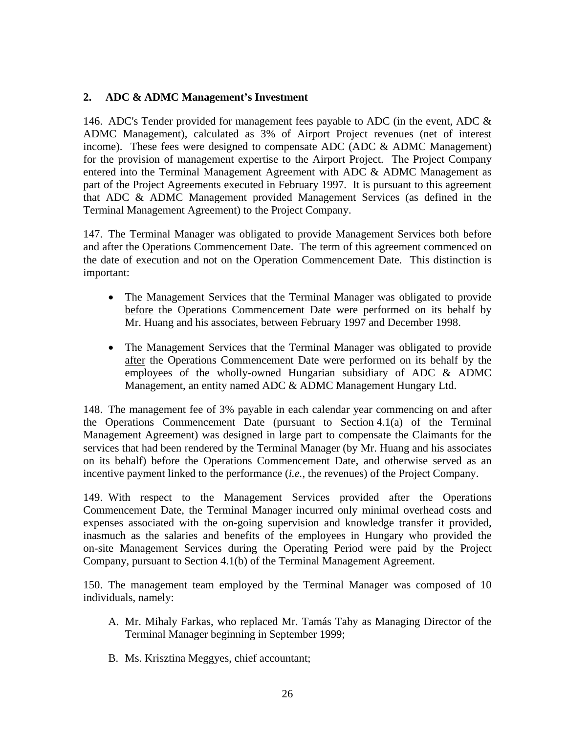#### <span id="page-26-0"></span>**2. ADC & ADMC Management's Investment**

146. ADC's Tender provided for management fees payable to ADC (in the event, ADC & ADMC Management), calculated as 3% of Airport Project revenues (net of interest income). These fees were designed to compensate ADC (ADC  $&$  ADMC Management) for the provision of management expertise to the Airport Project. The Project Company entered into the Terminal Management Agreement with ADC & ADMC Management as part of the Project Agreements executed in February 1997. It is pursuant to this agreement that ADC & ADMC Management provided Management Services (as defined in the Terminal Management Agreement) to the Project Company.

147. The Terminal Manager was obligated to provide Management Services both before and after the Operations Commencement Date. The term of this agreement commenced on the date of execution and not on the Operation Commencement Date. This distinction is important:

- The Management Services that the Terminal Manager was obligated to provide before the Operations Commencement Date were performed on its behalf by Mr. Huang and his associates, between February 1997 and December 1998.
- The Management Services that the Terminal Manager was obligated to provide after the Operations Commencement Date were performed on its behalf by the employees of the wholly-owned Hungarian subsidiary of ADC & ADMC Management, an entity named ADC & ADMC Management Hungary Ltd.

148. The management fee of 3% payable in each calendar year commencing on and after the Operations Commencement Date (pursuant to Section 4.1(a) of the Terminal Management Agreement) was designed in large part to compensate the Claimants for the services that had been rendered by the Terminal Manager (by Mr. Huang and his associates on its behalf) before the Operations Commencement Date, and otherwise served as an incentive payment linked to the performance (*i.e.*, the revenues) of the Project Company.

149. With respect to the Management Services provided after the Operations Commencement Date, the Terminal Manager incurred only minimal overhead costs and expenses associated with the on-going supervision and knowledge transfer it provided, inasmuch as the salaries and benefits of the employees in Hungary who provided the on-site Management Services during the Operating Period were paid by the Project Company, pursuant to Section 4.1(b) of the Terminal Management Agreement.

150. The management team employed by the Terminal Manager was composed of 10 individuals, namely:

- A. Mr. Mihaly Farkas, who replaced Mr. Tamás Tahy as Managing Director of the Terminal Manager beginning in September 1999;
- B. Ms. Krisztina Meggyes, chief accountant;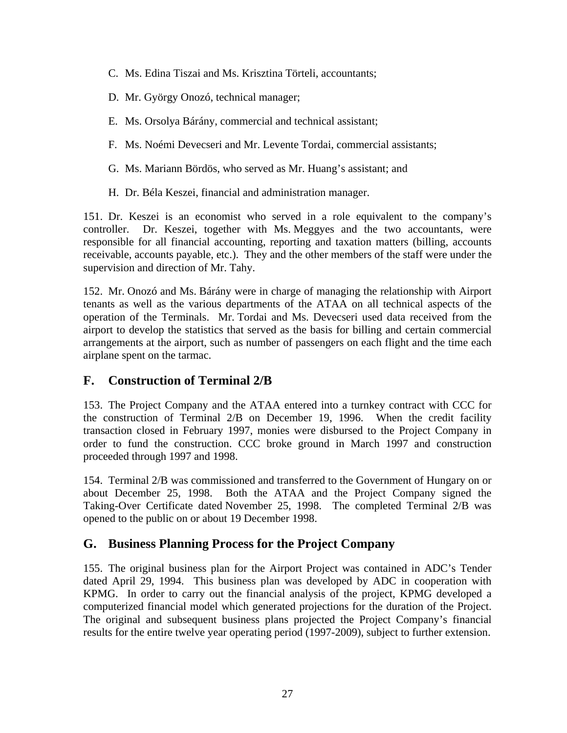- <span id="page-27-0"></span>C. Ms. Edina Tiszai and Ms. Krisztina Törteli, accountants;
- D. Mr. György Onozó, technical manager;
- E. Ms. Orsolya Bárány, commercial and technical assistant;
- F. Ms. Noémi Devecseri and Mr. Levente Tordai, commercial assistants;
- G. Ms. Mariann Bördös, who served as Mr. Huang's assistant; and
- H. Dr. Béla Keszei, financial and administration manager.

151. Dr. Keszei is an economist who served in a role equivalent to the company's controller. Dr. Keszei, together with Ms. Meggyes and the two accountants, were responsible for all financial accounting, reporting and taxation matters (billing, accounts receivable, accounts payable, etc.). They and the other members of the staff were under the supervision and direction of Mr. Tahy.

152. Mr. Onozó and Ms. Bárány were in charge of managing the relationship with Airport tenants as well as the various departments of the ATAA on all technical aspects of the operation of the Terminals. Mr. Tordai and Ms. Devecseri used data received from the airport to develop the statistics that served as the basis for billing and certain commercial arrangements at the airport, such as number of passengers on each flight and the time each airplane spent on the tarmac.

# **F. Construction of Terminal 2/B**

153. The Project Company and the ATAA entered into a turnkey contract with CCC for the construction of Terminal 2/B on December 19, 1996. When the credit facility transaction closed in February 1997, monies were disbursed to the Project Company in order to fund the construction. CCC broke ground in March 1997 and construction proceeded through 1997 and 1998.

154. Terminal 2/B was commissioned and transferred to the Government of Hungary on or about December 25, 1998. Both the ATAA and the Project Company signed the Taking-Over Certificate dated November 25, 1998. The completed Terminal 2/B was opened to the public on or about 19 December 1998.

# **G. Business Planning Process for the Project Company**

155. The original business plan for the Airport Project was contained in ADC's Tender dated April 29, 1994. This business plan was developed by ADC in cooperation with KPMG. In order to carry out the financial analysis of the project, KPMG developed a computerized financial model which generated projections for the duration of the Project. The original and subsequent business plans projected the Project Company's financial results for the entire twelve year operating period (1997-2009), subject to further extension.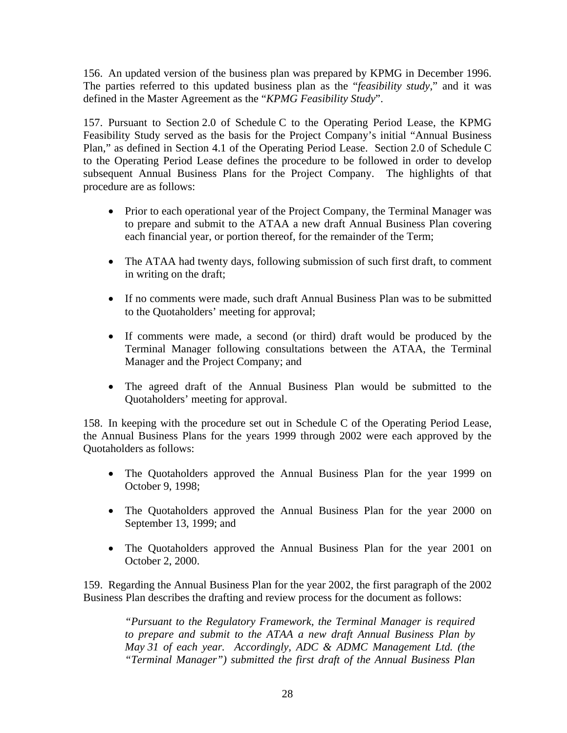156. An updated version of the business plan was prepared by KPMG in December 1996. The parties referred to this updated business plan as the "*feasibility study*," and it was defined in the Master Agreement as the "*KPMG Feasibility Study*".

157. Pursuant to Section 2.0 of Schedule C to the Operating Period Lease, the KPMG Feasibility Study served as the basis for the Project Company's initial "Annual Business Plan," as defined in Section 4.1 of the Operating Period Lease. Section 2.0 of Schedule C to the Operating Period Lease defines the procedure to be followed in order to develop subsequent Annual Business Plans for the Project Company. The highlights of that procedure are as follows:

- Prior to each operational year of the Project Company, the Terminal Manager was to prepare and submit to the ATAA a new draft Annual Business Plan covering each financial year, or portion thereof, for the remainder of the Term;
- The ATAA had twenty days, following submission of such first draft, to comment in writing on the draft;
- If no comments were made, such draft Annual Business Plan was to be submitted to the Quotaholders' meeting for approval;
- If comments were made, a second (or third) draft would be produced by the Terminal Manager following consultations between the ATAA, the Terminal Manager and the Project Company; and
- The agreed draft of the Annual Business Plan would be submitted to the Quotaholders' meeting for approval.

158. In keeping with the procedure set out in Schedule C of the Operating Period Lease, the Annual Business Plans for the years 1999 through 2002 were each approved by the Quotaholders as follows:

- The Quotaholders approved the Annual Business Plan for the year 1999 on October 9, 1998;
- The Quotaholders approved the Annual Business Plan for the year 2000 on September 13, 1999; and
- The Quotaholders approved the Annual Business Plan for the year 2001 on October 2, 2000.

159. Regarding the Annual Business Plan for the year 2002, the first paragraph of the 2002 Business Plan describes the drafting and review process for the document as follows:

*"Pursuant to the Regulatory Framework, the Terminal Manager is required to prepare and submit to the ATAA a new draft Annual Business Plan by May 31 of each year. Accordingly, ADC & ADMC Management Ltd. (the "Terminal Manager") submitted the first draft of the Annual Business Plan*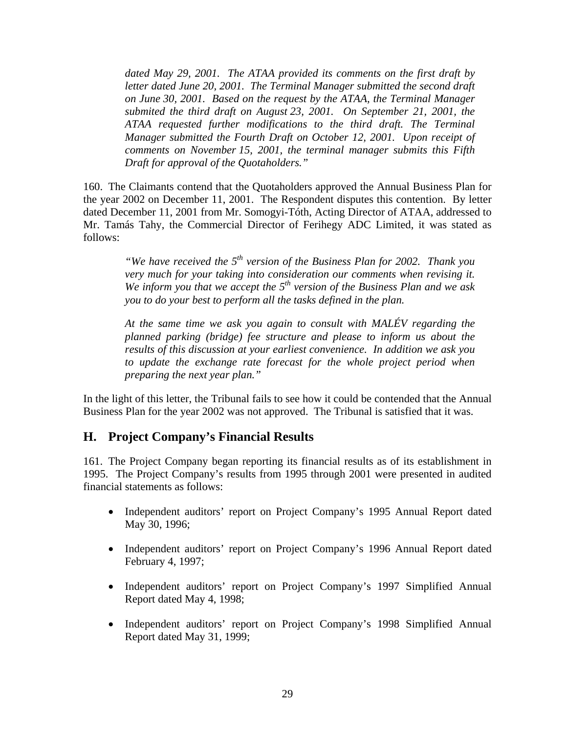<span id="page-29-0"></span>*dated May 29, 2001. The ATAA provided its comments on the first draft by letter dated June 20, 2001. The Terminal Manager submitted the second draft on June 30, 2001. Based on the request by the ATAA, the Terminal Manager submited the third draft on August 23, 2001. On September 21, 2001, the ATAA requested further modifications to the third draft. The Terminal Manager submitted the Fourth Draft on October 12, 2001. Upon receipt of comments on November 15, 2001, the terminal manager submits this Fifth Draft for approval of the Quotaholders."* 

160. The Claimants contend that the Quotaholders approved the Annual Business Plan for the year 2002 on December 11, 2001. The Respondent disputes this contention. By letter dated December 11, 2001 from Mr. Somogyi-Tóth, Acting Director of ATAA, addressed to Mr. Tamás Tahy, the Commercial Director of Ferihegy ADC Limited, it was stated as follows:

*"We have received the 5<sup>th</sup> version of the Business Plan for 2002. Thank you very much for your taking into consideration our comments when revising it. We inform you that we accept the 5<sup>th</sup> version of the Business Plan and we ask you to do your best to perform all the tasks defined in the plan.* 

*At the same time we ask you again to consult with MALÉV regarding the planned parking (bridge) fee structure and please to inform us about the results of this discussion at your earliest convenience. In addition we ask you to update the exchange rate forecast for the whole project period when preparing the next year plan."* 

In the light of this letter, the Tribunal fails to see how it could be contended that the Annual Business Plan for the year 2002 was not approved. The Tribunal is satisfied that it was.

## **H. Project Company's Financial Results**

161. The Project Company began reporting its financial results as of its establishment in 1995. The Project Company's results from 1995 through 2001 were presented in audited financial statements as follows:

- Independent auditors' report on Project Company's 1995 Annual Report dated May 30, 1996;
- Independent auditors' report on Project Company's 1996 Annual Report dated February 4, 1997;
- Independent auditors' report on Project Company's 1997 Simplified Annual Report dated May 4, 1998;
- Independent auditors' report on Project Company's 1998 Simplified Annual Report dated May 31, 1999;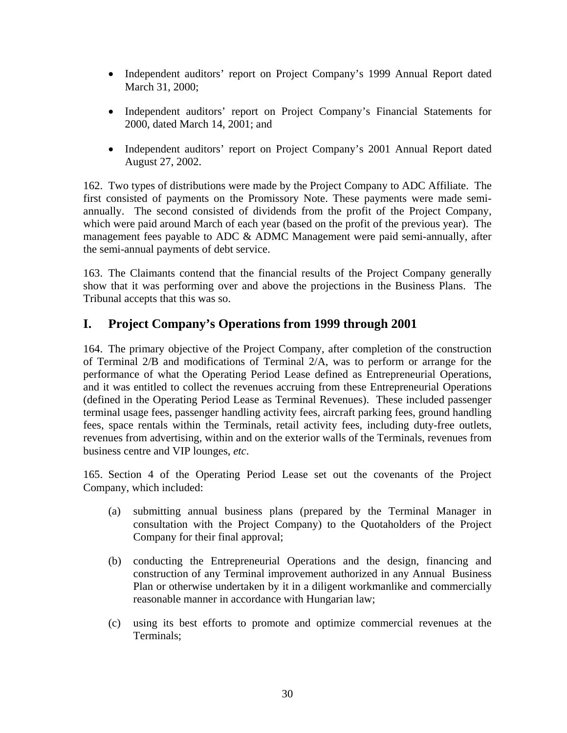- <span id="page-30-0"></span>• Independent auditors' report on Project Company's 1999 Annual Report dated March 31, 2000;
- Independent auditors' report on Project Company's Financial Statements for 2000, dated March 14, 2001; and
- Independent auditors' report on Project Company's 2001 Annual Report dated August 27, 2002.

162. Two types of distributions were made by the Project Company to ADC Affiliate. The first consisted of payments on the Promissory Note. These payments were made semiannually. The second consisted of dividends from the profit of the Project Company, which were paid around March of each year (based on the profit of the previous year). The management fees payable to ADC & ADMC Management were paid semi-annually, after the semi-annual payments of debt service.

163. The Claimants contend that the financial results of the Project Company generally show that it was performing over and above the projections in the Business Plans. The Tribunal accepts that this was so.

## **I. Project Company's Operations from 1999 through 2001**

164. The primary objective of the Project Company, after completion of the construction of Terminal 2/B and modifications of Terminal 2/A, was to perform or arrange for the performance of what the Operating Period Lease defined as Entrepreneurial Operations, and it was entitled to collect the revenues accruing from these Entrepreneurial Operations (defined in the Operating Period Lease as Terminal Revenues). These included passenger terminal usage fees, passenger handling activity fees, aircraft parking fees, ground handling fees, space rentals within the Terminals, retail activity fees, including duty-free outlets, revenues from advertising, within and on the exterior walls of the Terminals, revenues from business centre and VIP lounges, *etc*.

165. Section 4 of the Operating Period Lease set out the covenants of the Project Company, which included:

- (a) submitting annual business plans (prepared by the Terminal Manager in consultation with the Project Company) to the Quotaholders of the Project Company for their final approval;
- (b) conducting the Entrepreneurial Operations and the design, financing and construction of any Terminal improvement authorized in any Annual Business Plan or otherwise undertaken by it in a diligent workmanlike and commercially reasonable manner in accordance with Hungarian law;
- (c) using its best efforts to promote and optimize commercial revenues at the Terminals;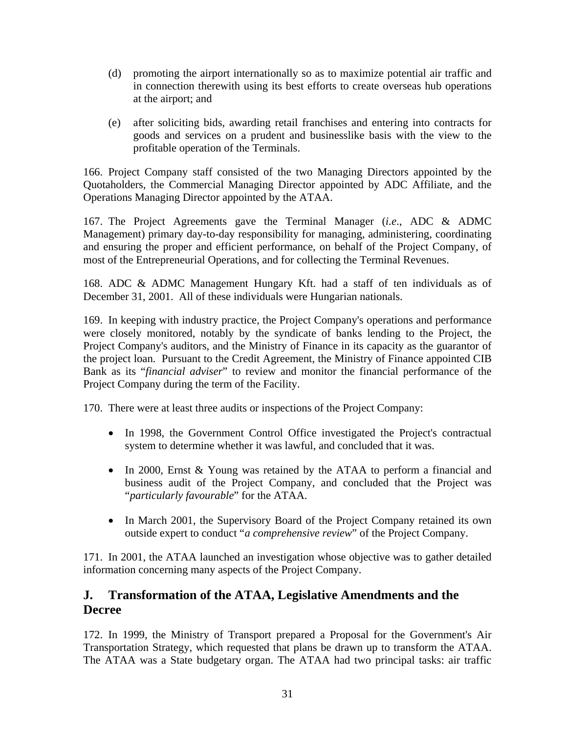- <span id="page-31-0"></span>(d) promoting the airport internationally so as to maximize potential air traffic and in connection therewith using its best efforts to create overseas hub operations at the airport; and
- (e) after soliciting bids, awarding retail franchises and entering into contracts for goods and services on a prudent and businesslike basis with the view to the profitable operation of the Terminals.

166. Project Company staff consisted of the two Managing Directors appointed by the Quotaholders, the Commercial Managing Director appointed by ADC Affiliate, and the Operations Managing Director appointed by the ATAA.

167. The Project Agreements gave the Terminal Manager (*i.e*., ADC & ADMC Management) primary day-to-day responsibility for managing, administering, coordinating and ensuring the proper and efficient performance, on behalf of the Project Company, of most of the Entrepreneurial Operations, and for collecting the Terminal Revenues.

168. ADC & ADMC Management Hungary Kft. had a staff of ten individuals as of December 31, 2001. All of these individuals were Hungarian nationals.

169. In keeping with industry practice, the Project Company's operations and performance were closely monitored, notably by the syndicate of banks lending to the Project, the Project Company's auditors, and the Ministry of Finance in its capacity as the guarantor of the project loan. Pursuant to the Credit Agreement, the Ministry of Finance appointed CIB Bank as its "*financial adviser*" to review and monitor the financial performance of the Project Company during the term of the Facility.

170. There were at least three audits or inspections of the Project Company:

- In 1998, the Government Control Office investigated the Project's contractual system to determine whether it was lawful, and concluded that it was.
- In 2000, Ernst & Young was retained by the ATAA to perform a financial and business audit of the Project Company, and concluded that the Project was "*particularly favourable*" for the ATAA.
- In March 2001, the Supervisory Board of the Project Company retained its own outside expert to conduct "*a comprehensive review*" of the Project Company.

171. In 2001, the ATAA launched an investigation whose objective was to gather detailed information concerning many aspects of the Project Company.

# **J. Transformation of the ATAA, Legislative Amendments and the Decree**

172. In 1999, the Ministry of Transport prepared a Proposal for the Government's Air Transportation Strategy, which requested that plans be drawn up to transform the ATAA. The ATAA was a State budgetary organ. The ATAA had two principal tasks: air traffic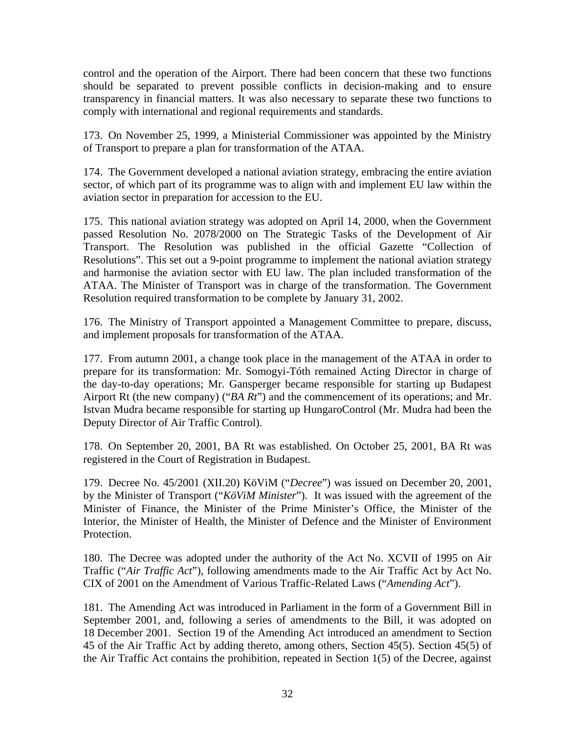control and the operation of the Airport. There had been concern that these two functions should be separated to prevent possible conflicts in decision-making and to ensure transparency in financial matters. It was also necessary to separate these two functions to comply with international and regional requirements and standards.

173. On November 25, 1999, a Ministerial Commissioner was appointed by the Ministry of Transport to prepare a plan for transformation of the ATAA.

174. The Government developed a national aviation strategy, embracing the entire aviation sector, of which part of its programme was to align with and implement EU law within the aviation sector in preparation for accession to the EU.

175. This national aviation strategy was adopted on April 14, 2000, when the Government passed Resolution No. 2078/2000 on The Strategic Tasks of the Development of Air Transport. The Resolution was published in the official Gazette "Collection of Resolutions". This set out a 9-point programme to implement the national aviation strategy and harmonise the aviation sector with EU law. The plan included transformation of the ATAA. The Minister of Transport was in charge of the transformation. The Government Resolution required transformation to be complete by January 31, 2002.

176. The Ministry of Transport appointed a Management Committee to prepare, discuss, and implement proposals for transformation of the ATAA.

177. From autumn 2001, a change took place in the management of the ATAA in order to prepare for its transformation: Mr. Somogyi-Tóth remained Acting Director in charge of the day-to-day operations; Mr. Gansperger became responsible for starting up Budapest Airport Rt (the new company) ("*BA Rt*") and the commencement of its operations; and Mr. Istvan Mudra became responsible for starting up HungaroControl (Mr. Mudra had been the Deputy Director of Air Traffic Control).

178. On September 20, 2001, BA Rt was established. On October 25, 2001, BA Rt was registered in the Court of Registration in Budapest.

179. Decree No. 45/2001 (XII.20) KöViM ("*Decree*") was issued on December 20, 2001, by the Minister of Transport ("*KöViM Minister*"). It was issued with the agreement of the Minister of Finance, the Minister of the Prime Minister's Office, the Minister of the Interior, the Minister of Health, the Minister of Defence and the Minister of Environment Protection.

180. The Decree was adopted under the authority of the Act No. XCVII of 1995 on Air Traffic ("*Air Traffic Act*"), following amendments made to the Air Traffic Act by Act No. CIX of 2001 on the Amendment of Various Traffic-Related Laws ("*Amending Act*").

181. The Amending Act was introduced in Parliament in the form of a Government Bill in September 2001, and, following a series of amendments to the Bill, it was adopted on 18 December 2001. Section 19 of the Amending Act introduced an amendment to Section 45 of the Air Traffic Act by adding thereto, among others, Section 45(5). Section 45(5) of the Air Traffic Act contains the prohibition, repeated in Section 1(5) of the Decree, against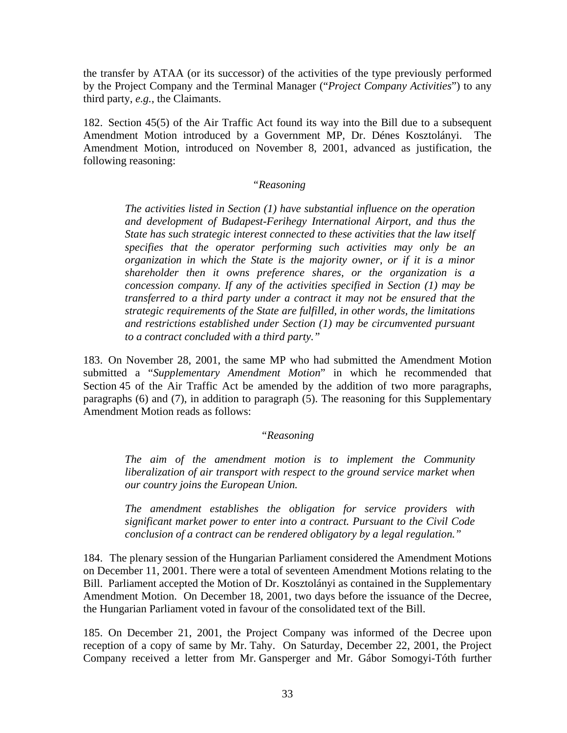the transfer by ATAA (or its successor) of the activities of the type previously performed by the Project Company and the Terminal Manager ("*Project Company Activities*") to any third party, *e.g.*, the Claimants.

182. Section 45(5) of the Air Traffic Act found its way into the Bill due to a subsequent Amendment Motion introduced by a Government MP, Dr. Dénes Kosztolányi. The Amendment Motion, introduced on November 8, 2001, advanced as justification, the following reasoning:

#### *"Reasoning*

*The activities listed in Section (1) have substantial influence on the operation and development of Budapest-Ferihegy International Airport, and thus the State has such strategic interest connected to these activities that the law itself specifies that the operator performing such activities may only be an organization in which the State is the majority owner, or if it is a minor shareholder then it owns preference shares, or the organization is a concession company. If any of the activities specified in Section (1) may be transferred to a third party under a contract it may not be ensured that the strategic requirements of the State are fulfilled, in other words, the limitations and restrictions established under Section (1) may be circumvented pursuant to a contract concluded with a third party."* 

183. On November 28, 2001, the same MP who had submitted the Amendment Motion submitted a "*Supplementary Amendment Motion*" in which he recommended that Section 45 of the Air Traffic Act be amended by the addition of two more paragraphs, paragraphs (6) and (7), in addition to paragraph (5). The reasoning for this Supplementary Amendment Motion reads as follows:

#### *"Reasoning*

*The aim of the amendment motion is to implement the Community liberalization of air transport with respect to the ground service market when our country joins the European Union.* 

*The amendment establishes the obligation for service providers with significant market power to enter into a contract. Pursuant to the Civil Code conclusion of a contract can be rendered obligatory by a legal regulation."* 

184. The plenary session of the Hungarian Parliament considered the Amendment Motions on December 11, 2001. There were a total of seventeen Amendment Motions relating to the Bill. Parliament accepted the Motion of Dr. Kosztolányi as contained in the Supplementary Amendment Motion. On December 18, 2001, two days before the issuance of the Decree, the Hungarian Parliament voted in favour of the consolidated text of the Bill.

185. On December 21, 2001, the Project Company was informed of the Decree upon reception of a copy of same by Mr. Tahy. On Saturday, December 22, 2001, the Project Company received a letter from Mr. Gansperger and Mr. Gábor Somogyi-Tóth further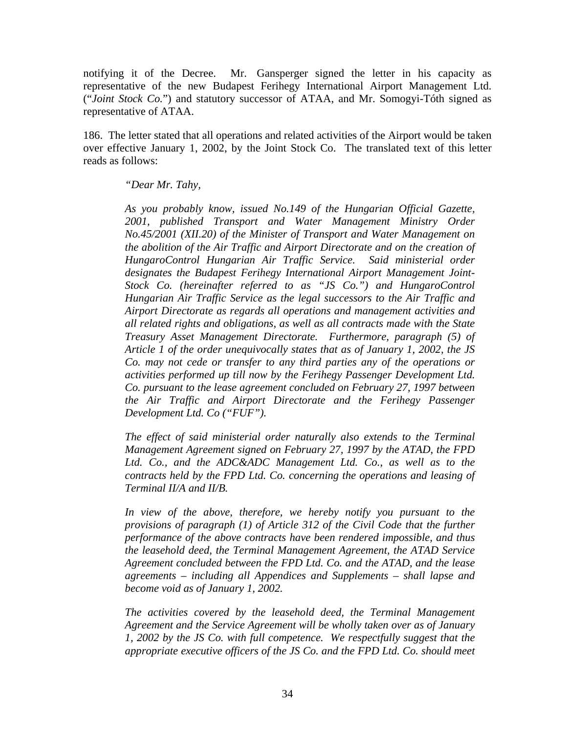notifying it of the Decree. Mr. Gansperger signed the letter in his capacity as representative of the new Budapest Ferihegy International Airport Management Ltd. ("*Joint Stock Co.*") and statutory successor of ATAA, and Mr. Somogyi-Tóth signed as representative of ATAA.

186. The letter stated that all operations and related activities of the Airport would be taken over effective January 1, 2002, by the Joint Stock Co. The translated text of this letter reads as follows:

#### *"Dear Mr. Tahy,*

*As you probably know, issued No.149 of the Hungarian Official Gazette, 2001, published Transport and Water Management Ministry Order No.45/2001 (XII.20) of the Minister of Transport and Water Management on the abolition of the Air Traffic and Airport Directorate and on the creation of HungaroControl Hungarian Air Traffic Service. Said ministerial order designates the Budapest Ferihegy International Airport Management Joint-Stock Co. (hereinafter referred to as "JS Co.") and HungaroControl Hungarian Air Traffic Service as the legal successors to the Air Traffic and Airport Directorate as regards all operations and management activities and all related rights and obligations, as well as all contracts made with the State Treasury Asset Management Directorate. Furthermore, paragraph (5) of Article 1 of the order unequivocally states that as of January 1, 2002, the JS Co. may not cede or transfer to any third parties any of the operations or activities performed up till now by the Ferihegy Passenger Development Ltd. Co. pursuant to the lease agreement concluded on February 27, 1997 between the Air Traffic and Airport Directorate and the Ferihegy Passenger Development Ltd. Co ("FUF").* 

*The effect of said ministerial order naturally also extends to the Terminal Management Agreement signed on February 27, 1997 by the ATAD, the FPD*  Ltd. Co., and the ADC&ADC Management Ltd. Co., as well as to the *contracts held by the FPD Ltd. Co. concerning the operations and leasing of Terminal II/A and II/B.* 

*In view of the above, therefore, we hereby notify you pursuant to the provisions of paragraph (1) of Article 312 of the Civil Code that the further performance of the above contracts have been rendered impossible, and thus the leasehold deed, the Terminal Management Agreement, the ATAD Service Agreement concluded between the FPD Ltd. Co. and the ATAD, and the lease agreements – including all Appendices and Supplements – shall lapse and become void as of January 1, 2002.* 

*The activities covered by the leasehold deed, the Terminal Management Agreement and the Service Agreement will be wholly taken over as of January 1, 2002 by the JS Co. with full competence. We respectfully suggest that the appropriate executive officers of the JS Co. and the FPD Ltd. Co. should meet*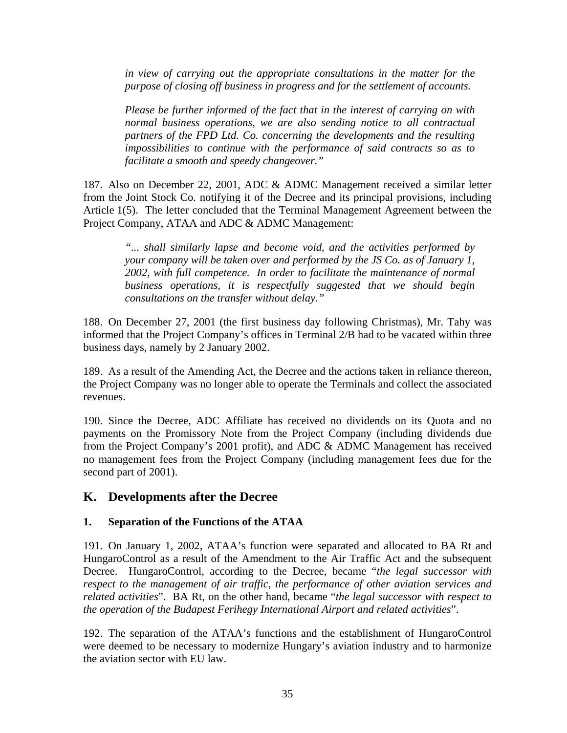<span id="page-35-0"></span>*in view of carrying out the appropriate consultations in the matter for the purpose of closing off business in progress and for the settlement of accounts.* 

*Please be further informed of the fact that in the interest of carrying on with normal business operations, we are also sending notice to all contractual partners of the FPD Ltd. Co. concerning the developments and the resulting impossibilities to continue with the performance of said contracts so as to facilitate a smooth and speedy changeover."* 

187. Also on December 22, 2001, ADC & ADMC Management received a similar letter from the Joint Stock Co. notifying it of the Decree and its principal provisions, including Article 1(5). The letter concluded that the Terminal Management Agreement between the Project Company, ATAA and ADC & ADMC Management:

*"... shall similarly lapse and become void, and the activities performed by your company will be taken over and performed by the JS Co. as of January 1, 2002, with full competence. In order to facilitate the maintenance of normal business operations, it is respectfully suggested that we should begin consultations on the transfer without delay."* 

188. On December 27, 2001 (the first business day following Christmas), Mr. Tahy was informed that the Project Company's offices in Terminal 2/B had to be vacated within three business days, namely by 2 January 2002.

189. As a result of the Amending Act, the Decree and the actions taken in reliance thereon, the Project Company was no longer able to operate the Terminals and collect the associated revenues.

190. Since the Decree, ADC Affiliate has received no dividends on its Quota and no payments on the Promissory Note from the Project Company (including dividends due from the Project Company's 2001 profit), and ADC & ADMC Management has received no management fees from the Project Company (including management fees due for the second part of 2001).

## **K. Developments after the Decree**

#### **1. Separation of the Functions of the ATAA**

191. On January 1, 2002, ATAA's function were separated and allocated to BA Rt and HungaroControl as a result of the Amendment to the Air Traffic Act and the subsequent Decree. HungaroControl, according to the Decree, became "*the legal successor with respect to the management of air traffic, the performance of other aviation services and related activities*". BA Rt, on the other hand, became "*the legal successor with respect to the operation of the Budapest Ferihegy International Airport and related activities*".

192. The separation of the ATAA's functions and the establishment of HungaroControl were deemed to be necessary to modernize Hungary's aviation industry and to harmonize the aviation sector with EU law.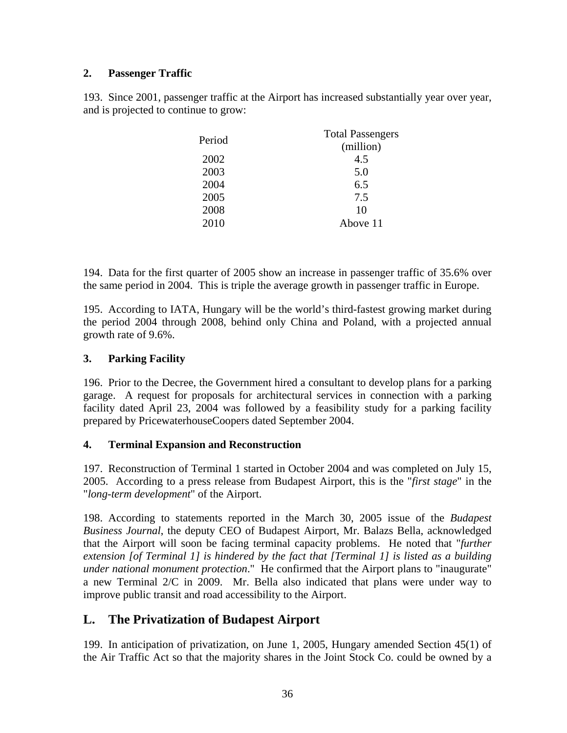## **2. Passenger Traffic**

193. Since 2001, passenger traffic at the Airport has increased substantially year over year, and is projected to continue to grow:

| Period | <b>Total Passengers</b> |
|--------|-------------------------|
|        | (million)               |
| 2002   | 4.5                     |
| 2003   | 5.0                     |
| 2004   | 6.5                     |
| 2005   | 7.5                     |
| 2008   | 10                      |
| 2010   | Above 11                |

194. Data for the first quarter of 2005 show an increase in passenger traffic of 35.6% over the same period in 2004. This is triple the average growth in passenger traffic in Europe.

195. According to IATA, Hungary will be the world's third-fastest growing market during the period 2004 through 2008, behind only China and Poland, with a projected annual growth rate of 9.6%.

## **3. Parking Facility**

196. Prior to the Decree, the Government hired a consultant to develop plans for a parking garage. A request for proposals for architectural services in connection with a parking facility dated April 23, 2004 was followed by a feasibility study for a parking facility prepared by PricewaterhouseCoopers dated September 2004.

## **4. Terminal Expansion and Reconstruction**

197. Reconstruction of Terminal 1 started in October 2004 and was completed on July 15, 2005. According to a press release from Budapest Airport, this is the "*first stage*" in the "*long-term development*" of the Airport.

198. According to statements reported in the March 30, 2005 issue of the *Budapest Business Journal*, the deputy CEO of Budapest Airport, Mr. Balazs Bella, acknowledged that the Airport will soon be facing terminal capacity problems. He noted that "*further extension [of Terminal 1] is hindered by the fact that [Terminal 1] is listed as a building under national monument protection*." He confirmed that the Airport plans to "inaugurate" a new Terminal 2/C in 2009. Mr. Bella also indicated that plans were under way to improve public transit and road accessibility to the Airport.

# **L. The Privatization of Budapest Airport**

199. In anticipation of privatization, on June 1, 2005, Hungary amended Section 45(1) of the Air Traffic Act so that the majority shares in the Joint Stock Co. could be owned by a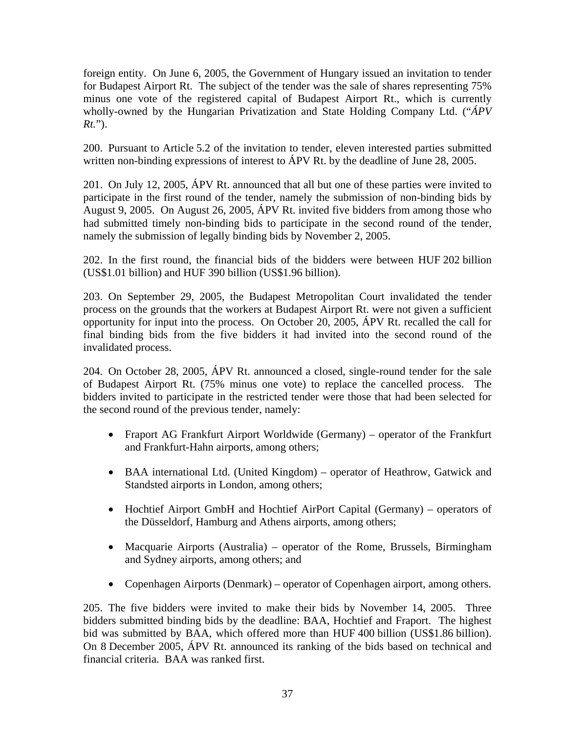foreign entity. On June 6, 2005, the Government of Hungary issued an invitation to tender for Budapest Airport Rt. The subject of the tender was the sale of shares representing 75% minus one vote of the registered capital of Budapest Airport Rt., which is currently wholly-owned by the Hungarian Privatization and State Holding Company Ltd. ("*ÁPV Rt.*").

200. Pursuant to Article 5.2 of the invitation to tender, eleven interested parties submitted written non-binding expressions of interest to ÁPV Rt. by the deadline of June 28, 2005.

201. On July 12, 2005, ÁPV Rt. announced that all but one of these parties were invited to participate in the first round of the tender, namely the submission of non-binding bids by August 9, 2005. On August 26, 2005, ÁPV Rt. invited five bidders from among those who had submitted timely non-binding bids to participate in the second round of the tender, namely the submission of legally binding bids by November 2, 2005.

202. In the first round, the financial bids of the bidders were between HUF 202 billion (US\$1.01 billion) and HUF 390 billion (US\$1.96 billion).

203. On September 29, 2005, the Budapest Metropolitan Court invalidated the tender process on the grounds that the workers at Budapest Airport Rt. were not given a sufficient opportunity for input into the process. On October 20, 2005, ÁPV Rt. recalled the call for final binding bids from the five bidders it had invited into the second round of the invalidated process.

204. On October 28, 2005, ÁPV Rt. announced a closed, single-round tender for the sale of Budapest Airport Rt. (75% minus one vote) to replace the cancelled process. The bidders invited to participate in the restricted tender were those that had been selected for the second round of the previous tender, namely:

- Fraport AG Frankfurt Airport Worldwide (Germany) operator of the Frankfurt and Frankfurt-Hahn airports, among others;
- BAA international Ltd. (United Kingdom) operator of Heathrow, Gatwick and Standsted airports in London, among others;
- Hochtief Airport GmbH and Hochtief AirPort Capital (Germany) operators of the Düsseldorf, Hamburg and Athens airports, among others;
- Macquarie Airports (Australia) operator of the Rome, Brussels, Birmingham and Sydney airports, among others; and
- Copenhagen Airports (Denmark) operator of Copenhagen airport, among others.

205. The five bidders were invited to make their bids by November 14, 2005. Three bidders submitted binding bids by the deadline: BAA, Hochtief and Fraport. The highest bid was submitted by BAA, which offered more than HUF 400 billion (US\$1.86 billion). On 8 December 2005, ÁPV Rt. announced its ranking of the bids based on technical and financial criteria. BAA was ranked first.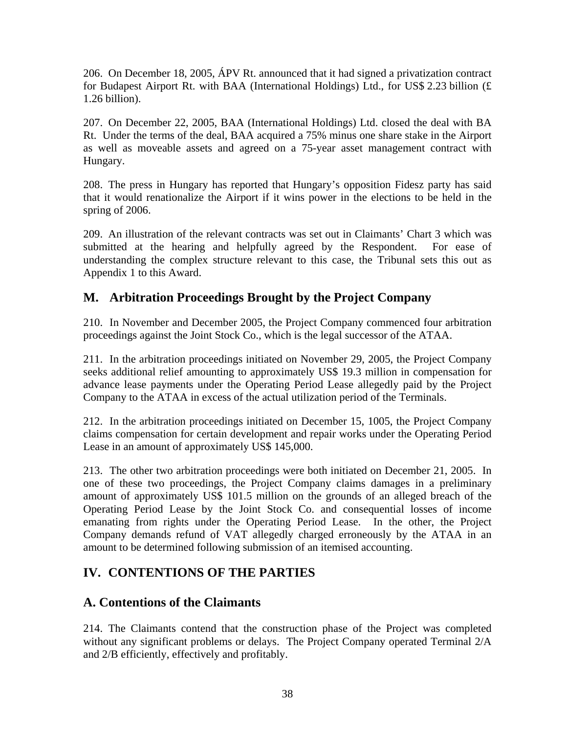206. On December 18, 2005, ÁPV Rt. announced that it had signed a privatization contract for Budapest Airport Rt. with BAA (International Holdings) Ltd., for US\$ 2.23 billion (£ 1.26 billion).

207. On December 22, 2005, BAA (International Holdings) Ltd. closed the deal with BA Rt. Under the terms of the deal, BAA acquired a 75% minus one share stake in the Airport as well as moveable assets and agreed on a 75-year asset management contract with Hungary.

208. The press in Hungary has reported that Hungary's opposition Fidesz party has said that it would renationalize the Airport if it wins power in the elections to be held in the spring of 2006.

209. An illustration of the relevant contracts was set out in Claimants' Chart 3 which was submitted at the hearing and helpfully agreed by the Respondent. For ease of understanding the complex structure relevant to this case, the Tribunal sets this out as Appendix 1 to this Award.

# **M. Arbitration Proceedings Brought by the Project Company**

210. In November and December 2005, the Project Company commenced four arbitration proceedings against the Joint Stock Co., which is the legal successor of the ATAA.

211. In the arbitration proceedings initiated on November 29, 2005, the Project Company seeks additional relief amounting to approximately US\$ 19.3 million in compensation for advance lease payments under the Operating Period Lease allegedly paid by the Project Company to the ATAA in excess of the actual utilization period of the Terminals.

212. In the arbitration proceedings initiated on December 15, 1005, the Project Company claims compensation for certain development and repair works under the Operating Period Lease in an amount of approximately US\$ 145,000.

213. The other two arbitration proceedings were both initiated on December 21, 2005. In one of these two proceedings, the Project Company claims damages in a preliminary amount of approximately US\$ 101.5 million on the grounds of an alleged breach of the Operating Period Lease by the Joint Stock Co. and consequential losses of income emanating from rights under the Operating Period Lease. In the other, the Project Company demands refund of VAT allegedly charged erroneously by the ATAA in an amount to be determined following submission of an itemised accounting.

# **IV. CONTENTIONS OF THE PARTIES**

# **A. Contentions of the Claimants**

214. The Claimants contend that the construction phase of the Project was completed without any significant problems or delays. The Project Company operated Terminal 2/A and 2/B efficiently, effectively and profitably.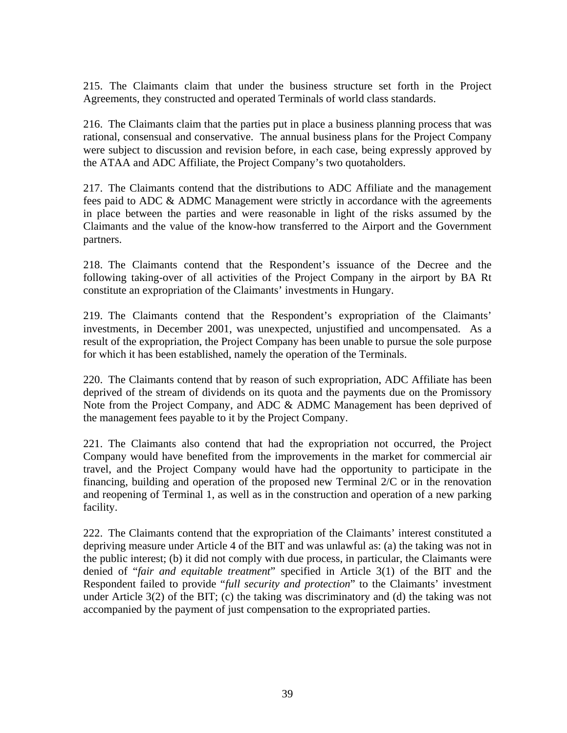215. The Claimants claim that under the business structure set forth in the Project Agreements, they constructed and operated Terminals of world class standards.

216. The Claimants claim that the parties put in place a business planning process that was rational, consensual and conservative. The annual business plans for the Project Company were subject to discussion and revision before, in each case, being expressly approved by the ATAA and ADC Affiliate, the Project Company's two quotaholders.

217. The Claimants contend that the distributions to ADC Affiliate and the management fees paid to ADC & ADMC Management were strictly in accordance with the agreements in place between the parties and were reasonable in light of the risks assumed by the Claimants and the value of the know-how transferred to the Airport and the Government partners.

218. The Claimants contend that the Respondent's issuance of the Decree and the following taking-over of all activities of the Project Company in the airport by BA Rt constitute an expropriation of the Claimants' investments in Hungary.

219. The Claimants contend that the Respondent's expropriation of the Claimants' investments, in December 2001, was unexpected, unjustified and uncompensated. As a result of the expropriation, the Project Company has been unable to pursue the sole purpose for which it has been established, namely the operation of the Terminals.

220. The Claimants contend that by reason of such expropriation, ADC Affiliate has been deprived of the stream of dividends on its quota and the payments due on the Promissory Note from the Project Company, and ADC & ADMC Management has been deprived of the management fees payable to it by the Project Company.

221. The Claimants also contend that had the expropriation not occurred, the Project Company would have benefited from the improvements in the market for commercial air travel, and the Project Company would have had the opportunity to participate in the financing, building and operation of the proposed new Terminal 2/C or in the renovation and reopening of Terminal 1, as well as in the construction and operation of a new parking facility.

222. The Claimants contend that the expropriation of the Claimants' interest constituted a depriving measure under Article 4 of the BIT and was unlawful as: (a) the taking was not in the public interest; (b) it did not comply with due process, in particular, the Claimants were denied of "*fair and equitable treatment*" specified in Article 3(1) of the BIT and the Respondent failed to provide "*full security and protection*" to the Claimants' investment under Article 3(2) of the BIT; (c) the taking was discriminatory and (d) the taking was not accompanied by the payment of just compensation to the expropriated parties.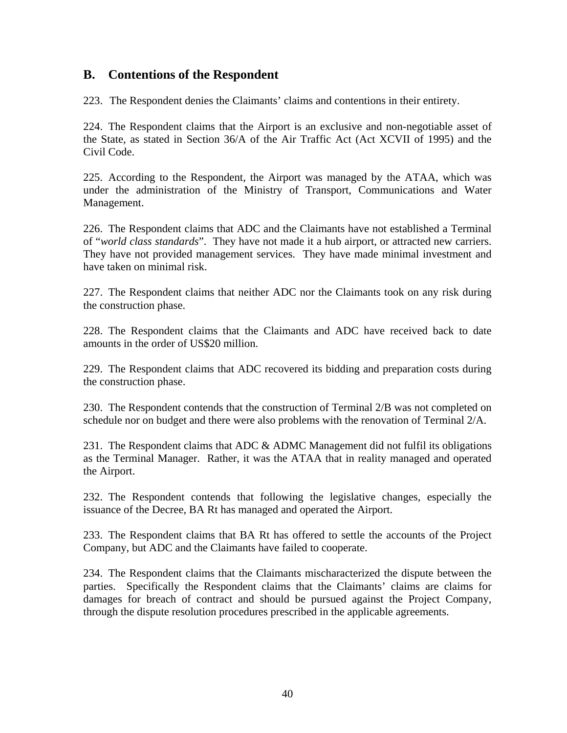## **B. Contentions of the Respondent**

223. The Respondent denies the Claimants' claims and contentions in their entirety.

224. The Respondent claims that the Airport is an exclusive and non-negotiable asset of the State, as stated in Section 36/A of the Air Traffic Act (Act XCVII of 1995) and the Civil Code.

225. According to the Respondent, the Airport was managed by the ATAA, which was under the administration of the Ministry of Transport, Communications and Water Management.

226. The Respondent claims that ADC and the Claimants have not established a Terminal of "*world class standards*". They have not made it a hub airport, or attracted new carriers. They have not provided management services. They have made minimal investment and have taken on minimal risk.

227. The Respondent claims that neither ADC nor the Claimants took on any risk during the construction phase.

228. The Respondent claims that the Claimants and ADC have received back to date amounts in the order of US\$20 million.

229. The Respondent claims that ADC recovered its bidding and preparation costs during the construction phase.

230. The Respondent contends that the construction of Terminal 2/B was not completed on schedule nor on budget and there were also problems with the renovation of Terminal 2/A.

231. The Respondent claims that ADC & ADMC Management did not fulfil its obligations as the Terminal Manager. Rather, it was the ATAA that in reality managed and operated the Airport.

232. The Respondent contends that following the legislative changes, especially the issuance of the Decree, BA Rt has managed and operated the Airport.

233. The Respondent claims that BA Rt has offered to settle the accounts of the Project Company, but ADC and the Claimants have failed to cooperate.

234. The Respondent claims that the Claimants mischaracterized the dispute between the parties. Specifically the Respondent claims that the Claimants' claims are claims for damages for breach of contract and should be pursued against the Project Company, through the dispute resolution procedures prescribed in the applicable agreements.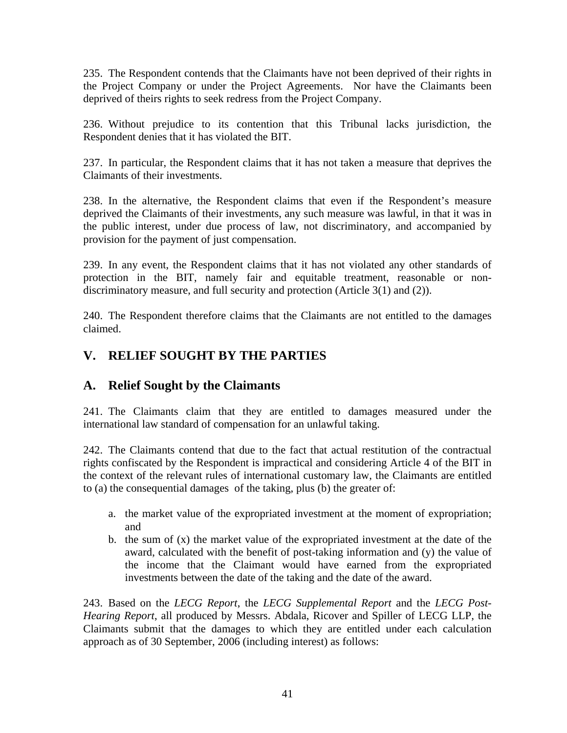235. The Respondent contends that the Claimants have not been deprived of their rights in the Project Company or under the Project Agreements. Nor have the Claimants been deprived of theirs rights to seek redress from the Project Company.

236. Without prejudice to its contention that this Tribunal lacks jurisdiction, the Respondent denies that it has violated the BIT.

237. In particular, the Respondent claims that it has not taken a measure that deprives the Claimants of their investments.

238. In the alternative, the Respondent claims that even if the Respondent's measure deprived the Claimants of their investments, any such measure was lawful, in that it was in the public interest, under due process of law, not discriminatory, and accompanied by provision for the payment of just compensation.

239. In any event, the Respondent claims that it has not violated any other standards of protection in the BIT, namely fair and equitable treatment, reasonable or nondiscriminatory measure, and full security and protection (Article 3(1) and (2)).

240. The Respondent therefore claims that the Claimants are not entitled to the damages claimed.

# **V. RELIEF SOUGHT BY THE PARTIES**

# **A. Relief Sought by the Claimants**

241. The Claimants claim that they are entitled to damages measured under the international law standard of compensation for an unlawful taking.

242. The Claimants contend that due to the fact that actual restitution of the contractual rights confiscated by the Respondent is impractical and considering Article 4 of the BIT in the context of the relevant rules of international customary law, the Claimants are entitled to (a) the consequential damages of the taking, plus (b) the greater of:

- a. the market value of the expropriated investment at the moment of expropriation; and
- b. the sum of (x) the market value of the expropriated investment at the date of the award, calculated with the benefit of post-taking information and (y) the value of the income that the Claimant would have earned from the expropriated investments between the date of the taking and the date of the award.

243. Based on the *LECG Report*, the *LECG Supplemental Report* and the *LECG Post-Hearing Report*, all produced by Messrs. Abdala, Ricover and Spiller of LECG LLP, the Claimants submit that the damages to which they are entitled under each calculation approach as of 30 September, 2006 (including interest) as follows: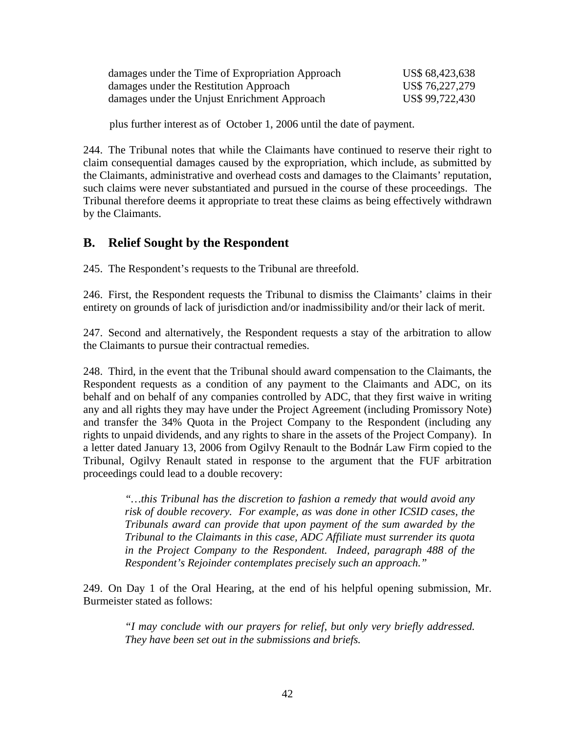| damages under the Time of Expropriation Approach | US\$ 68,423,638 |
|--------------------------------------------------|-----------------|
| damages under the Restitution Approach           | US\$ 76,227,279 |
| damages under the Unjust Enrichment Approach     | US\$ 99,722,430 |

plus further interest as of October 1, 2006 until the date of payment.

244. The Tribunal notes that while the Claimants have continued to reserve their right to claim consequential damages caused by the expropriation, which include, as submitted by the Claimants, administrative and overhead costs and damages to the Claimants' reputation, such claims were never substantiated and pursued in the course of these proceedings. The Tribunal therefore deems it appropriate to treat these claims as being effectively withdrawn by the Claimants.

## **B. Relief Sought by the Respondent**

245. The Respondent's requests to the Tribunal are threefold.

246. First, the Respondent requests the Tribunal to dismiss the Claimants' claims in their entirety on grounds of lack of jurisdiction and/or inadmissibility and/or their lack of merit.

247. Second and alternatively, the Respondent requests a stay of the arbitration to allow the Claimants to pursue their contractual remedies.

248. Third, in the event that the Tribunal should award compensation to the Claimants, the Respondent requests as a condition of any payment to the Claimants and ADC, on its behalf and on behalf of any companies controlled by ADC, that they first waive in writing any and all rights they may have under the Project Agreement (including Promissory Note) and transfer the 34% Quota in the Project Company to the Respondent (including any rights to unpaid dividends, and any rights to share in the assets of the Project Company). In a letter dated January 13, 2006 from Ogilvy Renault to the Bodnár Law Firm copied to the Tribunal, Ogilvy Renault stated in response to the argument that the FUF arbitration proceedings could lead to a double recovery:

> *"…this Tribunal has the discretion to fashion a remedy that would avoid any risk of double recovery. For example, as was done in other ICSID cases, the Tribunals award can provide that upon payment of the sum awarded by the Tribunal to the Claimants in this case, ADC Affiliate must surrender its quota in the Project Company to the Respondent. Indeed, paragraph 488 of the Respondent's Rejoinder contemplates precisely such an approach."*

249. On Day 1 of the Oral Hearing, at the end of his helpful opening submission, Mr. Burmeister stated as follows:

> *"I may conclude with our prayers for relief, but only very briefly addressed. They have been set out in the submissions and briefs.*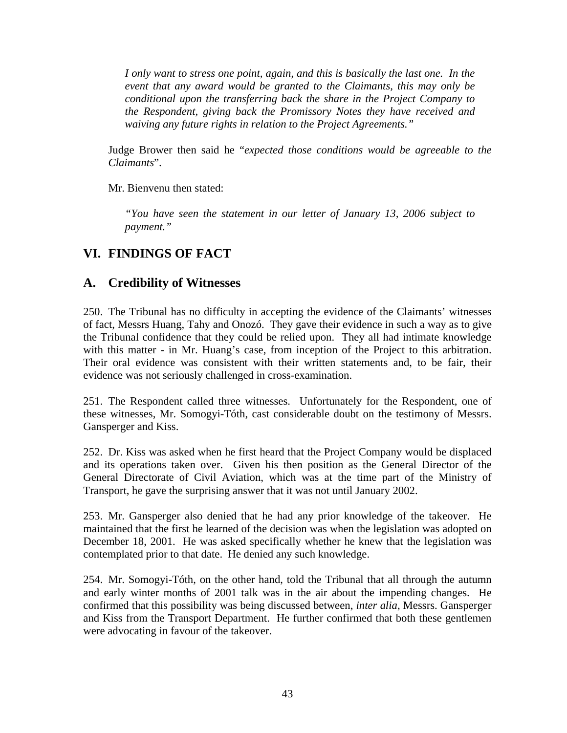*I only want to stress one point, again, and this is basically the last one. In the event that any award would be granted to the Claimants, this may only be conditional upon the transferring back the share in the Project Company to the Respondent, giving back the Promissory Notes they have received and waiving any future rights in relation to the Project Agreements."* 

Judge Brower then said he "*expected those conditions would be agreeable to the Claimants*".

Mr. Bienvenu then stated:

*"You have seen the statement in our letter of January 13, 2006 subject to payment."* 

# **VI. FINDINGS OF FACT**

## **A. Credibility of Witnesses**

250. The Tribunal has no difficulty in accepting the evidence of the Claimants' witnesses of fact, Messrs Huang, Tahy and Onozó. They gave their evidence in such a way as to give the Tribunal confidence that they could be relied upon. They all had intimate knowledge with this matter - in Mr. Huang's case, from inception of the Project to this arbitration. Their oral evidence was consistent with their written statements and, to be fair, their evidence was not seriously challenged in cross-examination.

251. The Respondent called three witnesses. Unfortunately for the Respondent, one of these witnesses, Mr. Somogyi-Tóth, cast considerable doubt on the testimony of Messrs. Gansperger and Kiss.

252. Dr. Kiss was asked when he first heard that the Project Company would be displaced and its operations taken over. Given his then position as the General Director of the General Directorate of Civil Aviation, which was at the time part of the Ministry of Transport, he gave the surprising answer that it was not until January 2002.

253. Mr. Gansperger also denied that he had any prior knowledge of the takeover. He maintained that the first he learned of the decision was when the legislation was adopted on December 18, 2001. He was asked specifically whether he knew that the legislation was contemplated prior to that date. He denied any such knowledge.

254. Mr. Somogyi-Tóth, on the other hand, told the Tribunal that all through the autumn and early winter months of 2001 talk was in the air about the impending changes. He confirmed that this possibility was being discussed between, *inter alia*, Messrs. Gansperger and Kiss from the Transport Department. He further confirmed that both these gentlemen were advocating in favour of the takeover.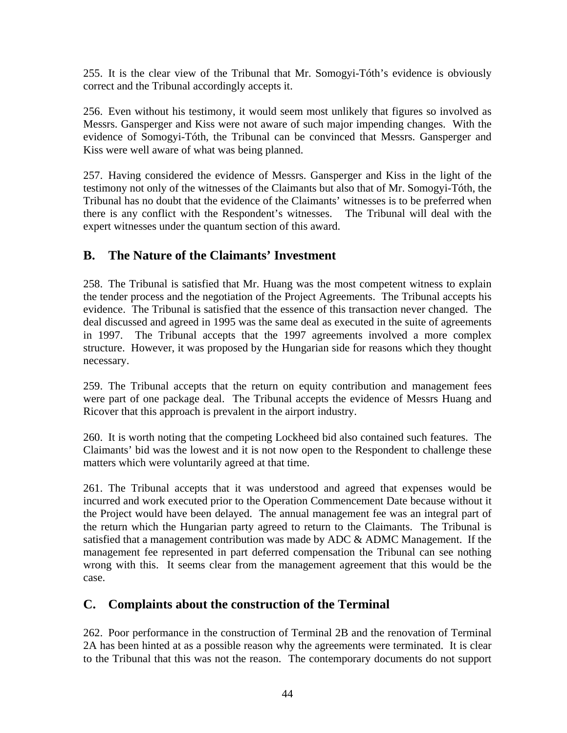255. It is the clear view of the Tribunal that Mr. Somogyi-Tóth's evidence is obviously correct and the Tribunal accordingly accepts it.

256. Even without his testimony, it would seem most unlikely that figures so involved as Messrs. Gansperger and Kiss were not aware of such major impending changes. With the evidence of Somogyi-Tóth, the Tribunal can be convinced that Messrs. Gansperger and Kiss were well aware of what was being planned.

257. Having considered the evidence of Messrs. Gansperger and Kiss in the light of the testimony not only of the witnesses of the Claimants but also that of Mr. Somogyi-Tóth, the Tribunal has no doubt that the evidence of the Claimants' witnesses is to be preferred when there is any conflict with the Respondent's witnesses. The Tribunal will deal with the expert witnesses under the quantum section of this award.

# **B. The Nature of the Claimants' Investment**

258. The Tribunal is satisfied that Mr. Huang was the most competent witness to explain the tender process and the negotiation of the Project Agreements. The Tribunal accepts his evidence. The Tribunal is satisfied that the essence of this transaction never changed. The deal discussed and agreed in 1995 was the same deal as executed in the suite of agreements in 1997. The Tribunal accepts that the 1997 agreements involved a more complex structure. However, it was proposed by the Hungarian side for reasons which they thought necessary.

259. The Tribunal accepts that the return on equity contribution and management fees were part of one package deal. The Tribunal accepts the evidence of Messrs Huang and Ricover that this approach is prevalent in the airport industry.

260. It is worth noting that the competing Lockheed bid also contained such features. The Claimants' bid was the lowest and it is not now open to the Respondent to challenge these matters which were voluntarily agreed at that time.

261. The Tribunal accepts that it was understood and agreed that expenses would be incurred and work executed prior to the Operation Commencement Date because without it the Project would have been delayed. The annual management fee was an integral part of the return which the Hungarian party agreed to return to the Claimants. The Tribunal is satisfied that a management contribution was made by ADC & ADMC Management. If the management fee represented in part deferred compensation the Tribunal can see nothing wrong with this. It seems clear from the management agreement that this would be the case.

# **C. Complaints about the construction of the Terminal**

262. Poor performance in the construction of Terminal 2B and the renovation of Terminal 2A has been hinted at as a possible reason why the agreements were terminated. It is clear to the Tribunal that this was not the reason. The contemporary documents do not support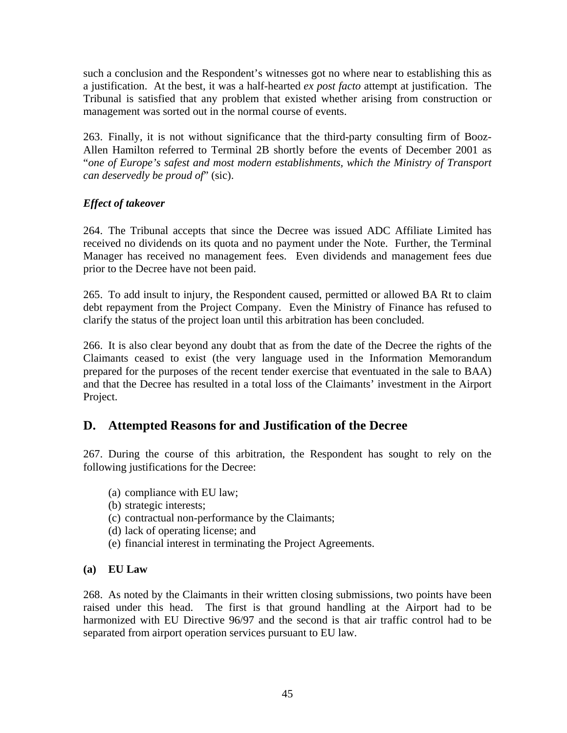such a conclusion and the Respondent's witnesses got no where near to establishing this as a justification. At the best, it was a half-hearted *ex post facto* attempt at justification. The Tribunal is satisfied that any problem that existed whether arising from construction or management was sorted out in the normal course of events.

263. Finally, it is not without significance that the third-party consulting firm of Booz-Allen Hamilton referred to Terminal 2B shortly before the events of December 2001 as "*one of Europe's safest and most modern establishments, which the Ministry of Transport can deservedly be proud of*" (sic).

## *Effect of takeover*

264. The Tribunal accepts that since the Decree was issued ADC Affiliate Limited has received no dividends on its quota and no payment under the Note. Further, the Terminal Manager has received no management fees. Even dividends and management fees due prior to the Decree have not been paid.

265. To add insult to injury, the Respondent caused, permitted or allowed BA Rt to claim debt repayment from the Project Company. Even the Ministry of Finance has refused to clarify the status of the project loan until this arbitration has been concluded.

266. It is also clear beyond any doubt that as from the date of the Decree the rights of the Claimants ceased to exist (the very language used in the Information Memorandum prepared for the purposes of the recent tender exercise that eventuated in the sale to BAA) and that the Decree has resulted in a total loss of the Claimants' investment in the Airport Project.

# **D. Attempted Reasons for and Justification of the Decree**

267. During the course of this arbitration, the Respondent has sought to rely on the following justifications for the Decree:

- (a) compliance with EU law;
- (b) strategic interests;
- (c) contractual non-performance by the Claimants;
- (d) lack of operating license; and
- (e) financial interest in terminating the Project Agreements.

## **(a) EU Law**

268. As noted by the Claimants in their written closing submissions, two points have been raised under this head. The first is that ground handling at the Airport had to be harmonized with EU Directive 96/97 and the second is that air traffic control had to be separated from airport operation services pursuant to EU law.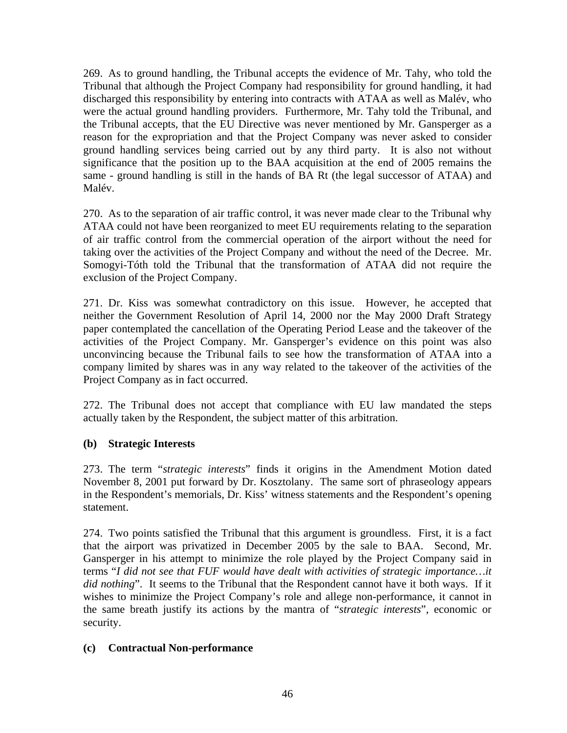269. As to ground handling, the Tribunal accepts the evidence of Mr. Tahy, who told the Tribunal that although the Project Company had responsibility for ground handling, it had discharged this responsibility by entering into contracts with ATAA as well as Malév, who were the actual ground handling providers. Furthermore, Mr. Tahy told the Tribunal, and the Tribunal accepts, that the EU Directive was never mentioned by Mr. Gansperger as a reason for the expropriation and that the Project Company was never asked to consider ground handling services being carried out by any third party. It is also not without significance that the position up to the BAA acquisition at the end of 2005 remains the same - ground handling is still in the hands of BA Rt (the legal successor of ATAA) and Malév.

270. As to the separation of air traffic control, it was never made clear to the Tribunal why ATAA could not have been reorganized to meet EU requirements relating to the separation of air traffic control from the commercial operation of the airport without the need for taking over the activities of the Project Company and without the need of the Decree. Mr. Somogyi-Tóth told the Tribunal that the transformation of ATAA did not require the exclusion of the Project Company.

271. Dr. Kiss was somewhat contradictory on this issue. However, he accepted that neither the Government Resolution of April 14, 2000 nor the May 2000 Draft Strategy paper contemplated the cancellation of the Operating Period Lease and the takeover of the activities of the Project Company. Mr. Gansperger's evidence on this point was also unconvincing because the Tribunal fails to see how the transformation of ATAA into a company limited by shares was in any way related to the takeover of the activities of the Project Company as in fact occurred.

272. The Tribunal does not accept that compliance with EU law mandated the steps actually taken by the Respondent, the subject matter of this arbitration.

## **(b) Strategic Interests**

273. The term "*strategic interests*" finds it origins in the Amendment Motion dated November 8, 2001 put forward by Dr. Kosztolany. The same sort of phraseology appears in the Respondent's memorials, Dr. Kiss' witness statements and the Respondent's opening statement.

274. Two points satisfied the Tribunal that this argument is groundless. First, it is a fact that the airport was privatized in December 2005 by the sale to BAA. Second, Mr. Gansperger in his attempt to minimize the role played by the Project Company said in terms "*I did not see that FUF would have dealt with activities of strategic importance…it did nothing*". It seems to the Tribunal that the Respondent cannot have it both ways. If it wishes to minimize the Project Company's role and allege non-performance, it cannot in the same breath justify its actions by the mantra of "*strategic interests*", economic or security.

#### **(c) Contractual Non-performance**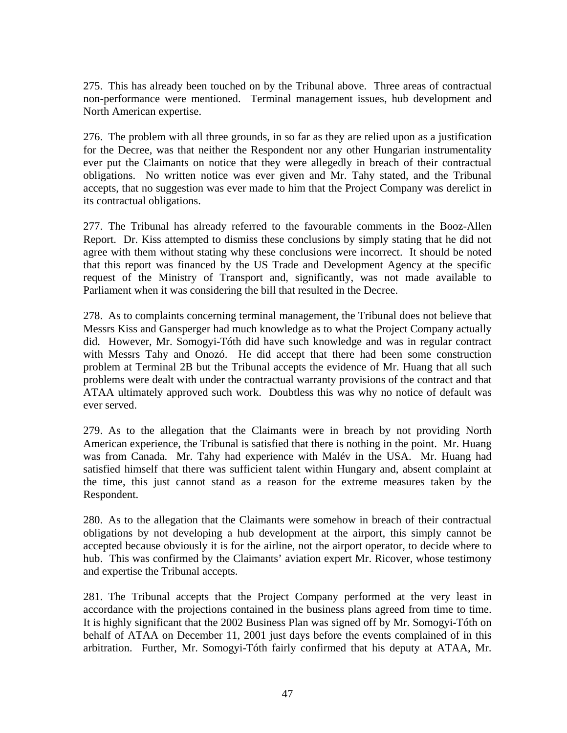275. This has already been touched on by the Tribunal above. Three areas of contractual non-performance were mentioned. Terminal management issues, hub development and North American expertise.

276. The problem with all three grounds, in so far as they are relied upon as a justification for the Decree, was that neither the Respondent nor any other Hungarian instrumentality ever put the Claimants on notice that they were allegedly in breach of their contractual obligations. No written notice was ever given and Mr. Tahy stated, and the Tribunal accepts, that no suggestion was ever made to him that the Project Company was derelict in its contractual obligations.

277. The Tribunal has already referred to the favourable comments in the Booz-Allen Report. Dr. Kiss attempted to dismiss these conclusions by simply stating that he did not agree with them without stating why these conclusions were incorrect. It should be noted that this report was financed by the US Trade and Development Agency at the specific request of the Ministry of Transport and, significantly, was not made available to Parliament when it was considering the bill that resulted in the Decree.

278. As to complaints concerning terminal management, the Tribunal does not believe that Messrs Kiss and Gansperger had much knowledge as to what the Project Company actually did. However, Mr. Somogyi-Tóth did have such knowledge and was in regular contract with Messrs Tahy and Onozó. He did accept that there had been some construction problem at Terminal 2B but the Tribunal accepts the evidence of Mr. Huang that all such problems were dealt with under the contractual warranty provisions of the contract and that ATAA ultimately approved such work. Doubtless this was why no notice of default was ever served.

279. As to the allegation that the Claimants were in breach by not providing North American experience, the Tribunal is satisfied that there is nothing in the point. Mr. Huang was from Canada. Mr. Tahy had experience with Malév in the USA. Mr. Huang had satisfied himself that there was sufficient talent within Hungary and, absent complaint at the time, this just cannot stand as a reason for the extreme measures taken by the Respondent.

280. As to the allegation that the Claimants were somehow in breach of their contractual obligations by not developing a hub development at the airport, this simply cannot be accepted because obviously it is for the airline, not the airport operator, to decide where to hub. This was confirmed by the Claimants' aviation expert Mr. Ricover, whose testimony and expertise the Tribunal accepts.

281. The Tribunal accepts that the Project Company performed at the very least in accordance with the projections contained in the business plans agreed from time to time. It is highly significant that the 2002 Business Plan was signed off by Mr. Somogyi-Tóth on behalf of ATAA on December 11, 2001 just days before the events complained of in this arbitration. Further, Mr. Somogyi-Tóth fairly confirmed that his deputy at ATAA, Mr.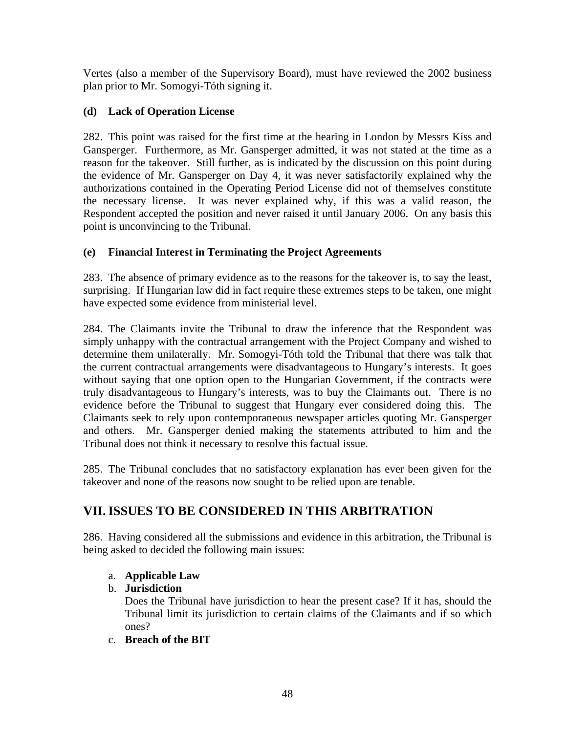Vertes (also a member of the Supervisory Board), must have reviewed the 2002 business plan prior to Mr. Somogyi-Tóth signing it.

## **(d) Lack of Operation License**

282. This point was raised for the first time at the hearing in London by Messrs Kiss and Gansperger. Furthermore, as Mr. Gansperger admitted, it was not stated at the time as a reason for the takeover. Still further, as is indicated by the discussion on this point during the evidence of Mr. Gansperger on Day 4, it was never satisfactorily explained why the authorizations contained in the Operating Period License did not of themselves constitute the necessary license. It was never explained why, if this was a valid reason, the Respondent accepted the position and never raised it until January 2006. On any basis this point is unconvincing to the Tribunal.

## **(e) Financial Interest in Terminating the Project Agreements**

283. The absence of primary evidence as to the reasons for the takeover is, to say the least, surprising. If Hungarian law did in fact require these extremes steps to be taken, one might have expected some evidence from ministerial level.

284. The Claimants invite the Tribunal to draw the inference that the Respondent was simply unhappy with the contractual arrangement with the Project Company and wished to determine them unilaterally. Mr. Somogyi-Tóth told the Tribunal that there was talk that the current contractual arrangements were disadvantageous to Hungary's interests. It goes without saying that one option open to the Hungarian Government, if the contracts were truly disadvantageous to Hungary's interests, was to buy the Claimants out. There is no evidence before the Tribunal to suggest that Hungary ever considered doing this. The Claimants seek to rely upon contemporaneous newspaper articles quoting Mr. Gansperger and others. Mr. Gansperger denied making the statements attributed to him and the Tribunal does not think it necessary to resolve this factual issue.

285. The Tribunal concludes that no satisfactory explanation has ever been given for the takeover and none of the reasons now sought to be relied upon are tenable.

# **VII.ISSUES TO BE CONSIDERED IN THIS ARBITRATION**

286. Having considered all the submissions and evidence in this arbitration, the Tribunal is being asked to decided the following main issues:

a. **Applicable Law**

## b. **Jurisdiction**

 Does the Tribunal have jurisdiction to hear the present case? If it has, should the Tribunal limit its jurisdiction to certain claims of the Claimants and if so which ones?

c. **Breach of the BIT**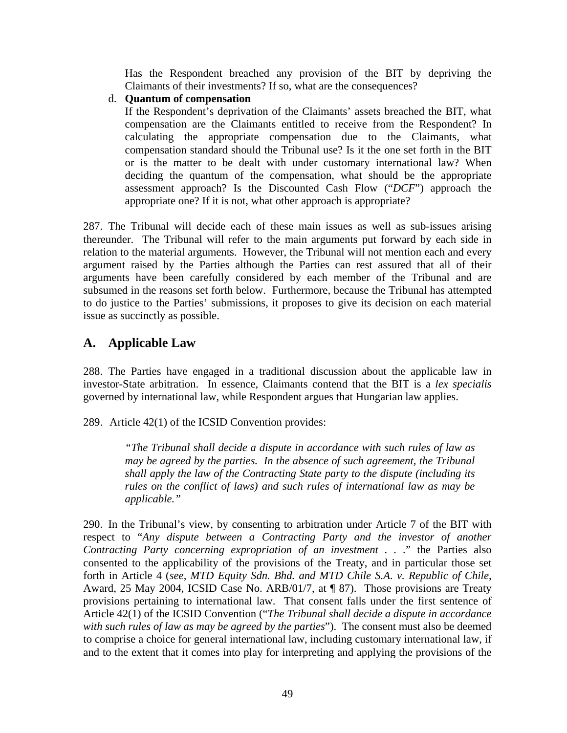Has the Respondent breached any provision of the BIT by depriving the Claimants of their investments? If so, what are the consequences?

### d. **Quantum of compensation**

 If the Respondent's deprivation of the Claimants' assets breached the BIT, what compensation are the Claimants entitled to receive from the Respondent? In calculating the appropriate compensation due to the Claimants, what compensation standard should the Tribunal use? Is it the one set forth in the BIT or is the matter to be dealt with under customary international law? When deciding the quantum of the compensation, what should be the appropriate assessment approach? Is the Discounted Cash Flow ("*DCF*") approach the appropriate one? If it is not, what other approach is appropriate?

287. The Tribunal will decide each of these main issues as well as sub-issues arising thereunder. The Tribunal will refer to the main arguments put forward by each side in relation to the material arguments. However, the Tribunal will not mention each and every argument raised by the Parties although the Parties can rest assured that all of their arguments have been carefully considered by each member of the Tribunal and are subsumed in the reasons set forth below. Furthermore, because the Tribunal has attempted to do justice to the Parties' submissions, it proposes to give its decision on each material issue as succinctly as possible.

# **A. Applicable Law**

288. The Parties have engaged in a traditional discussion about the applicable law in investor-State arbitration. In essence, Claimants contend that the BIT is a *lex specialis* governed by international law, while Respondent argues that Hungarian law applies.

289. Article 42(1) of the ICSID Convention provides:

*"The Tribunal shall decide a dispute in accordance with such rules of law as may be agreed by the parties. In the absence of such agreement, the Tribunal shall apply the law of the Contracting State party to the dispute (including its rules on the conflict of laws) and such rules of international law as may be applicable."* 

290. In the Tribunal's view, by consenting to arbitration under Article 7 of the BIT with respect to "Any dispute between a Contracting Party and the investor of another *Contracting Party concerning expropriation of an investment . . .*" the Parties also consented to the applicability of the provisions of the Treaty, and in particular those set forth in Article 4 (*see, MTD Equity Sdn. Bhd. and MTD Chile S.A. v. Republic of Chile*, Award, 25 May 2004, ICSID Case No. ARB/01/7, at ¶ 87). Those provisions are Treaty provisions pertaining to international law. That consent falls under the first sentence of Article 42(1) of the ICSID Convention ("*The Tribunal shall decide a dispute in accordance with such rules of law as may be agreed by the parties*"). The consent must also be deemed to comprise a choice for general international law, including customary international law, if and to the extent that it comes into play for interpreting and applying the provisions of the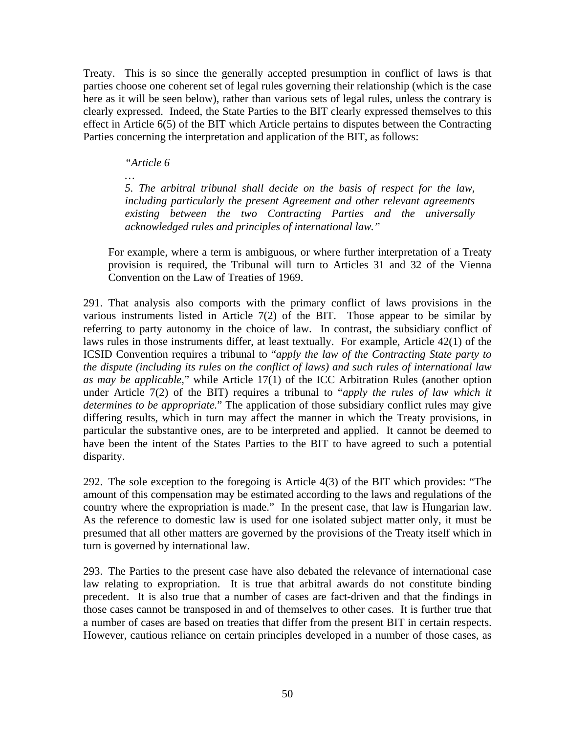Treaty. This is so since the generally accepted presumption in conflict of laws is that parties choose one coherent set of legal rules governing their relationship (which is the case here as it will be seen below), rather than various sets of legal rules, unless the contrary is clearly expressed. Indeed, the State Parties to the BIT clearly expressed themselves to this effect in Article 6(5) of the BIT which Article pertains to disputes between the Contracting Parties concerning the interpretation and application of the BIT, as follows:

#### *"Article 6*

*…* 

*5. The arbitral tribunal shall decide on the basis of respect for the law, including particularly the present Agreement and other relevant agreements existing between the two Contracting Parties and the universally acknowledged rules and principles of international law."* 

For example, where a term is ambiguous, or where further interpretation of a Treaty provision is required, the Tribunal will turn to Articles 31 and 32 of the Vienna Convention on the Law of Treaties of 1969.

291. That analysis also comports with the primary conflict of laws provisions in the various instruments listed in Article 7(2) of the BIT. Those appear to be similar by referring to party autonomy in the choice of law. In contrast, the subsidiary conflict of laws rules in those instruments differ, at least textually. For example, Article 42(1) of the ICSID Convention requires a tribunal to "*apply the law of the Contracting State party to the dispute (including its rules on the conflict of laws) and such rules of international law as may be applicable*," while Article 17(1) of the ICC Arbitration Rules (another option under Article 7(2) of the BIT) requires a tribunal to "*apply the rules of law which it determines to be appropriate.*" The application of those subsidiary conflict rules may give differing results, which in turn may affect the manner in which the Treaty provisions, in particular the substantive ones, are to be interpreted and applied. It cannot be deemed to have been the intent of the States Parties to the BIT to have agreed to such a potential disparity.

292. The sole exception to the foregoing is Article 4(3) of the BIT which provides: "The amount of this compensation may be estimated according to the laws and regulations of the country where the expropriation is made." In the present case, that law is Hungarian law. As the reference to domestic law is used for one isolated subject matter only, it must be presumed that all other matters are governed by the provisions of the Treaty itself which in turn is governed by international law.

293. The Parties to the present case have also debated the relevance of international case law relating to expropriation. It is true that arbitral awards do not constitute binding precedent. It is also true that a number of cases are fact-driven and that the findings in those cases cannot be transposed in and of themselves to other cases. It is further true that a number of cases are based on treaties that differ from the present BIT in certain respects. However, cautious reliance on certain principles developed in a number of those cases, as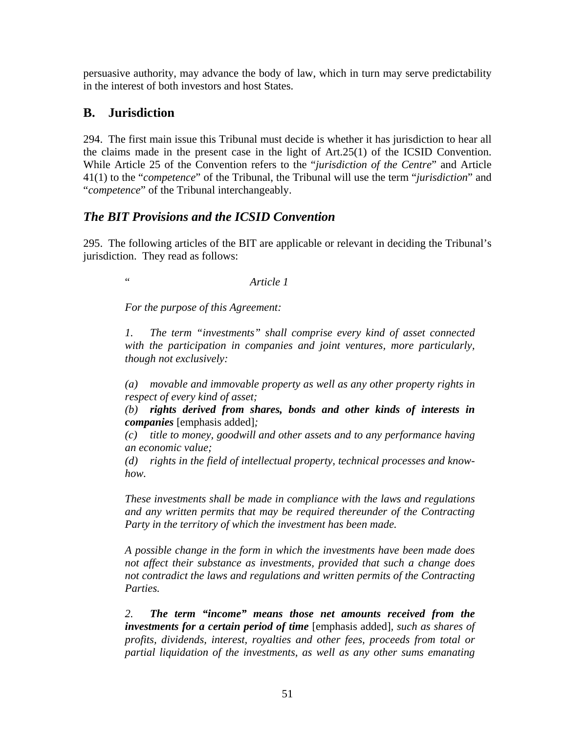persuasive authority, may advance the body of law, which in turn may serve predictability in the interest of both investors and host States.

# **B. Jurisdiction**

294. The first main issue this Tribunal must decide is whether it has jurisdiction to hear all the claims made in the present case in the light of Art.25(1) of the ICSID Convention. While Article 25 of the Convention refers to the "*jurisdiction of the Centre*" and Article 41(1) to the "*competence*" of the Tribunal, the Tribunal will use the term "*jurisdiction*" and "*competence*" of the Tribunal interchangeably.

## *The BIT Provisions and the ICSID Convention*

295. The following articles of the BIT are applicable or relevant in deciding the Tribunal's jurisdiction. They read as follows:

" *Article 1* 

*For the purpose of this Agreement:* 

*1. The term "investments" shall comprise every kind of asset connected with the participation in companies and joint ventures, more particularly, though not exclusively:* 

*(a) movable and immovable property as well as any other property rights in respect of every kind of asset;* 

*(b) rights derived from shares, bonds and other kinds of interests in companies* [emphasis added]*;* 

*(c) title to money, goodwill and other assets and to any performance having an economic value;* 

*(d) rights in the field of intellectual property, technical processes and knowhow.* 

*These investments shall be made in compliance with the laws and regulations and any written permits that may be required thereunder of the Contracting Party in the territory of which the investment has been made.* 

*A possible change in the form in which the investments have been made does not affect their substance as investments, provided that such a change does not contradict the laws and regulations and written permits of the Contracting Parties.* 

*2. The term "income" means those net amounts received from the investments for a certain period of time* [emphasis added]*, such as shares of profits, dividends, interest, royalties and other fees, proceeds from total or partial liquidation of the investments, as well as any other sums emanating*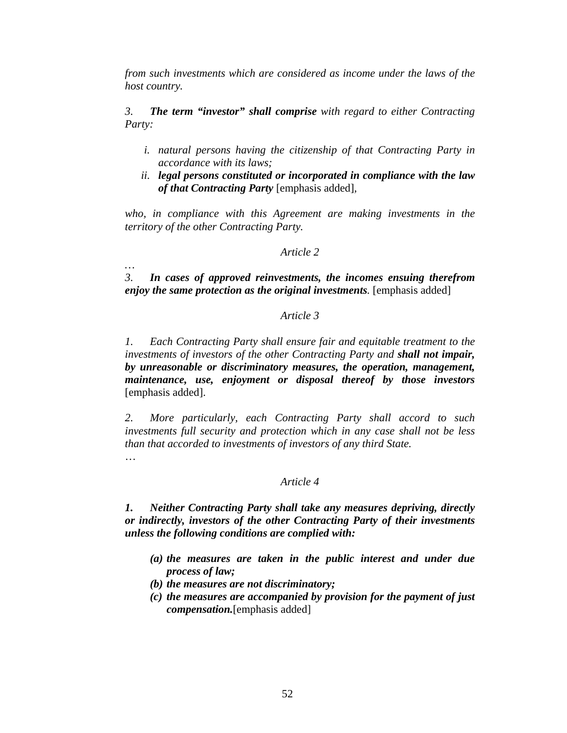*from such investments which are considered as income under the laws of the host country.* 

*3. The term "investor" shall comprise with regard to either Contracting Party:* 

- *i. natural persons having the citizenship of that Contracting Party in accordance with its laws;*
- *ii. legal persons constituted or incorporated in compliance with the law of that Contracting Party* [emphasis added]*,*

*who, in compliance with this Agreement are making investments in the territory of the other Contracting Party.* 

### *Article 2*

*… 3. In cases of approved reinvestments, the incomes ensuing therefrom enjoy the same protection as the original investments.* [emphasis added]

### *Article 3*

*1. Each Contracting Party shall ensure fair and equitable treatment to the investments of investors of the other Contracting Party and shall not impair, by unreasonable or discriminatory measures, the operation, management, maintenance, use, enjoyment or disposal thereof by those investors*  [emphasis added].

*2. More particularly, each Contracting Party shall accord to such investments full security and protection which in any case shall not be less than that accorded to investments of investors of any third State.*  …

#### *Article 4*

*1. Neither Contracting Party shall take any measures depriving, directly or indirectly, investors of the other Contracting Party of their investments unless the following conditions are complied with:* 

- *(a) the measures are taken in the public interest and under due process of law;*
- *(b) the measures are not discriminatory;*
- *(c) the measures are accompanied by provision for the payment of just compensation.*[emphasis added]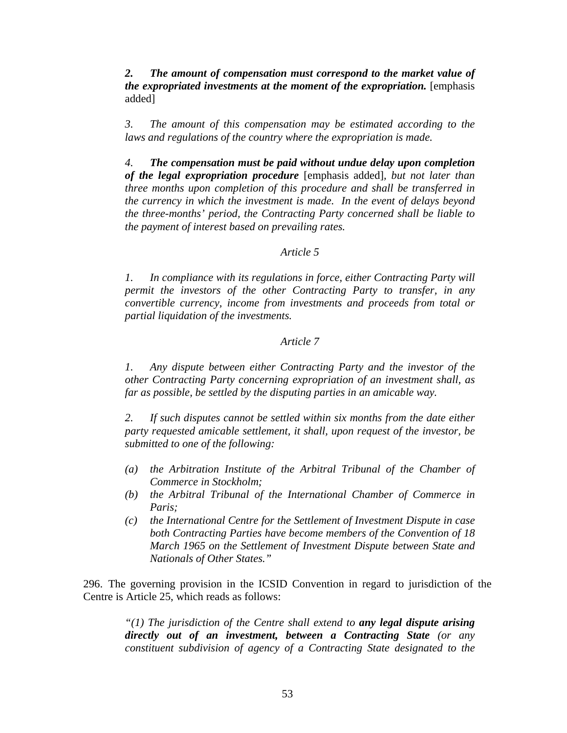*2. The amount of compensation must correspond to the market value of the expropriated investments at the moment of the expropriation.* [emphasis added]

*3. The amount of this compensation may be estimated according to the laws and regulations of the country where the expropriation is made.* 

*4. The compensation must be paid without undue delay upon completion of the legal expropriation procedure* [emphasis added]*, but not later than three months upon completion of this procedure and shall be transferred in the currency in which the investment is made. In the event of delays beyond the three-months' period, the Contracting Party concerned shall be liable to the payment of interest based on prevailing rates.*

#### *Article 5*

*1. In compliance with its regulations in force, either Contracting Party will permit the investors of the other Contracting Party to transfer, in any convertible currency, income from investments and proceeds from total or partial liquidation of the investments.* 

### *Article 7*

*1. Any dispute between either Contracting Party and the investor of the other Contracting Party concerning expropriation of an investment shall, as far as possible, be settled by the disputing parties in an amicable way.* 

*2. If such disputes cannot be settled within six months from the date either party requested amicable settlement, it shall, upon request of the investor, be submitted to one of the following:* 

- *(a) the Arbitration Institute of the Arbitral Tribunal of the Chamber of Commerce in Stockholm;*
- *(b) the Arbitral Tribunal of the International Chamber of Commerce in Paris;*
- *(c) the International Centre for the Settlement of Investment Dispute in case both Contracting Parties have become members of the Convention of 18 March 1965 on the Settlement of Investment Dispute between State and Nationals of Other States."*

296. The governing provision in the ICSID Convention in regard to jurisdiction of the Centre is Article 25, which reads as follows:

*"(1) The jurisdiction of the Centre shall extend to any legal dispute arising directly out of an investment, between a Contracting State (or any constituent subdivision of agency of a Contracting State designated to the*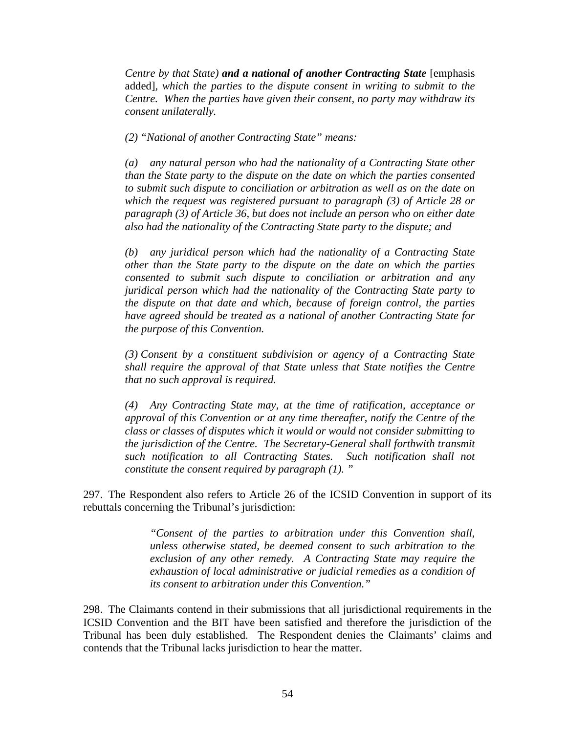*Centre by that State) and a national of another Contracting State* [emphasis added]*, which the parties to the dispute consent in writing to submit to the Centre. When the parties have given their consent, no party may withdraw its consent unilaterally.* 

*(2) "National of another Contracting State" means:* 

*(a) any natural person who had the nationality of a Contracting State other than the State party to the dispute on the date on which the parties consented to submit such dispute to conciliation or arbitration as well as on the date on which the request was registered pursuant to paragraph (3) of Article 28 or paragraph (3) of Article 36, but does not include an person who on either date also had the nationality of the Contracting State party to the dispute; and* 

*(b) any juridical person which had the nationality of a Contracting State other than the State party to the dispute on the date on which the parties consented to submit such dispute to conciliation or arbitration and any juridical person which had the nationality of the Contracting State party to the dispute on that date and which, because of foreign control, the parties have agreed should be treated as a national of another Contracting State for the purpose of this Convention.* 

*(3) Consent by a constituent subdivision or agency of a Contracting State shall require the approval of that State unless that State notifies the Centre that no such approval is required.* 

*(4) Any Contracting State may, at the time of ratification, acceptance or approval of this Convention or at any time thereafter, notify the Centre of the class or classes of disputes which it would or would not consider submitting to the jurisdiction of the Centre. The Secretary-General shall forthwith transmit such notification to all Contracting States. Such notification shall not constitute the consent required by paragraph (1). "* 

297. The Respondent also refers to Article 26 of the ICSID Convention in support of its rebuttals concerning the Tribunal's jurisdiction:

> *"Consent of the parties to arbitration under this Convention shall, unless otherwise stated, be deemed consent to such arbitration to the exclusion of any other remedy. A Contracting State may require the exhaustion of local administrative or judicial remedies as a condition of its consent to arbitration under this Convention."*

298. The Claimants contend in their submissions that all jurisdictional requirements in the ICSID Convention and the BIT have been satisfied and therefore the jurisdiction of the Tribunal has been duly established. The Respondent denies the Claimants' claims and contends that the Tribunal lacks jurisdiction to hear the matter.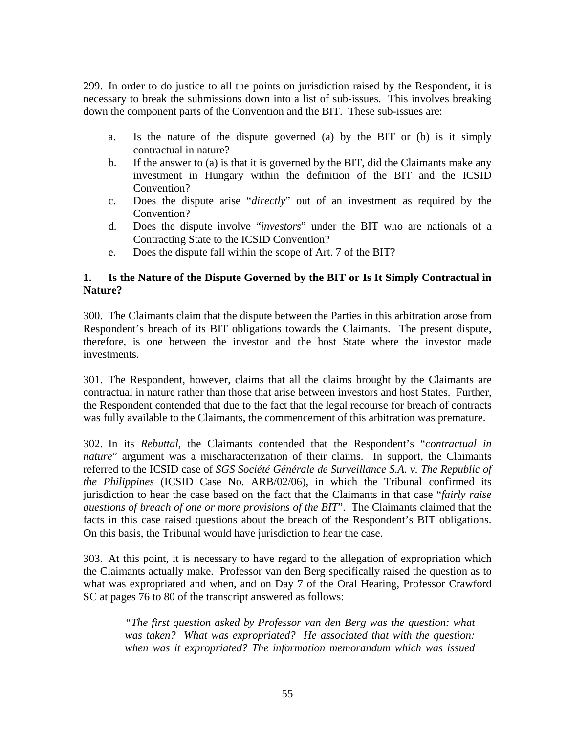299. In order to do justice to all the points on jurisdiction raised by the Respondent, it is necessary to break the submissions down into a list of sub-issues. This involves breaking down the component parts of the Convention and the BIT. These sub-issues are:

- a. Is the nature of the dispute governed (a) by the BIT or (b) is it simply contractual in nature?
- b. If the answer to (a) is that it is governed by the BIT, did the Claimants make any investment in Hungary within the definition of the BIT and the ICSID Convention?
- c. Does the dispute arise "*directly*" out of an investment as required by the Convention?
- d. Does the dispute involve "*investors*" under the BIT who are nationals of a Contracting State to the ICSID Convention?
- e. Does the dispute fall within the scope of Art. 7 of the BIT?

## **1. Is the Nature of the Dispute Governed by the BIT or Is It Simply Contractual in Nature?**

300. The Claimants claim that the dispute between the Parties in this arbitration arose from Respondent's breach of its BIT obligations towards the Claimants. The present dispute, therefore, is one between the investor and the host State where the investor made investments.

301. The Respondent, however, claims that all the claims brought by the Claimants are contractual in nature rather than those that arise between investors and host States. Further, the Respondent contended that due to the fact that the legal recourse for breach of contracts was fully available to the Claimants, the commencement of this arbitration was premature.

302. In its *Rebuttal*, the Claimants contended that the Respondent's "*contractual in nature*" argument was a mischaracterization of their claims. In support, the Claimants referred to the ICSID case of *SGS Société Générale de Surveillance S.A. v. The Republic of the Philippines* (ICSID Case No. ARB/02/06), in which the Tribunal confirmed its jurisdiction to hear the case based on the fact that the Claimants in that case "*fairly raise questions of breach of one or more provisions of the BIT*". The Claimants claimed that the facts in this case raised questions about the breach of the Respondent's BIT obligations. On this basis, the Tribunal would have jurisdiction to hear the case.

303. At this point, it is necessary to have regard to the allegation of expropriation which the Claimants actually make. Professor van den Berg specifically raised the question as to what was expropriated and when, and on Day 7 of the Oral Hearing, Professor Crawford SC at pages 76 to 80 of the transcript answered as follows:

*"The first question asked by Professor van den Berg was the question: what was taken? What was expropriated? He associated that with the question: when was it expropriated? The information memorandum which was issued*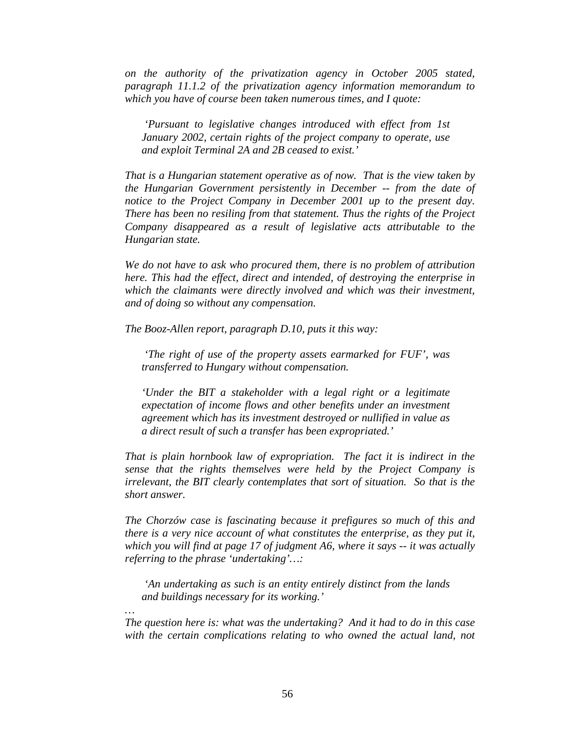*on the authority of the privatization agency in October 2005 stated, paragraph 11.1.2 of the privatization agency information memorandum to which you have of course been taken numerous times, and I quote:* 

 *'Pursuant to legislative changes introduced with effect from 1st January 2002, certain rights of the project company to operate, use and exploit Terminal 2A and 2B ceased to exist.'* 

*That is a Hungarian statement operative as of now. That is the view taken by the Hungarian Government persistently in December -- from the date of notice to the Project Company in December 2001 up to the present day. There has been no resiling from that statement. Thus the rights of the Project Company disappeared as a result of legislative acts attributable to the Hungarian state.* 

*We do not have to ask who procured them, there is no problem of attribution here. This had the effect, direct and intended, of destroying the enterprise in which the claimants were directly involved and which was their investment, and of doing so without any compensation.* 

*The Booz-Allen report, paragraph D.10, puts it this way:* 

 *'The right of use of the property assets earmarked for FUF', was transferred to Hungary without compensation.* 

*'Under the BIT a stakeholder with a legal right or a legitimate expectation of income flows and other benefits under an investment agreement which has its investment destroyed or nullified in value as a direct result of such a transfer has been expropriated.'* 

*That is plain hornbook law of expropriation. The fact it is indirect in the sense that the rights themselves were held by the Project Company is irrelevant, the BIT clearly contemplates that sort of situation. So that is the short answer.* 

*The Chorzów case is fascinating because it prefigures so much of this and there is a very nice account of what constitutes the enterprise, as they put it, which you will find at page 17 of judgment A6, where it says -- it was actually referring to the phrase 'undertaking'…:* 

 *'An undertaking as such is an entity entirely distinct from the lands and buildings necessary for its working.'* 

*…* 

*The question here is: what was the undertaking? And it had to do in this case*  with the certain complications relating to who owned the actual land, not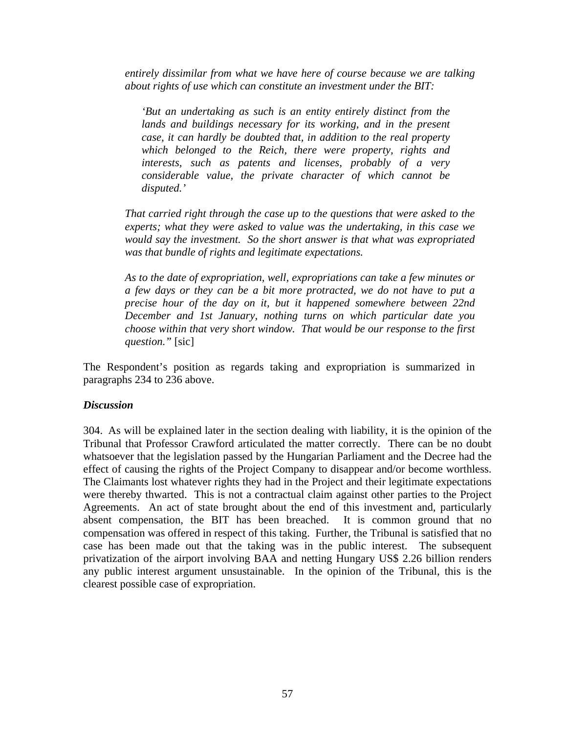*entirely dissimilar from what we have here of course because we are talking about rights of use which can constitute an investment under the BIT:* 

*'But an undertaking as such is an entity entirely distinct from the*  lands and buildings necessary for its working, and in the present *case, it can hardly be doubted that, in addition to the real property which belonged to the Reich, there were property, rights and interests, such as patents and licenses, probably of a very considerable value, the private character of which cannot be disputed.'* 

*That carried right through the case up to the questions that were asked to the experts; what they were asked to value was the undertaking, in this case we would say the investment. So the short answer is that what was expropriated was that bundle of rights and legitimate expectations.* 

*As to the date of expropriation, well, expropriations can take a few minutes or a few days or they can be a bit more protracted, we do not have to put a precise hour of the day on it, but it happened somewhere between 22nd December and 1st January, nothing turns on which particular date you choose within that very short window. That would be our response to the first question."* [sic]

The Respondent's position as regards taking and expropriation is summarized in paragraphs 234 to 236 above.

#### *Discussion*

304. As will be explained later in the section dealing with liability, it is the opinion of the Tribunal that Professor Crawford articulated the matter correctly. There can be no doubt whatsoever that the legislation passed by the Hungarian Parliament and the Decree had the effect of causing the rights of the Project Company to disappear and/or become worthless. The Claimants lost whatever rights they had in the Project and their legitimate expectations were thereby thwarted. This is not a contractual claim against other parties to the Project Agreements. An act of state brought about the end of this investment and, particularly absent compensation, the BIT has been breached. It is common ground that no compensation was offered in respect of this taking. Further, the Tribunal is satisfied that no case has been made out that the taking was in the public interest. The subsequent privatization of the airport involving BAA and netting Hungary US\$ 2.26 billion renders any public interest argument unsustainable. In the opinion of the Tribunal, this is the clearest possible case of expropriation.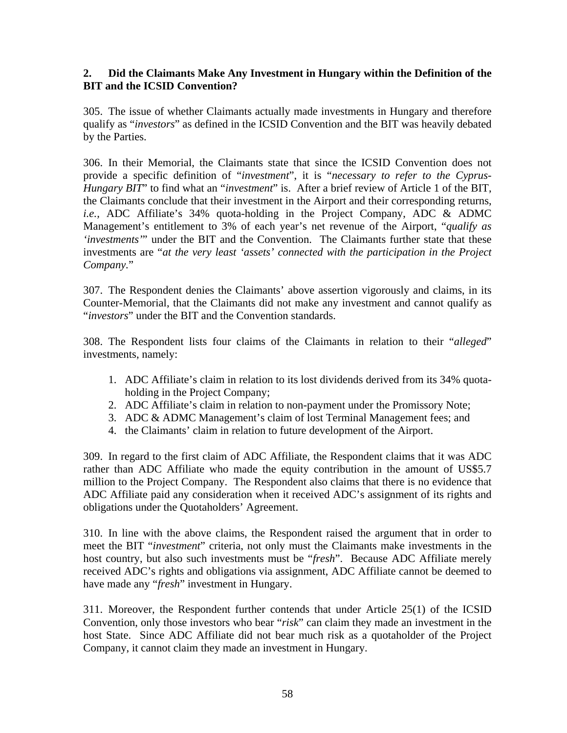### **2. Did the Claimants Make Any Investment in Hungary within the Definition of the BIT and the ICSID Convention?**

305. The issue of whether Claimants actually made investments in Hungary and therefore qualify as "*investors*" as defined in the ICSID Convention and the BIT was heavily debated by the Parties.

306. In their Memorial, the Claimants state that since the ICSID Convention does not provide a specific definition of "*investment*", it is "*necessary to refer to the Cyprus-Hungary BIT*" to find what an "*investment*" is. After a brief review of Article 1 of the BIT, the Claimants conclude that their investment in the Airport and their corresponding returns, *i.e.,* ADC Affiliate's 34% quota-holding in the Project Company, ADC & ADMC Management's entitlement to 3% of each year's net revenue of the Airport, "*qualify as 'investments'*" under the BIT and the Convention. The Claimants further state that these investments are "*at the very least 'assets' connected with the participation in the Project Company.*"

307. The Respondent denies the Claimants' above assertion vigorously and claims, in its Counter-Memorial, that the Claimants did not make any investment and cannot qualify as "*investors*" under the BIT and the Convention standards.

308. The Respondent lists four claims of the Claimants in relation to their "*alleged*" investments, namely:

- 1. ADC Affiliate's claim in relation to its lost dividends derived from its 34% quotaholding in the Project Company;
- 2. ADC Affiliate's claim in relation to non-payment under the Promissory Note;
- 3. ADC & ADMC Management's claim of lost Terminal Management fees; and
- 4. the Claimants' claim in relation to future development of the Airport.

309. In regard to the first claim of ADC Affiliate, the Respondent claims that it was ADC rather than ADC Affiliate who made the equity contribution in the amount of US\$5.7 million to the Project Company. The Respondent also claims that there is no evidence that ADC Affiliate paid any consideration when it received ADC's assignment of its rights and obligations under the Quotaholders' Agreement.

310. In line with the above claims, the Respondent raised the argument that in order to meet the BIT "*investment*" criteria, not only must the Claimants make investments in the host country, but also such investments must be "*fresh*". Because ADC Affiliate merely received ADC's rights and obligations via assignment, ADC Affiliate cannot be deemed to have made any "*fresh*" investment in Hungary.

311. Moreover, the Respondent further contends that under Article 25(1) of the ICSID Convention, only those investors who bear "*risk*" can claim they made an investment in the host State. Since ADC Affiliate did not bear much risk as a quotaholder of the Project Company, it cannot claim they made an investment in Hungary.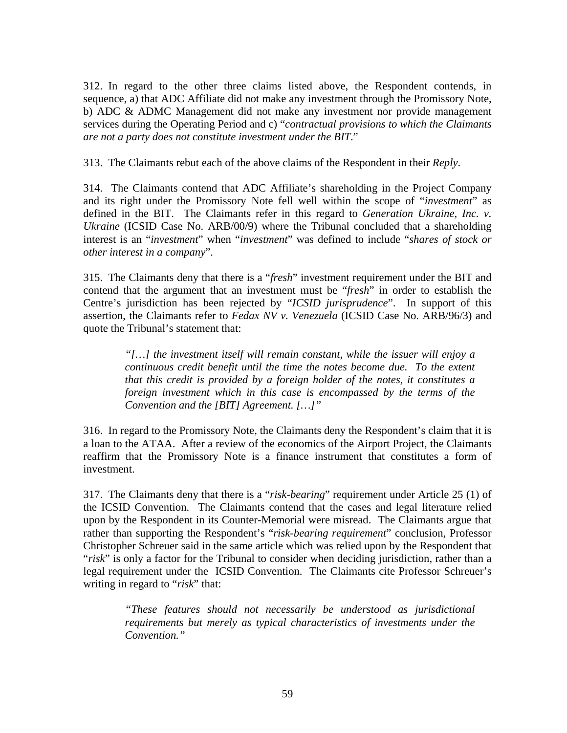312. In regard to the other three claims listed above, the Respondent contends, in sequence, a) that ADC Affiliate did not make any investment through the Promissory Note, b) ADC & ADMC Management did not make any investment nor provide management services during the Operating Period and c) "*contractual provisions to which the Claimants are not a party does not constitute investment under the BIT*."

313. The Claimants rebut each of the above claims of the Respondent in their *Reply*.

314. The Claimants contend that ADC Affiliate's shareholding in the Project Company and its right under the Promissory Note fell well within the scope of "*investment*" as defined in the BIT. The Claimants refer in this regard to *Generation Ukraine, Inc. v. Ukraine* (ICSID Case No. ARB/00/9) where the Tribunal concluded that a shareholding interest is an "*investment*" when "*investment*" was defined to include "*shares of stock or other interest in a company*".

315. The Claimants deny that there is a "*fresh*" investment requirement under the BIT and contend that the argument that an investment must be "*fresh*" in order to establish the Centre's jurisdiction has been rejected by "*ICSID jurisprudence*". In support of this assertion, the Claimants refer to *Fedax NV v. Venezuela* (ICSID Case No. ARB/96/3) and quote the Tribunal's statement that:

*"[…] the investment itself will remain constant, while the issuer will enjoy a continuous credit benefit until the time the notes become due. To the extent that this credit is provided by a foreign holder of the notes, it constitutes a foreign investment which in this case is encompassed by the terms of the Convention and the [BIT] Agreement. […]"* 

316. In regard to the Promissory Note, the Claimants deny the Respondent's claim that it is a loan to the ATAA. After a review of the economics of the Airport Project, the Claimants reaffirm that the Promissory Note is a finance instrument that constitutes a form of investment.

317. The Claimants deny that there is a "*risk-bearing*" requirement under Article 25 (1) of the ICSID Convention. The Claimants contend that the cases and legal literature relied upon by the Respondent in its Counter-Memorial were misread. The Claimants argue that rather than supporting the Respondent's "*risk-bearing requirement*" conclusion, Professor Christopher Schreuer said in the same article which was relied upon by the Respondent that "*risk*" is only a factor for the Tribunal to consider when deciding jurisdiction, rather than a legal requirement under the ICSID Convention. The Claimants cite Professor Schreuer's writing in regard to "*risk*" that:

*"These features should not necessarily be understood as jurisdictional requirements but merely as typical characteristics of investments under the Convention."*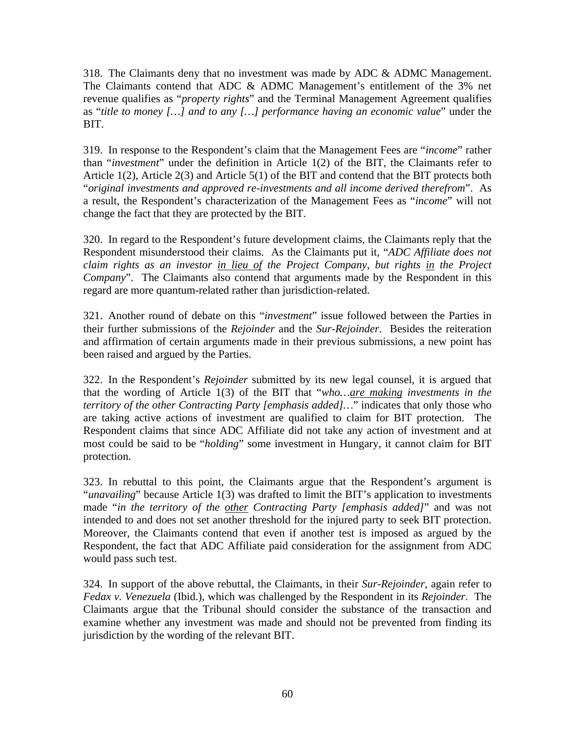318. The Claimants deny that no investment was made by ADC & ADMC Management. The Claimants contend that ADC & ADMC Management's entitlement of the 3% net revenue qualifies as "*property rights*" and the Terminal Management Agreement qualifies as "*title to money […] and to any […] performance having an economic value*" under the BIT.

319. In response to the Respondent's claim that the Management Fees are "*income*" rather than "*investment*" under the definition in Article 1(2) of the BIT, the Claimants refer to Article 1(2), Article 2(3) and Article 5(1) of the BIT and contend that the BIT protects both "*original investments and approved re-investments and all income derived therefrom*". As a result, the Respondent's characterization of the Management Fees as "*income*" will not change the fact that they are protected by the BIT.

320. In regard to the Respondent's future development claims, the Claimants reply that the Respondent misunderstood their claims. As the Claimants put it, "*ADC Affiliate does not claim rights as an investor in lieu of the Project Company, but rights in the Project Company*". The Claimants also contend that arguments made by the Respondent in this regard are more quantum-related rather than jurisdiction-related.

321. Another round of debate on this "*investment*" issue followed between the Parties in their further submissions of the *Rejoinder* and the *Sur-Rejoinder*. Besides the reiteration and affirmation of certain arguments made in their previous submissions, a new point has been raised and argued by the Parties.

322. In the Respondent's *Rejoinder* submitted by its new legal counsel, it is argued that that the wording of Article 1(3) of the BIT that "*who…are making investments in the territory of the other Contracting Party [emphasis added]…*" indicates that only those who are taking active actions of investment are qualified to claim for BIT protection. The Respondent claims that since ADC Affiliate did not take any action of investment and at most could be said to be "*holding*" some investment in Hungary, it cannot claim for BIT protection.

323. In rebuttal to this point, the Claimants argue that the Respondent's argument is "*unavailing*" because Article 1(3) was drafted to limit the BIT's application to investments made "*in the territory of the other Contracting Party [emphasis added]*" and was not intended to and does not set another threshold for the injured party to seek BIT protection. Moreover, the Claimants contend that even if another test is imposed as argued by the Respondent, the fact that ADC Affiliate paid consideration for the assignment from ADC would pass such test.

324. In support of the above rebuttal, the Claimants, in their *Sur-Rejoinder*, again refer to *Fedax v. Venezuela* (Ibid.), which was challenged by the Respondent in its *Rejoinder*. The Claimants argue that the Tribunal should consider the substance of the transaction and examine whether any investment was made and should not be prevented from finding its jurisdiction by the wording of the relevant BIT.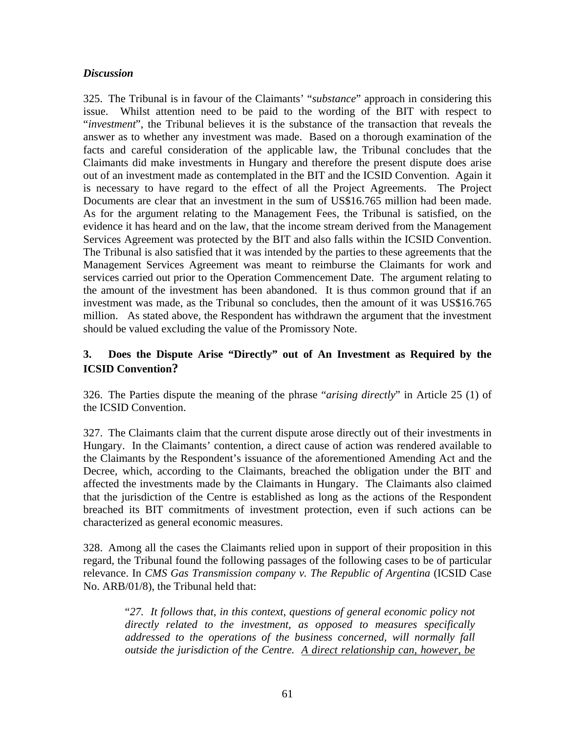### *Discussion*

325. The Tribunal is in favour of the Claimants' "*substance*" approach in considering this issue. Whilst attention need to be paid to the wording of the BIT with respect to "*investment*", the Tribunal believes it is the substance of the transaction that reveals the answer as to whether any investment was made. Based on a thorough examination of the facts and careful consideration of the applicable law, the Tribunal concludes that the Claimants did make investments in Hungary and therefore the present dispute does arise out of an investment made as contemplated in the BIT and the ICSID Convention. Again it is necessary to have regard to the effect of all the Project Agreements. The Project Documents are clear that an investment in the sum of US\$16.765 million had been made. As for the argument relating to the Management Fees, the Tribunal is satisfied, on the evidence it has heard and on the law, that the income stream derived from the Management Services Agreement was protected by the BIT and also falls within the ICSID Convention. The Tribunal is also satisfied that it was intended by the parties to these agreements that the Management Services Agreement was meant to reimburse the Claimants for work and services carried out prior to the Operation Commencement Date. The argument relating to the amount of the investment has been abandoned. It is thus common ground that if an investment was made, as the Tribunal so concludes, then the amount of it was US\$16.765 million. As stated above, the Respondent has withdrawn the argument that the investment should be valued excluding the value of the Promissory Note.

## **3. Does the Dispute Arise "Directly" out of An Investment as Required by the ICSID Convention?**

326. The Parties dispute the meaning of the phrase "*arising directly*" in Article 25 (1) of the ICSID Convention.

327. The Claimants claim that the current dispute arose directly out of their investments in Hungary. In the Claimants' contention, a direct cause of action was rendered available to the Claimants by the Respondent's issuance of the aforementioned Amending Act and the Decree, which, according to the Claimants, breached the obligation under the BIT and affected the investments made by the Claimants in Hungary. The Claimants also claimed that the jurisdiction of the Centre is established as long as the actions of the Respondent breached its BIT commitments of investment protection, even if such actions can be characterized as general economic measures.

328. Among all the cases the Claimants relied upon in support of their proposition in this regard, the Tribunal found the following passages of the following cases to be of particular relevance. In *CMS Gas Transmission company v. The Republic of Argentina* (ICSID Case No. ARB/01/8), the Tribunal held that:

"*27. It follows that, in this context, questions of general economic policy not directly related to the investment, as opposed to measures specifically addressed to the operations of the business concerned, will normally fall outside the jurisdiction of the Centre. A direct relationship can, however, be*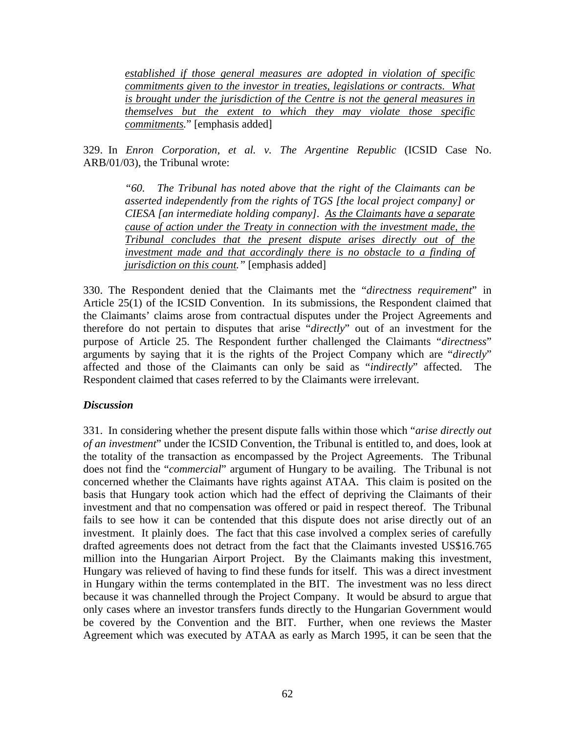*established if those general measures are adopted in violation of specific commitments given to the investor in treaties, legislations or contracts. What is brought under the jurisdiction of the Centre is not the general measures in themselves but the extent to which they may violate those specific commitments.*" [emphasis added]

329. In *Enron Corporation, et al. v. The Argentine Republic* (ICSID Case No. ARB/01/03), the Tribunal wrote:

*"60. The Tribunal has noted above that the right of the Claimants can be asserted independently from the rights of TGS [the local project company] or CIESA [an intermediate holding company]. As the Claimants have a separate cause of action under the Treaty in connection with the investment made, the Tribunal concludes that the present dispute arises directly out of the investment made and that accordingly there is no obstacle to a finding of jurisdiction on this count."* [emphasis added]

330. The Respondent denied that the Claimants met the "*directness requirement*" in Article 25(1) of the ICSID Convention. In its submissions, the Respondent claimed that the Claimants' claims arose from contractual disputes under the Project Agreements and therefore do not pertain to disputes that arise "*directly*" out of an investment for the purpose of Article 25. The Respondent further challenged the Claimants "*directness*" arguments by saying that it is the rights of the Project Company which are "*directly*" affected and those of the Claimants can only be said as "*indirectly*" affected. The Respondent claimed that cases referred to by the Claimants were irrelevant.

## *Discussion*

331. In considering whether the present dispute falls within those which "*arise directly out of an investment*" under the ICSID Convention, the Tribunal is entitled to, and does, look at the totality of the transaction as encompassed by the Project Agreements. The Tribunal does not find the "*commercial*" argument of Hungary to be availing. The Tribunal is not concerned whether the Claimants have rights against ATAA. This claim is posited on the basis that Hungary took action which had the effect of depriving the Claimants of their investment and that no compensation was offered or paid in respect thereof. The Tribunal fails to see how it can be contended that this dispute does not arise directly out of an investment. It plainly does. The fact that this case involved a complex series of carefully drafted agreements does not detract from the fact that the Claimants invested US\$16.765 million into the Hungarian Airport Project. By the Claimants making this investment, Hungary was relieved of having to find these funds for itself. This was a direct investment in Hungary within the terms contemplated in the BIT. The investment was no less direct because it was channelled through the Project Company. It would be absurd to argue that only cases where an investor transfers funds directly to the Hungarian Government would be covered by the Convention and the BIT. Further, when one reviews the Master Agreement which was executed by ATAA as early as March 1995, it can be seen that the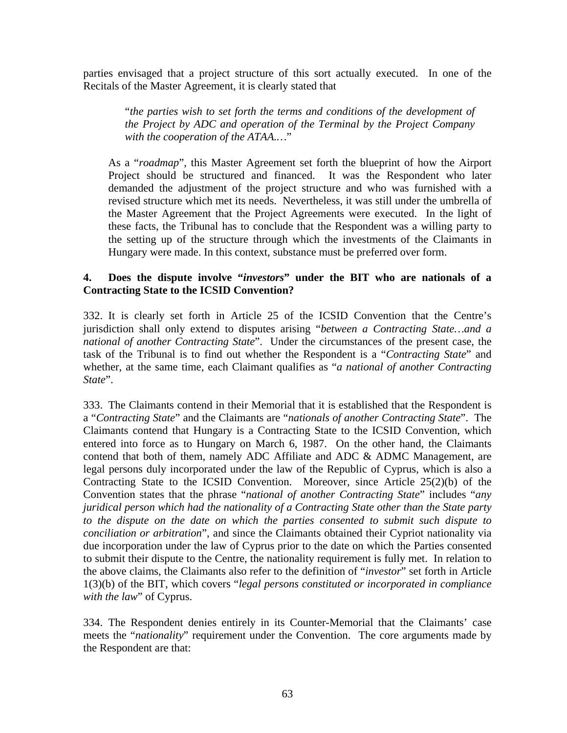parties envisaged that a project structure of this sort actually executed. In one of the Recitals of the Master Agreement, it is clearly stated that

"*the parties wish to set forth the terms and conditions of the development of the Project by ADC and operation of the Terminal by the Project Company with the cooperation of the ATAA.…*"

As a "*roadmap*", this Master Agreement set forth the blueprint of how the Airport Project should be structured and financed. It was the Respondent who later demanded the adjustment of the project structure and who was furnished with a revised structure which met its needs. Nevertheless, it was still under the umbrella of the Master Agreement that the Project Agreements were executed. In the light of these facts, the Tribunal has to conclude that the Respondent was a willing party to the setting up of the structure through which the investments of the Claimants in Hungary were made. In this context, substance must be preferred over form.

### **4. Does the dispute involve "***investors***" under the BIT who are nationals of a Contracting State to the ICSID Convention?**

332. It is clearly set forth in Article 25 of the ICSID Convention that the Centre's jurisdiction shall only extend to disputes arising "*between a Contracting State…and a national of another Contracting State*". Under the circumstances of the present case, the task of the Tribunal is to find out whether the Respondent is a "*Contracting State*" and whether, at the same time, each Claimant qualifies as "*a national of another Contracting State*".

333. The Claimants contend in their Memorial that it is established that the Respondent is a "*Contracting State*" and the Claimants are "*nationals of another Contracting State*". The Claimants contend that Hungary is a Contracting State to the ICSID Convention, which entered into force as to Hungary on March 6, 1987. On the other hand, the Claimants contend that both of them, namely ADC Affiliate and ADC & ADMC Management, are legal persons duly incorporated under the law of the Republic of Cyprus, which is also a Contracting State to the ICSID Convention. Moreover, since Article 25(2)(b) of the Convention states that the phrase "*national of another Contracting State*" includes "*any juridical person which had the nationality of a Contracting State other than the State party to the dispute on the date on which the parties consented to submit such dispute to conciliation or arbitration*", and since the Claimants obtained their Cypriot nationality via due incorporation under the law of Cyprus prior to the date on which the Parties consented to submit their dispute to the Centre, the nationality requirement is fully met. In relation to the above claims, the Claimants also refer to the definition of "*investor*" set forth in Article 1(3)(b) of the BIT, which covers "*legal persons constituted or incorporated in compliance with the law*" of Cyprus.

334. The Respondent denies entirely in its Counter-Memorial that the Claimants' case meets the "*nationality*" requirement under the Convention. The core arguments made by the Respondent are that: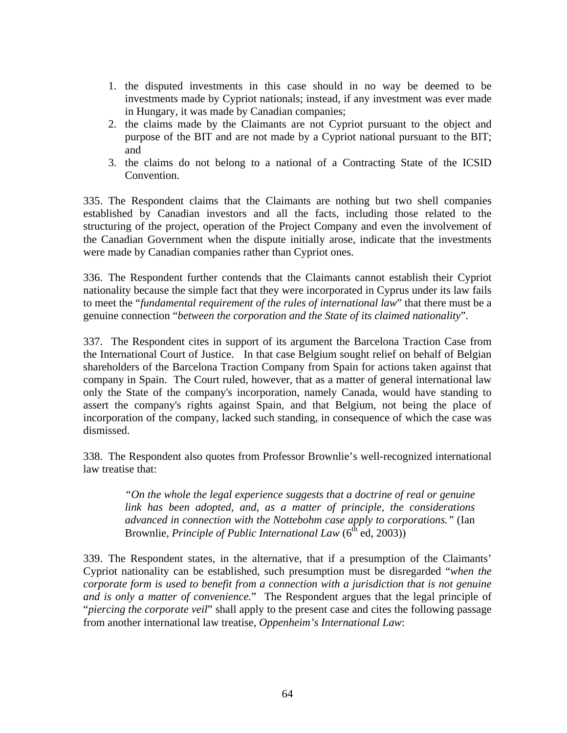- 1. the disputed investments in this case should in no way be deemed to be investments made by Cypriot nationals; instead, if any investment was ever made in Hungary, it was made by Canadian companies;
- 2. the claims made by the Claimants are not Cypriot pursuant to the object and purpose of the BIT and are not made by a Cypriot national pursuant to the BIT; and
- 3. the claims do not belong to a national of a Contracting State of the ICSID Convention.

335. The Respondent claims that the Claimants are nothing but two shell companies established by Canadian investors and all the facts, including those related to the structuring of the project, operation of the Project Company and even the involvement of the Canadian Government when the dispute initially arose, indicate that the investments were made by Canadian companies rather than Cypriot ones.

336. The Respondent further contends that the Claimants cannot establish their Cypriot nationality because the simple fact that they were incorporated in Cyprus under its law fails to meet the "*fundamental requirement of the rules of international law*" that there must be a genuine connection "*between the corporation and the State of its claimed nationality*".

337. The Respondent cites in support of its argument the Barcelona Traction Case from the International Court of Justice. In that case Belgium sought relief on behalf of Belgian shareholders of the Barcelona Traction Company from Spain for actions taken against that company in Spain. The Court ruled, however, that as a matter of general international law only the State of the company's incorporation, namely Canada, would have standing to assert the company's rights against Spain, and that Belgium, not being the place of incorporation of the company, lacked such standing, in consequence of which the case was dismissed.

338. The Respondent also quotes from Professor Brownlie's well-recognized international law treatise that:

*"On the whole the legal experience suggests that a doctrine of real or genuine link has been adopted, and, as a matter of principle, the considerations advanced in connection with the Nottebohm case apply to corporations."* (Ian Brownlie, *Principle of Public International Law* (6<sup>th</sup> ed, 2003))

339. The Respondent states, in the alternative, that if a presumption of the Claimants' Cypriot nationality can be established, such presumption must be disregarded "*when the corporate form is used to benefit from a connection with a jurisdiction that is not genuine and is only a matter of convenience.*" The Respondent argues that the legal principle of "*piercing the corporate veil*" shall apply to the present case and cites the following passage from another international law treatise, *Oppenheim's International Law*: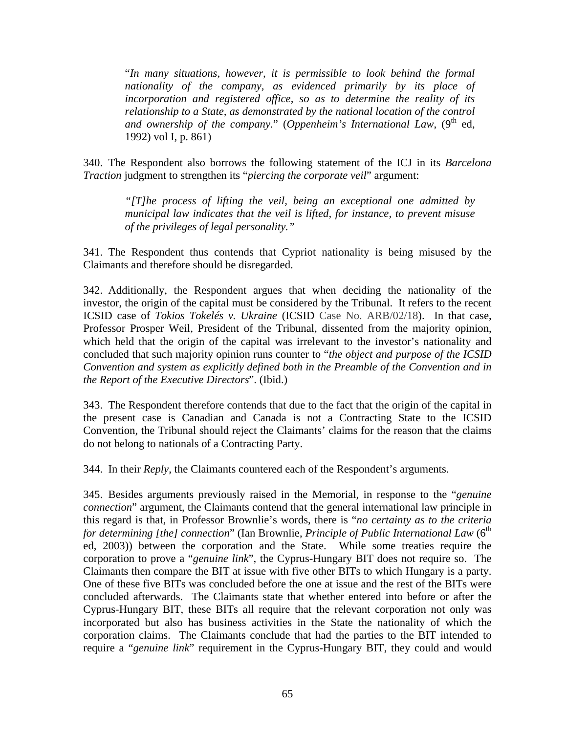"*In many situations, however, it is permissible to look behind the formal nationality of the company, as evidenced primarily by its place of incorporation and registered office, so as to determine the reality of its relationship to a State, as demonstrated by the national location of the control and ownership of the company.*" (*Oppenheim's International Law*, (9<sup>th</sup> ed, 1992) vol I, p. 861)

340. The Respondent also borrows the following statement of the ICJ in its *Barcelona Traction* judgment to strengthen its "*piercing the corporate veil*" argument:

*"[T]he process of lifting the veil, being an exceptional one admitted by municipal law indicates that the veil is lifted, for instance, to prevent misuse of the privileges of legal personality."* 

341. The Respondent thus contends that Cypriot nationality is being misused by the Claimants and therefore should be disregarded.

342. Additionally, the Respondent argues that when deciding the nationality of the investor, the origin of the capital must be considered by the Tribunal. It refers to the recent ICSID case of *Tokios Tokelés v. Ukraine* (ICSID Case No. ARB/02/18). In that case, Professor Prosper Weil, President of the Tribunal, dissented from the majority opinion, which held that the origin of the capital was irrelevant to the investor's nationality and concluded that such majority opinion runs counter to "*the object and purpose of the ICSID Convention and system as explicitly defined both in the Preamble of the Convention and in the Report of the Executive Directors*". (Ibid.)

343. The Respondent therefore contends that due to the fact that the origin of the capital in the present case is Canadian and Canada is not a Contracting State to the ICSID Convention, the Tribunal should reject the Claimants' claims for the reason that the claims do not belong to nationals of a Contracting Party.

344. In their *Reply*, the Claimants countered each of the Respondent's arguments.

345. Besides arguments previously raised in the Memorial, in response to the "*genuine connection*" argument, the Claimants contend that the general international law principle in this regard is that, in Professor Brownlie's words, there is "*no certainty as to the criteria for determining [the] connection*" (Ian Brownlie, *Principle of Public International Law* (6<sup>th</sup>) ed, 2003)) between the corporation and the State. While some treaties require the corporation to prove a "*genuine link*", the Cyprus-Hungary BIT does not require so. The Claimants then compare the BIT at issue with five other BITs to which Hungary is a party. One of these five BITs was concluded before the one at issue and the rest of the BITs were concluded afterwards. The Claimants state that whether entered into before or after the Cyprus-Hungary BIT, these BITs all require that the relevant corporation not only was incorporated but also has business activities in the State the nationality of which the corporation claims. The Claimants conclude that had the parties to the BIT intended to require a "*genuine link*" requirement in the Cyprus-Hungary BIT, they could and would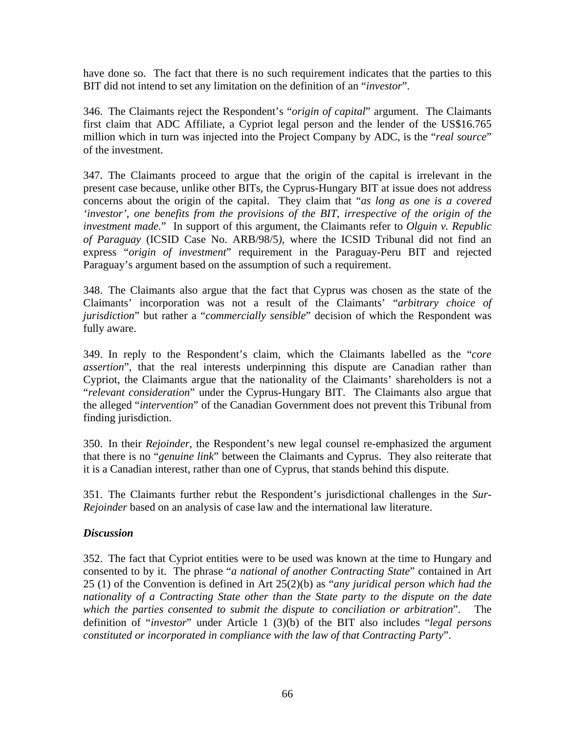have done so. The fact that there is no such requirement indicates that the parties to this BIT did not intend to set any limitation on the definition of an "*investor*".

346. The Claimants reject the Respondent's "*origin of capital*" argument. The Claimants first claim that ADC Affiliate, a Cypriot legal person and the lender of the US\$16.765 million which in turn was injected into the Project Company by ADC, is the "*real source*" of the investment.

347. The Claimants proceed to argue that the origin of the capital is irrelevant in the present case because, unlike other BITs, the Cyprus-Hungary BIT at issue does not address concerns about the origin of the capital. They claim that "*as long as one is a covered 'investor', one benefits from the provisions of the BIT, irrespective of the origin of the investment made.*" In support of this argument, the Claimants refer to *Olguin v. Republic of Paraguay* (ICSID Case No. ARB/98/5*),* where the ICSID Tribunal did not find an express "*origin of investment*" requirement in the Paraguay-Peru BIT and rejected Paraguay's argument based on the assumption of such a requirement.

348. The Claimants also argue that the fact that Cyprus was chosen as the state of the Claimants' incorporation was not a result of the Claimants' "*arbitrary choice of jurisdiction*" but rather a "*commercially sensible*" decision of which the Respondent was fully aware.

349. In reply to the Respondent's claim, which the Claimants labelled as the "*core assertion*", that the real interests underpinning this dispute are Canadian rather than Cypriot, the Claimants argue that the nationality of the Claimants' shareholders is not a "*relevant consideration*" under the Cyprus-Hungary BIT. The Claimants also argue that the alleged "*intervention*" of the Canadian Government does not prevent this Tribunal from finding jurisdiction.

350. In their *Rejoinder*, the Respondent's new legal counsel re-emphasized the argument that there is no "*genuine link*" between the Claimants and Cyprus. They also reiterate that it is a Canadian interest, rather than one of Cyprus, that stands behind this dispute.

351. The Claimants further rebut the Respondent's jurisdictional challenges in the *Sur-Rejoinder* based on an analysis of case law and the international law literature.

## *Discussion*

352. The fact that Cypriot entities were to be used was known at the time to Hungary and consented to by it. The phrase "*a national of another Contracting State*" contained in Art 25 (1) of the Convention is defined in Art 25(2)(b) as "*any juridical person which had the nationality of a Contracting State other than the State party to the dispute on the date which the parties consented to submit the dispute to conciliation or arbitration*". The definition of "*investor*" under Article 1 (3)(b) of the BIT also includes "*legal persons constituted or incorporated in compliance with the law of that Contracting Party*".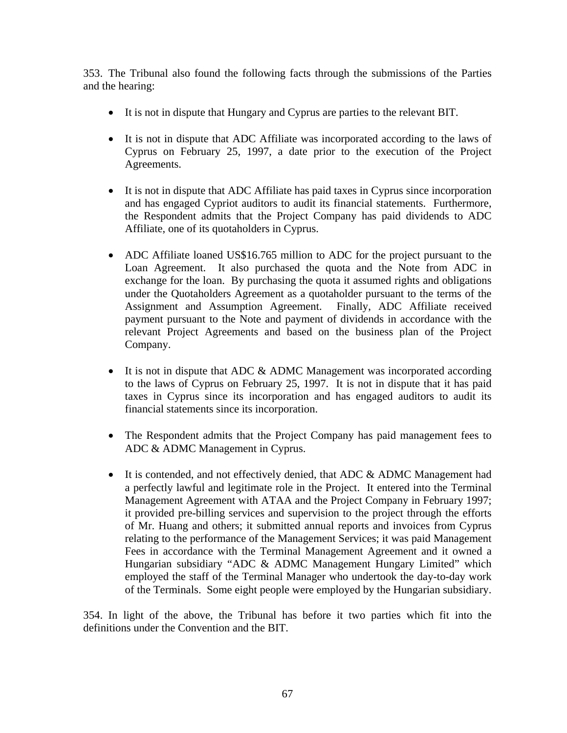353. The Tribunal also found the following facts through the submissions of the Parties and the hearing:

- It is not in dispute that Hungary and Cyprus are parties to the relevant BIT.
- It is not in dispute that ADC Affiliate was incorporated according to the laws of Cyprus on February 25, 1997, a date prior to the execution of the Project Agreements.
- It is not in dispute that ADC Affiliate has paid taxes in Cyprus since incorporation and has engaged Cypriot auditors to audit its financial statements. Furthermore, the Respondent admits that the Project Company has paid dividends to ADC Affiliate, one of its quotaholders in Cyprus.
- ADC Affiliate loaned US\$16.765 million to ADC for the project pursuant to the Loan Agreement. It also purchased the quota and the Note from ADC in exchange for the loan. By purchasing the quota it assumed rights and obligations under the Quotaholders Agreement as a quotaholder pursuant to the terms of the Assignment and Assumption Agreement. Finally, ADC Affiliate received payment pursuant to the Note and payment of dividends in accordance with the relevant Project Agreements and based on the business plan of the Project Company.
- It is not in dispute that ADC & ADMC Management was incorporated according to the laws of Cyprus on February 25, 1997. It is not in dispute that it has paid taxes in Cyprus since its incorporation and has engaged auditors to audit its financial statements since its incorporation.
- The Respondent admits that the Project Company has paid management fees to ADC & ADMC Management in Cyprus.
- It is contended, and not effectively denied, that ADC & ADMC Management had a perfectly lawful and legitimate role in the Project. It entered into the Terminal Management Agreement with ATAA and the Project Company in February 1997; it provided pre-billing services and supervision to the project through the efforts of Mr. Huang and others; it submitted annual reports and invoices from Cyprus relating to the performance of the Management Services; it was paid Management Fees in accordance with the Terminal Management Agreement and it owned a Hungarian subsidiary "ADC & ADMC Management Hungary Limited" which employed the staff of the Terminal Manager who undertook the day-to-day work of the Terminals. Some eight people were employed by the Hungarian subsidiary.

354. In light of the above, the Tribunal has before it two parties which fit into the definitions under the Convention and the BIT.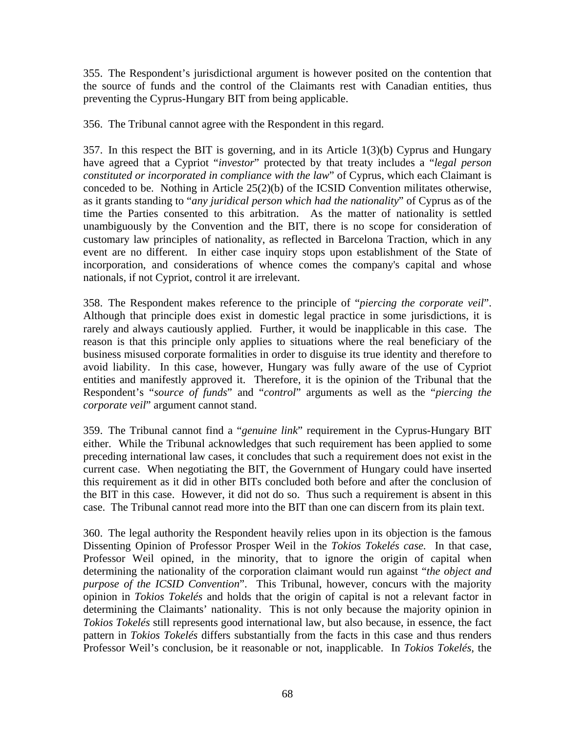355. The Respondent's jurisdictional argument is however posited on the contention that the source of funds and the control of the Claimants rest with Canadian entities, thus preventing the Cyprus-Hungary BIT from being applicable.

356. The Tribunal cannot agree with the Respondent in this regard.

357. In this respect the BIT is governing, and in its Article 1(3)(b) Cyprus and Hungary have agreed that a Cypriot "*investor*" protected by that treaty includes a "*legal person constituted or incorporated in compliance with the law*" of Cyprus, which each Claimant is conceded to be. Nothing in Article 25(2)(b) of the ICSID Convention militates otherwise, as it grants standing to "*any juridical person which had the nationality*" of Cyprus as of the time the Parties consented to this arbitration. As the matter of nationality is settled unambiguously by the Convention and the BIT, there is no scope for consideration of customary law principles of nationality, as reflected in Barcelona Traction, which in any event are no different. In either case inquiry stops upon establishment of the State of incorporation, and considerations of whence comes the company's capital and whose nationals, if not Cypriot, control it are irrelevant.

358. The Respondent makes reference to the principle of "*piercing the corporate veil*". Although that principle does exist in domestic legal practice in some jurisdictions, it is rarely and always cautiously applied. Further, it would be inapplicable in this case. The reason is that this principle only applies to situations where the real beneficiary of the business misused corporate formalities in order to disguise its true identity and therefore to avoid liability. In this case, however, Hungary was fully aware of the use of Cypriot entities and manifestly approved it. Therefore, it is the opinion of the Tribunal that the Respondent's "*source of funds*" and "*control*" arguments as well as the "*piercing the corporate veil*" argument cannot stand.

359. The Tribunal cannot find a "*genuine link*" requirement in the Cyprus-Hungary BIT either. While the Tribunal acknowledges that such requirement has been applied to some preceding international law cases, it concludes that such a requirement does not exist in the current case. When negotiating the BIT, the Government of Hungary could have inserted this requirement as it did in other BITs concluded both before and after the conclusion of the BIT in this case. However, it did not do so. Thus such a requirement is absent in this case. The Tribunal cannot read more into the BIT than one can discern from its plain text.

360. The legal authority the Respondent heavily relies upon in its objection is the famous Dissenting Opinion of Professor Prosper Weil in the *Tokios Tokelés case.* In that case, Professor Weil opined, in the minority, that to ignore the origin of capital when determining the nationality of the corporation claimant would run against "*the object and purpose of the ICSID Convention*". This Tribunal, however, concurs with the majority opinion in *Tokios Tokelés* and holds that the origin of capital is not a relevant factor in determining the Claimants' nationality. This is not only because the majority opinion in *Tokios Tokelés* still represents good international law, but also because, in essence, the fact pattern in *Tokios Tokelés* differs substantially from the facts in this case and thus renders Professor Weil's conclusion, be it reasonable or not, inapplicable. In *Tokios Tokelés,* the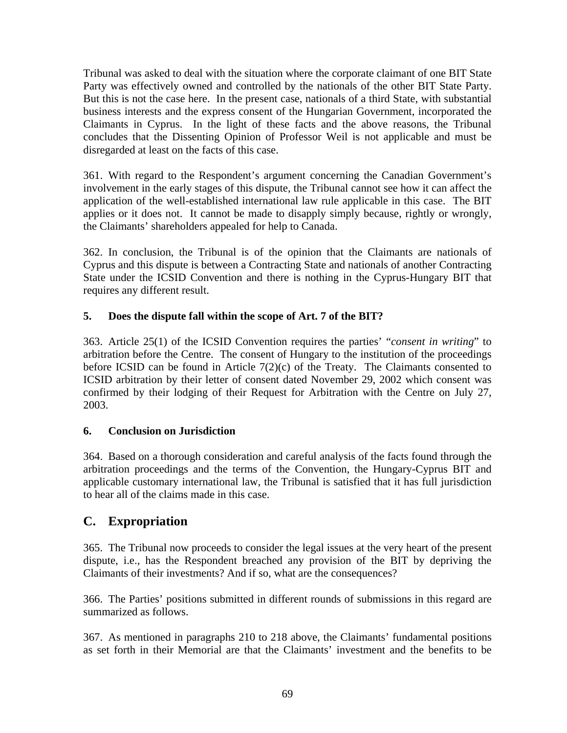Tribunal was asked to deal with the situation where the corporate claimant of one BIT State Party was effectively owned and controlled by the nationals of the other BIT State Party. But this is not the case here. In the present case, nationals of a third State, with substantial business interests and the express consent of the Hungarian Government, incorporated the Claimants in Cyprus. In the light of these facts and the above reasons, the Tribunal concludes that the Dissenting Opinion of Professor Weil is not applicable and must be disregarded at least on the facts of this case.

361. With regard to the Respondent's argument concerning the Canadian Government's involvement in the early stages of this dispute, the Tribunal cannot see how it can affect the application of the well-established international law rule applicable in this case. The BIT applies or it does not. It cannot be made to disapply simply because, rightly or wrongly, the Claimants' shareholders appealed for help to Canada.

362. In conclusion, the Tribunal is of the opinion that the Claimants are nationals of Cyprus and this dispute is between a Contracting State and nationals of another Contracting State under the ICSID Convention and there is nothing in the Cyprus-Hungary BIT that requires any different result.

## **5. Does the dispute fall within the scope of Art. 7 of the BIT?**

363. Article 25(1) of the ICSID Convention requires the parties' "*consent in writing*" to arbitration before the Centre. The consent of Hungary to the institution of the proceedings before ICSID can be found in Article  $7(2)(c)$  of the Treaty. The Claimants consented to ICSID arbitration by their letter of consent dated November 29, 2002 which consent was confirmed by their lodging of their Request for Arbitration with the Centre on July 27, 2003.

## **6. Conclusion on Jurisdiction**

364. Based on a thorough consideration and careful analysis of the facts found through the arbitration proceedings and the terms of the Convention, the Hungary-Cyprus BIT and applicable customary international law, the Tribunal is satisfied that it has full jurisdiction to hear all of the claims made in this case.

## **C. Expropriation**

365. The Tribunal now proceeds to consider the legal issues at the very heart of the present dispute, i.e., has the Respondent breached any provision of the BIT by depriving the Claimants of their investments? And if so, what are the consequences?

366. The Parties' positions submitted in different rounds of submissions in this regard are summarized as follows.

367. As mentioned in paragraphs 210 to 218 above, the Claimants' fundamental positions as set forth in their Memorial are that the Claimants' investment and the benefits to be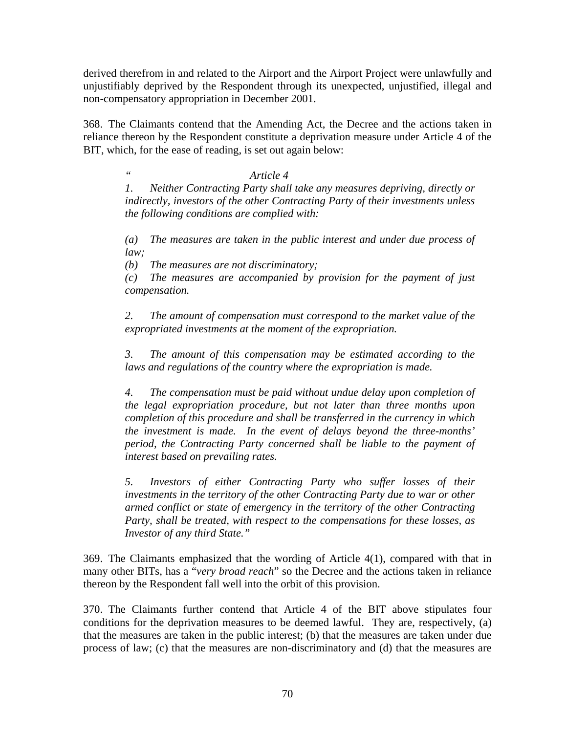derived therefrom in and related to the Airport and the Airport Project were unlawfully and unjustifiably deprived by the Respondent through its unexpected, unjustified, illegal and non-compensatory appropriation in December 2001.

368. The Claimants contend that the Amending Act, the Decree and the actions taken in reliance thereon by the Respondent constitute a deprivation measure under Article 4 of the BIT, which, for the ease of reading, is set out again below:

# *" Article 4*

*1. Neither Contracting Party shall take any measures depriving, directly or indirectly, investors of the other Contracting Party of their investments unless the following conditions are complied with:* 

*(a) The measures are taken in the public interest and under due process of law;* 

*(b) The measures are not discriminatory;* 

*(c) The measures are accompanied by provision for the payment of just compensation.* 

*2. The amount of compensation must correspond to the market value of the expropriated investments at the moment of the expropriation.* 

*3. The amount of this compensation may be estimated according to the laws and regulations of the country where the expropriation is made.* 

*4. The compensation must be paid without undue delay upon completion of the legal expropriation procedure, but not later than three months upon completion of this procedure and shall be transferred in the currency in which the investment is made. In the event of delays beyond the three-months' period, the Contracting Party concerned shall be liable to the payment of interest based on prevailing rates.* 

*5. Investors of either Contracting Party who suffer losses of their investments in the territory of the other Contracting Party due to war or other armed conflict or state of emergency in the territory of the other Contracting Party, shall be treated, with respect to the compensations for these losses, as Investor of any third State."* 

369. The Claimants emphasized that the wording of Article 4(1), compared with that in many other BITs, has a "*very broad reach*" so the Decree and the actions taken in reliance thereon by the Respondent fall well into the orbit of this provision.

370. The Claimants further contend that Article 4 of the BIT above stipulates four conditions for the deprivation measures to be deemed lawful. They are, respectively, (a) that the measures are taken in the public interest; (b) that the measures are taken under due process of law; (c) that the measures are non-discriminatory and (d) that the measures are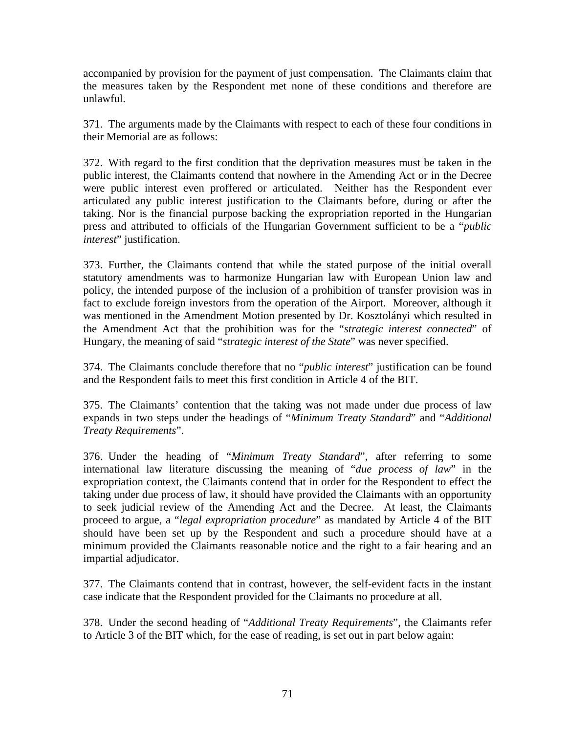accompanied by provision for the payment of just compensation. The Claimants claim that the measures taken by the Respondent met none of these conditions and therefore are unlawful.

371. The arguments made by the Claimants with respect to each of these four conditions in their Memorial are as follows:

372. With regard to the first condition that the deprivation measures must be taken in the public interest, the Claimants contend that nowhere in the Amending Act or in the Decree were public interest even proffered or articulated. Neither has the Respondent ever articulated any public interest justification to the Claimants before, during or after the taking. Nor is the financial purpose backing the expropriation reported in the Hungarian press and attributed to officials of the Hungarian Government sufficient to be a "*public interest*" justification.

373. Further, the Claimants contend that while the stated purpose of the initial overall statutory amendments was to harmonize Hungarian law with European Union law and policy, the intended purpose of the inclusion of a prohibition of transfer provision was in fact to exclude foreign investors from the operation of the Airport. Moreover, although it was mentioned in the Amendment Motion presented by Dr. Kosztolányi which resulted in the Amendment Act that the prohibition was for the "*strategic interest connected*" of Hungary, the meaning of said "*strategic interest of the State*" was never specified.

374. The Claimants conclude therefore that no "*public interest*" justification can be found and the Respondent fails to meet this first condition in Article 4 of the BIT.

375. The Claimants' contention that the taking was not made under due process of law expands in two steps under the headings of "*Minimum Treaty Standard*" and "*Additional Treaty Requirements*".

376. Under the heading of "*Minimum Treaty Standard*", after referring to some international law literature discussing the meaning of "*due process of law*" in the expropriation context, the Claimants contend that in order for the Respondent to effect the taking under due process of law, it should have provided the Claimants with an opportunity to seek judicial review of the Amending Act and the Decree. At least, the Claimants proceed to argue, a "*legal expropriation procedure*" as mandated by Article 4 of the BIT should have been set up by the Respondent and such a procedure should have at a minimum provided the Claimants reasonable notice and the right to a fair hearing and an impartial adjudicator.

377. The Claimants contend that in contrast, however, the self-evident facts in the instant case indicate that the Respondent provided for the Claimants no procedure at all.

378. Under the second heading of "*Additional Treaty Requirements*", the Claimants refer to Article 3 of the BIT which, for the ease of reading, is set out in part below again: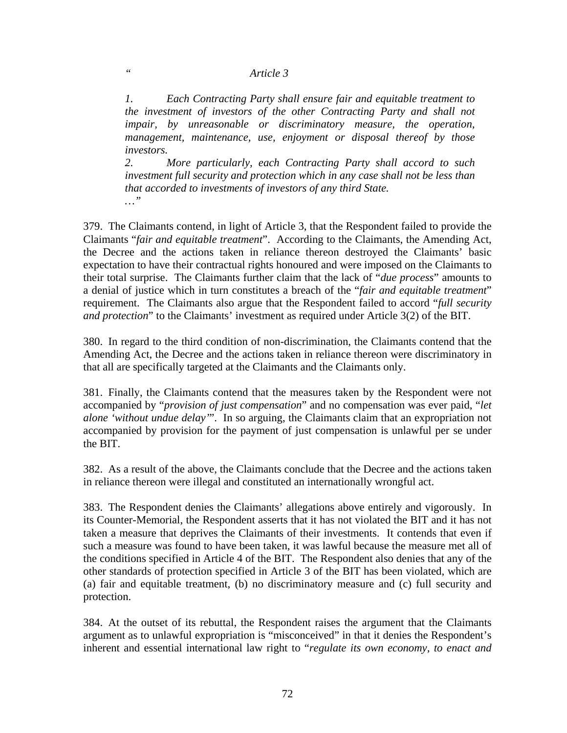### *" Article 3*

*1. Each Contracting Party shall ensure fair and equitable treatment to the investment of investors of the other Contracting Party and shall not impair, by unreasonable or discriminatory measure, the operation, management, maintenance, use, enjoyment or disposal thereof by those investors.* 

*2. More particularly, each Contracting Party shall accord to such investment full security and protection which in any case shall not be less than that accorded to investments of investors of any third State. …"* 

379. The Claimants contend, in light of Article 3, that the Respondent failed to provide the Claimants "*fair and equitable treatment*". According to the Claimants, the Amending Act, the Decree and the actions taken in reliance thereon destroyed the Claimants' basic expectation to have their contractual rights honoured and were imposed on the Claimants to their total surprise. The Claimants further claim that the lack of "*due process*" amounts to a denial of justice which in turn constitutes a breach of the "*fair and equitable treatment*" requirement. The Claimants also argue that the Respondent failed to accord "*full security and protection*" to the Claimants' investment as required under Article 3(2) of the BIT.

380. In regard to the third condition of non-discrimination, the Claimants contend that the Amending Act, the Decree and the actions taken in reliance thereon were discriminatory in that all are specifically targeted at the Claimants and the Claimants only.

381. Finally, the Claimants contend that the measures taken by the Respondent were not accompanied by "*provision of just compensation*" and no compensation was ever paid, "*let alone 'without undue delay'*". In so arguing, the Claimants claim that an expropriation not accompanied by provision for the payment of just compensation is unlawful per se under the BIT.

382. As a result of the above, the Claimants conclude that the Decree and the actions taken in reliance thereon were illegal and constituted an internationally wrongful act.

383. The Respondent denies the Claimants' allegations above entirely and vigorously. In its Counter-Memorial, the Respondent asserts that it has not violated the BIT and it has not taken a measure that deprives the Claimants of their investments. It contends that even if such a measure was found to have been taken, it was lawful because the measure met all of the conditions specified in Article 4 of the BIT. The Respondent also denies that any of the other standards of protection specified in Article 3 of the BIT has been violated, which are (a) fair and equitable treatment, (b) no discriminatory measure and (c) full security and protection.

384. At the outset of its rebuttal, the Respondent raises the argument that the Claimants argument as to unlawful expropriation is "misconceived" in that it denies the Respondent's inherent and essential international law right to "*regulate its own economy, to enact and*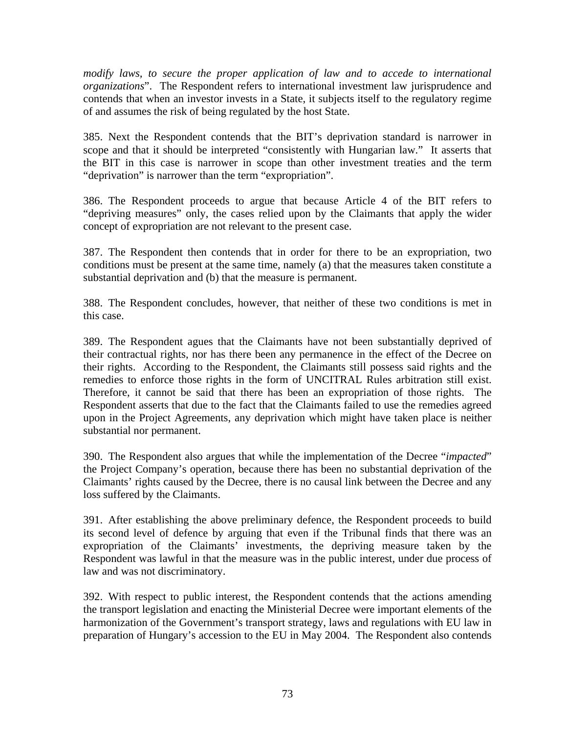*modify laws, to secure the proper application of law and to accede to international organizations*". The Respondent refers to international investment law jurisprudence and contends that when an investor invests in a State, it subjects itself to the regulatory regime of and assumes the risk of being regulated by the host State.

385. Next the Respondent contends that the BIT's deprivation standard is narrower in scope and that it should be interpreted "consistently with Hungarian law." It asserts that the BIT in this case is narrower in scope than other investment treaties and the term "deprivation" is narrower than the term "expropriation".

386. The Respondent proceeds to argue that because Article 4 of the BIT refers to "depriving measures" only, the cases relied upon by the Claimants that apply the wider concept of expropriation are not relevant to the present case.

387. The Respondent then contends that in order for there to be an expropriation, two conditions must be present at the same time, namely (a) that the measures taken constitute a substantial deprivation and (b) that the measure is permanent.

388. The Respondent concludes, however, that neither of these two conditions is met in this case.

389. The Respondent agues that the Claimants have not been substantially deprived of their contractual rights, nor has there been any permanence in the effect of the Decree on their rights. According to the Respondent, the Claimants still possess said rights and the remedies to enforce those rights in the form of UNCITRAL Rules arbitration still exist. Therefore, it cannot be said that there has been an expropriation of those rights. The Respondent asserts that due to the fact that the Claimants failed to use the remedies agreed upon in the Project Agreements, any deprivation which might have taken place is neither substantial nor permanent.

390. The Respondent also argues that while the implementation of the Decree "*impacted*" the Project Company's operation, because there has been no substantial deprivation of the Claimants' rights caused by the Decree, there is no causal link between the Decree and any loss suffered by the Claimants.

391. After establishing the above preliminary defence, the Respondent proceeds to build its second level of defence by arguing that even if the Tribunal finds that there was an expropriation of the Claimants' investments, the depriving measure taken by the Respondent was lawful in that the measure was in the public interest, under due process of law and was not discriminatory.

392. With respect to public interest, the Respondent contends that the actions amending the transport legislation and enacting the Ministerial Decree were important elements of the harmonization of the Government's transport strategy, laws and regulations with EU law in preparation of Hungary's accession to the EU in May 2004. The Respondent also contends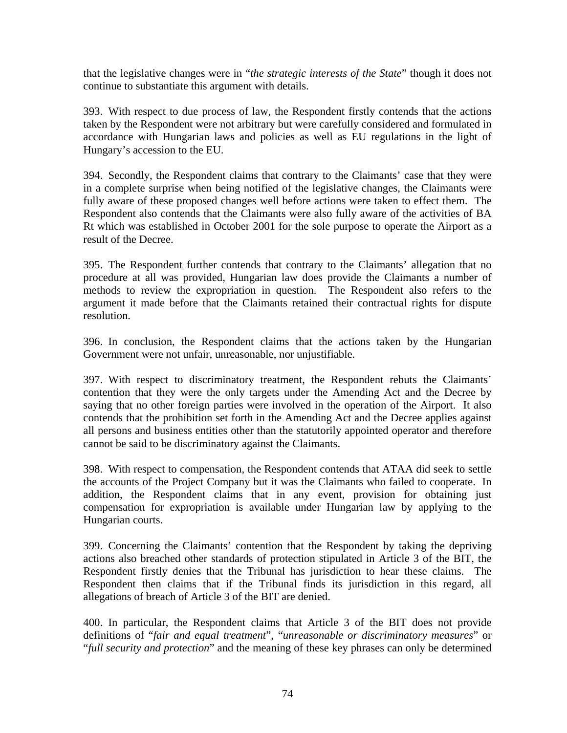that the legislative changes were in "*the strategic interests of the State*" though it does not continue to substantiate this argument with details.

393. With respect to due process of law, the Respondent firstly contends that the actions taken by the Respondent were not arbitrary but were carefully considered and formulated in accordance with Hungarian laws and policies as well as EU regulations in the light of Hungary's accession to the EU.

394. Secondly, the Respondent claims that contrary to the Claimants' case that they were in a complete surprise when being notified of the legislative changes, the Claimants were fully aware of these proposed changes well before actions were taken to effect them. The Respondent also contends that the Claimants were also fully aware of the activities of BA Rt which was established in October 2001 for the sole purpose to operate the Airport as a result of the Decree.

395. The Respondent further contends that contrary to the Claimants' allegation that no procedure at all was provided, Hungarian law does provide the Claimants a number of methods to review the expropriation in question. The Respondent also refers to the argument it made before that the Claimants retained their contractual rights for dispute resolution.

396. In conclusion, the Respondent claims that the actions taken by the Hungarian Government were not unfair, unreasonable, nor unjustifiable.

397. With respect to discriminatory treatment, the Respondent rebuts the Claimants' contention that they were the only targets under the Amending Act and the Decree by saying that no other foreign parties were involved in the operation of the Airport. It also contends that the prohibition set forth in the Amending Act and the Decree applies against all persons and business entities other than the statutorily appointed operator and therefore cannot be said to be discriminatory against the Claimants.

398. With respect to compensation, the Respondent contends that ATAA did seek to settle the accounts of the Project Company but it was the Claimants who failed to cooperate. In addition, the Respondent claims that in any event, provision for obtaining just compensation for expropriation is available under Hungarian law by applying to the Hungarian courts.

399. Concerning the Claimants' contention that the Respondent by taking the depriving actions also breached other standards of protection stipulated in Article 3 of the BIT, the Respondent firstly denies that the Tribunal has jurisdiction to hear these claims. The Respondent then claims that if the Tribunal finds its jurisdiction in this regard, all allegations of breach of Article 3 of the BIT are denied.

400. In particular, the Respondent claims that Article 3 of the BIT does not provide definitions of "*fair and equal treatment*", "*unreasonable or discriminatory measures*" or "*full security and protection*" and the meaning of these key phrases can only be determined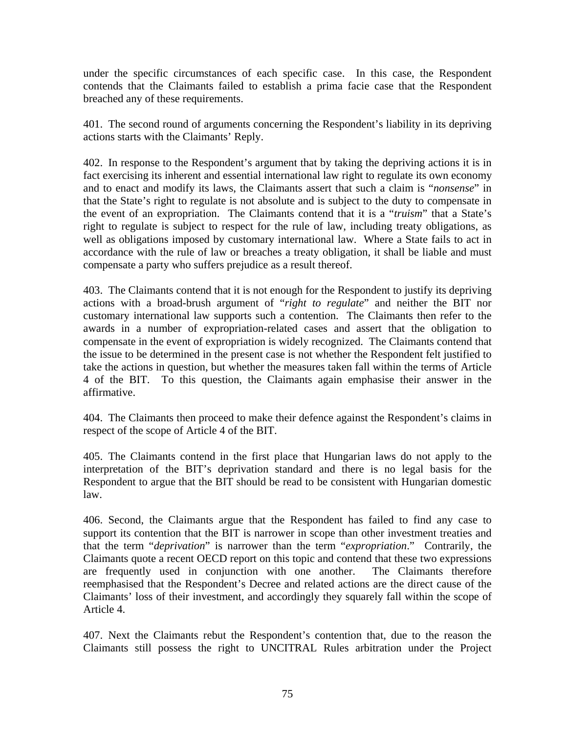under the specific circumstances of each specific case. In this case, the Respondent contends that the Claimants failed to establish a prima facie case that the Respondent breached any of these requirements.

401. The second round of arguments concerning the Respondent's liability in its depriving actions starts with the Claimants' Reply.

402. In response to the Respondent's argument that by taking the depriving actions it is in fact exercising its inherent and essential international law right to regulate its own economy and to enact and modify its laws, the Claimants assert that such a claim is "*nonsense*" in that the State's right to regulate is not absolute and is subject to the duty to compensate in the event of an expropriation. The Claimants contend that it is a "*truism*" that a State's right to regulate is subject to respect for the rule of law, including treaty obligations, as well as obligations imposed by customary international law. Where a State fails to act in accordance with the rule of law or breaches a treaty obligation, it shall be liable and must compensate a party who suffers prejudice as a result thereof.

403. The Claimants contend that it is not enough for the Respondent to justify its depriving actions with a broad-brush argument of "*right to regulate*" and neither the BIT nor customary international law supports such a contention. The Claimants then refer to the awards in a number of expropriation-related cases and assert that the obligation to compensate in the event of expropriation is widely recognized. The Claimants contend that the issue to be determined in the present case is not whether the Respondent felt justified to take the actions in question, but whether the measures taken fall within the terms of Article 4 of the BIT. To this question, the Claimants again emphasise their answer in the affirmative.

404. The Claimants then proceed to make their defence against the Respondent's claims in respect of the scope of Article 4 of the BIT.

405. The Claimants contend in the first place that Hungarian laws do not apply to the interpretation of the BIT's deprivation standard and there is no legal basis for the Respondent to argue that the BIT should be read to be consistent with Hungarian domestic law.

406. Second, the Claimants argue that the Respondent has failed to find any case to support its contention that the BIT is narrower in scope than other investment treaties and that the term "*deprivation*" is narrower than the term "*expropriation*." Contrarily, the Claimants quote a recent OECD report on this topic and contend that these two expressions are frequently used in conjunction with one another. The Claimants therefore reemphasised that the Respondent's Decree and related actions are the direct cause of the Claimants' loss of their investment, and accordingly they squarely fall within the scope of Article 4.

407. Next the Claimants rebut the Respondent's contention that, due to the reason the Claimants still possess the right to UNCITRAL Rules arbitration under the Project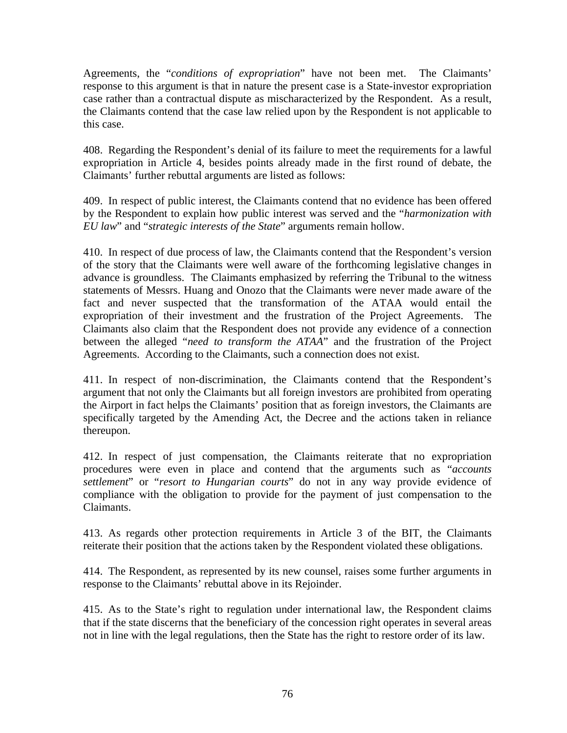Agreements, the "*conditions of expropriation*" have not been met. The Claimants' response to this argument is that in nature the present case is a State-investor expropriation case rather than a contractual dispute as mischaracterized by the Respondent. As a result, the Claimants contend that the case law relied upon by the Respondent is not applicable to this case.

408. Regarding the Respondent's denial of its failure to meet the requirements for a lawful expropriation in Article 4, besides points already made in the first round of debate, the Claimants' further rebuttal arguments are listed as follows:

409. In respect of public interest, the Claimants contend that no evidence has been offered by the Respondent to explain how public interest was served and the "*harmonization with EU law*" and "*strategic interests of the State*" arguments remain hollow.

410. In respect of due process of law, the Claimants contend that the Respondent's version of the story that the Claimants were well aware of the forthcoming legislative changes in advance is groundless. The Claimants emphasized by referring the Tribunal to the witness statements of Messrs. Huang and Onozo that the Claimants were never made aware of the fact and never suspected that the transformation of the ATAA would entail the expropriation of their investment and the frustration of the Project Agreements. The Claimants also claim that the Respondent does not provide any evidence of a connection between the alleged "*need to transform the ATAA*" and the frustration of the Project Agreements. According to the Claimants, such a connection does not exist.

411. In respect of non-discrimination, the Claimants contend that the Respondent's argument that not only the Claimants but all foreign investors are prohibited from operating the Airport in fact helps the Claimants' position that as foreign investors, the Claimants are specifically targeted by the Amending Act, the Decree and the actions taken in reliance thereupon.

412. In respect of just compensation, the Claimants reiterate that no expropriation procedures were even in place and contend that the arguments such as "*accounts settlement*" or "*resort to Hungarian courts*" do not in any way provide evidence of compliance with the obligation to provide for the payment of just compensation to the Claimants.

413. As regards other protection requirements in Article 3 of the BIT, the Claimants reiterate their position that the actions taken by the Respondent violated these obligations.

414. The Respondent, as represented by its new counsel, raises some further arguments in response to the Claimants' rebuttal above in its Rejoinder.

415. As to the State's right to regulation under international law, the Respondent claims that if the state discerns that the beneficiary of the concession right operates in several areas not in line with the legal regulations, then the State has the right to restore order of its law.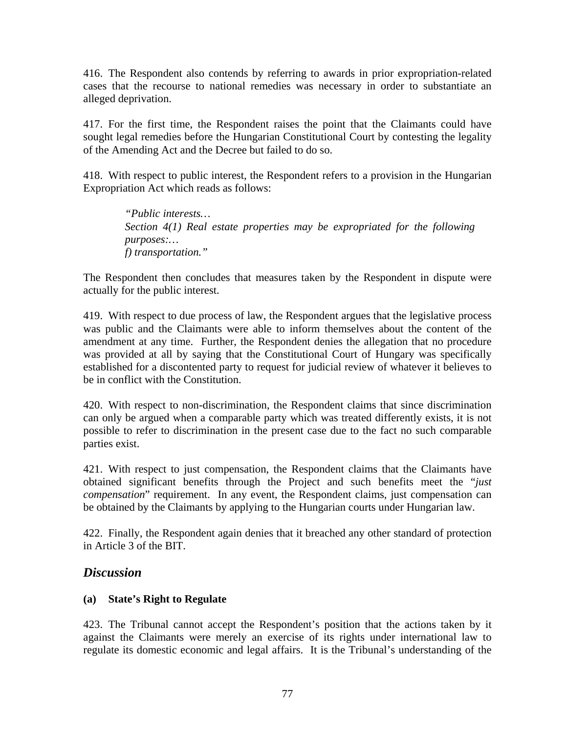416. The Respondent also contends by referring to awards in prior expropriation-related cases that the recourse to national remedies was necessary in order to substantiate an alleged deprivation.

417. For the first time, the Respondent raises the point that the Claimants could have sought legal remedies before the Hungarian Constitutional Court by contesting the legality of the Amending Act and the Decree but failed to do so.

418. With respect to public interest, the Respondent refers to a provision in the Hungarian Expropriation Act which reads as follows:

*"Public interests… Section 4(1) Real estate properties may be expropriated for the following purposes:… f) transportation."* 

The Respondent then concludes that measures taken by the Respondent in dispute were actually for the public interest.

419. With respect to due process of law, the Respondent argues that the legislative process was public and the Claimants were able to inform themselves about the content of the amendment at any time. Further, the Respondent denies the allegation that no procedure was provided at all by saying that the Constitutional Court of Hungary was specifically established for a discontented party to request for judicial review of whatever it believes to be in conflict with the Constitution.

420. With respect to non-discrimination, the Respondent claims that since discrimination can only be argued when a comparable party which was treated differently exists, it is not possible to refer to discrimination in the present case due to the fact no such comparable parties exist.

421. With respect to just compensation, the Respondent claims that the Claimants have obtained significant benefits through the Project and such benefits meet the "*just compensation*" requirement. In any event, the Respondent claims, just compensation can be obtained by the Claimants by applying to the Hungarian courts under Hungarian law.

422. Finally, the Respondent again denies that it breached any other standard of protection in Article 3 of the BIT.

# *Discussion*

### **(a) State's Right to Regulate**

423. The Tribunal cannot accept the Respondent's position that the actions taken by it against the Claimants were merely an exercise of its rights under international law to regulate its domestic economic and legal affairs. It is the Tribunal's understanding of the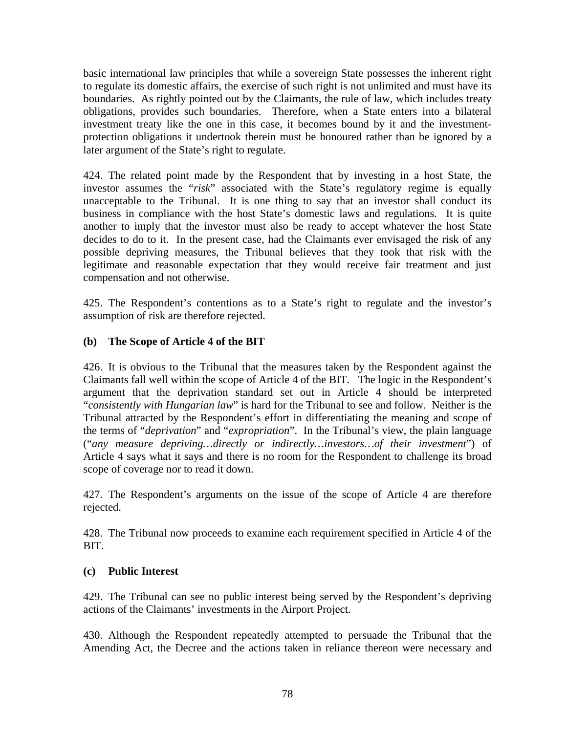basic international law principles that while a sovereign State possesses the inherent right to regulate its domestic affairs, the exercise of such right is not unlimited and must have its boundaries. As rightly pointed out by the Claimants, the rule of law, which includes treaty obligations, provides such boundaries. Therefore, when a State enters into a bilateral investment treaty like the one in this case, it becomes bound by it and the investmentprotection obligations it undertook therein must be honoured rather than be ignored by a later argument of the State's right to regulate.

424. The related point made by the Respondent that by investing in a host State, the investor assumes the "*risk*" associated with the State's regulatory regime is equally unacceptable to the Tribunal. It is one thing to say that an investor shall conduct its business in compliance with the host State's domestic laws and regulations. It is quite another to imply that the investor must also be ready to accept whatever the host State decides to do to it. In the present case, had the Claimants ever envisaged the risk of any possible depriving measures, the Tribunal believes that they took that risk with the legitimate and reasonable expectation that they would receive fair treatment and just compensation and not otherwise.

425. The Respondent's contentions as to a State's right to regulate and the investor's assumption of risk are therefore rejected.

### **(b) The Scope of Article 4 of the BIT**

426. It is obvious to the Tribunal that the measures taken by the Respondent against the Claimants fall well within the scope of Article 4 of the BIT. The logic in the Respondent's argument that the deprivation standard set out in Article 4 should be interpreted "*consistently with Hungarian law*" is hard for the Tribunal to see and follow. Neither is the Tribunal attracted by the Respondent's effort in differentiating the meaning and scope of the terms of "*deprivation*" and "*expropriation*". In the Tribunal's view, the plain language ("*any measure depriving…directly or indirectly…investors…of their investment*") of Article 4 says what it says and there is no room for the Respondent to challenge its broad scope of coverage nor to read it down.

427. The Respondent's arguments on the issue of the scope of Article 4 are therefore rejected.

428. The Tribunal now proceeds to examine each requirement specified in Article 4 of the BIT.

### **(c) Public Interest**

429. The Tribunal can see no public interest being served by the Respondent's depriving actions of the Claimants' investments in the Airport Project.

430. Although the Respondent repeatedly attempted to persuade the Tribunal that the Amending Act, the Decree and the actions taken in reliance thereon were necessary and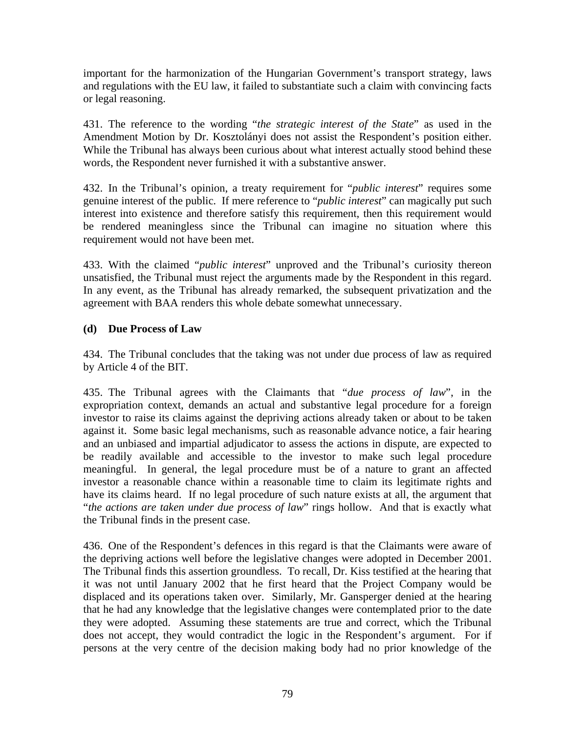important for the harmonization of the Hungarian Government's transport strategy, laws and regulations with the EU law, it failed to substantiate such a claim with convincing facts or legal reasoning.

431. The reference to the wording "*the strategic interest of the State*" as used in the Amendment Motion by Dr. Kosztolányi does not assist the Respondent's position either. While the Tribunal has always been curious about what interest actually stood behind these words, the Respondent never furnished it with a substantive answer.

432. In the Tribunal's opinion, a treaty requirement for "*public interest*" requires some genuine interest of the public. If mere reference to "*public interest*" can magically put such interest into existence and therefore satisfy this requirement, then this requirement would be rendered meaningless since the Tribunal can imagine no situation where this requirement would not have been met.

433. With the claimed "*public interest*" unproved and the Tribunal's curiosity thereon unsatisfied, the Tribunal must reject the arguments made by the Respondent in this regard. In any event, as the Tribunal has already remarked, the subsequent privatization and the agreement with BAA renders this whole debate somewhat unnecessary.

## **(d) Due Process of Law**

434. The Tribunal concludes that the taking was not under due process of law as required by Article 4 of the BIT.

435. The Tribunal agrees with the Claimants that "*due process of law*", in the expropriation context, demands an actual and substantive legal procedure for a foreign investor to raise its claims against the depriving actions already taken or about to be taken against it. Some basic legal mechanisms, such as reasonable advance notice, a fair hearing and an unbiased and impartial adjudicator to assess the actions in dispute, are expected to be readily available and accessible to the investor to make such legal procedure meaningful. In general, the legal procedure must be of a nature to grant an affected investor a reasonable chance within a reasonable time to claim its legitimate rights and have its claims heard. If no legal procedure of such nature exists at all, the argument that "*the actions are taken under due process of law*" rings hollow. And that is exactly what the Tribunal finds in the present case.

436. One of the Respondent's defences in this regard is that the Claimants were aware of the depriving actions well before the legislative changes were adopted in December 2001. The Tribunal finds this assertion groundless. To recall, Dr. Kiss testified at the hearing that it was not until January 2002 that he first heard that the Project Company would be displaced and its operations taken over. Similarly, Mr. Gansperger denied at the hearing that he had any knowledge that the legislative changes were contemplated prior to the date they were adopted. Assuming these statements are true and correct, which the Tribunal does not accept, they would contradict the logic in the Respondent's argument. For if persons at the very centre of the decision making body had no prior knowledge of the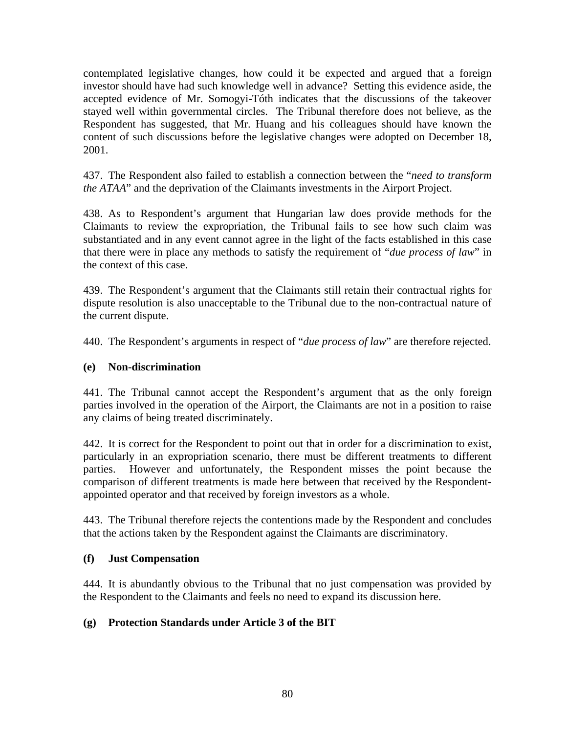contemplated legislative changes, how could it be expected and argued that a foreign investor should have had such knowledge well in advance? Setting this evidence aside, the accepted evidence of Mr. Somogyi-Tóth indicates that the discussions of the takeover stayed well within governmental circles. The Tribunal therefore does not believe, as the Respondent has suggested, that Mr. Huang and his colleagues should have known the content of such discussions before the legislative changes were adopted on December 18, 2001.

437. The Respondent also failed to establish a connection between the "*need to transform the ATAA*" and the deprivation of the Claimants investments in the Airport Project.

438. As to Respondent's argument that Hungarian law does provide methods for the Claimants to review the expropriation, the Tribunal fails to see how such claim was substantiated and in any event cannot agree in the light of the facts established in this case that there were in place any methods to satisfy the requirement of "*due process of law*" in the context of this case.

439. The Respondent's argument that the Claimants still retain their contractual rights for dispute resolution is also unacceptable to the Tribunal due to the non-contractual nature of the current dispute.

440. The Respondent's arguments in respect of "*due process of law*" are therefore rejected.

#### **(e) Non-discrimination**

441. The Tribunal cannot accept the Respondent's argument that as the only foreign parties involved in the operation of the Airport, the Claimants are not in a position to raise any claims of being treated discriminately.

442. It is correct for the Respondent to point out that in order for a discrimination to exist, particularly in an expropriation scenario, there must be different treatments to different parties. However and unfortunately, the Respondent misses the point because the comparison of different treatments is made here between that received by the Respondentappointed operator and that received by foreign investors as a whole.

443. The Tribunal therefore rejects the contentions made by the Respondent and concludes that the actions taken by the Respondent against the Claimants are discriminatory.

#### **(f) Just Compensation**

444. It is abundantly obvious to the Tribunal that no just compensation was provided by the Respondent to the Claimants and feels no need to expand its discussion here.

### **(g) Protection Standards under Article 3 of the BIT**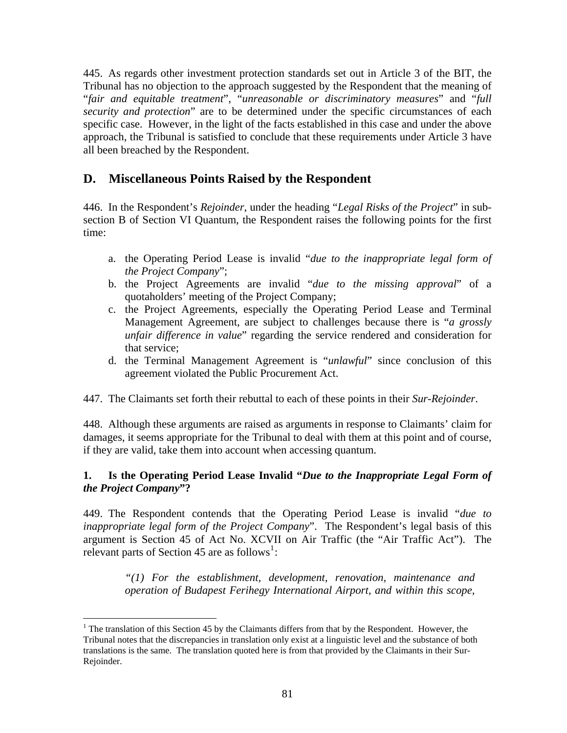445. As regards other investment protection standards set out in Article 3 of the BIT, the Tribunal has no objection to the approach suggested by the Respondent that the meaning of "*fair and equitable treatment*", "*unreasonable or discriminatory measures*" and "*full security and protection*" are to be determined under the specific circumstances of each specific case. However, in the light of the facts established in this case and under the above approach, the Tribunal is satisfied to conclude that these requirements under Article 3 have all been breached by the Respondent.

# **D. Miscellaneous Points Raised by the Respondent**

446. In the Respondent's *Rejoinder*, under the heading "*Legal Risks of the Project*" in subsection B of Section VI Quantum, the Respondent raises the following points for the first time:

- a. the Operating Period Lease is invalid "*due to the inappropriate legal form of the Project Company*";
- b. the Project Agreements are invalid "*due to the missing approval*" of a quotaholders' meeting of the Project Company;
- c. the Project Agreements, especially the Operating Period Lease and Terminal Management Agreement, are subject to challenges because there is "*a grossly unfair difference in value*" regarding the service rendered and consideration for that service;
- d. the Terminal Management Agreement is "*unlawful*" since conclusion of this agreement violated the Public Procurement Act.

447. The Claimants set forth their rebuttal to each of these points in their *Sur-Rejoinder*.

448. Although these arguments are raised as arguments in response to Claimants' claim for damages, it seems appropriate for the Tribunal to deal with them at this point and of course, if they are valid, take them into account when accessing quantum.

## **1. Is the Operating Period Lease Invalid "***Due to the Inappropriate Legal Form of the Project Company***"?**

449. The Respondent contends that the Operating Period Lease is invalid "*due to inappropriate legal form of the Project Company*". The Respondent's legal basis of this argument is Section 45 of Act No. XCVII on Air Traffic (the "Air Traffic Act"). The relevant parts of Section 45 are as follows<sup>[1](#page-81-0)</sup>:

*"(1) For the establishment, development, renovation, maintenance and operation of Budapest Ferihegy International Airport, and within this scope,* 

 $\overline{a}$ 

<span id="page-81-0"></span> $1$ <sup>1</sup> The translation of this Section 45 by the Claimants differs from that by the Respondent. However, the Tribunal notes that the discrepancies in translation only exist at a linguistic level and the substance of both translations is the same. The translation quoted here is from that provided by the Claimants in their Sur-Rejoinder.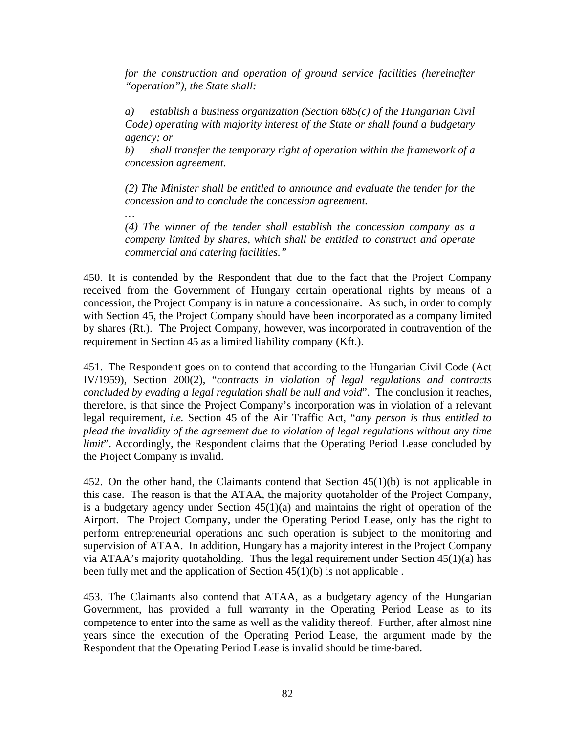*for the construction and operation of ground service facilities (hereinafter "operation"), the State shall:* 

*a) establish a business organization (Section 685(c) of the Hungarian Civil Code) operating with majority interest of the State or shall found a budgetary agency; or* 

*b) shall transfer the temporary right of operation within the framework of a concession agreement.* 

*(2) The Minister shall be entitled to announce and evaluate the tender for the concession and to conclude the concession agreement.* 

*… (4) The winner of the tender shall establish the concession company as a company limited by shares, which shall be entitled to construct and operate commercial and catering facilities."*

450. It is contended by the Respondent that due to the fact that the Project Company received from the Government of Hungary certain operational rights by means of a concession, the Project Company is in nature a concessionaire. As such, in order to comply with Section 45, the Project Company should have been incorporated as a company limited by shares (Rt.). The Project Company, however, was incorporated in contravention of the requirement in Section 45 as a limited liability company (Kft.).

451. The Respondent goes on to contend that according to the Hungarian Civil Code (Act IV/1959), Section 200(2), "*contracts in violation of legal regulations and contracts concluded by evading a legal regulation shall be null and void*". The conclusion it reaches, therefore, is that since the Project Company's incorporation was in violation of a relevant legal requirement, *i.e.* Section 45 of the Air Traffic Act, "*any person is thus entitled to plead the invalidity of the agreement due to violation of legal regulations without any time limit*". Accordingly, the Respondent claims that the Operating Period Lease concluded by the Project Company is invalid.

452. On the other hand, the Claimants contend that Section 45(1)(b) is not applicable in this case. The reason is that the ATAA, the majority quotaholder of the Project Company, is a budgetary agency under Section 45(1)(a) and maintains the right of operation of the Airport. The Project Company, under the Operating Period Lease, only has the right to perform entrepreneurial operations and such operation is subject to the monitoring and supervision of ATAA. In addition, Hungary has a majority interest in the Project Company via ATAA's majority quotaholding. Thus the legal requirement under Section 45(1)(a) has been fully met and the application of Section 45(1)(b) is not applicable .

453. The Claimants also contend that ATAA, as a budgetary agency of the Hungarian Government, has provided a full warranty in the Operating Period Lease as to its competence to enter into the same as well as the validity thereof. Further, after almost nine years since the execution of the Operating Period Lease, the argument made by the Respondent that the Operating Period Lease is invalid should be time-bared.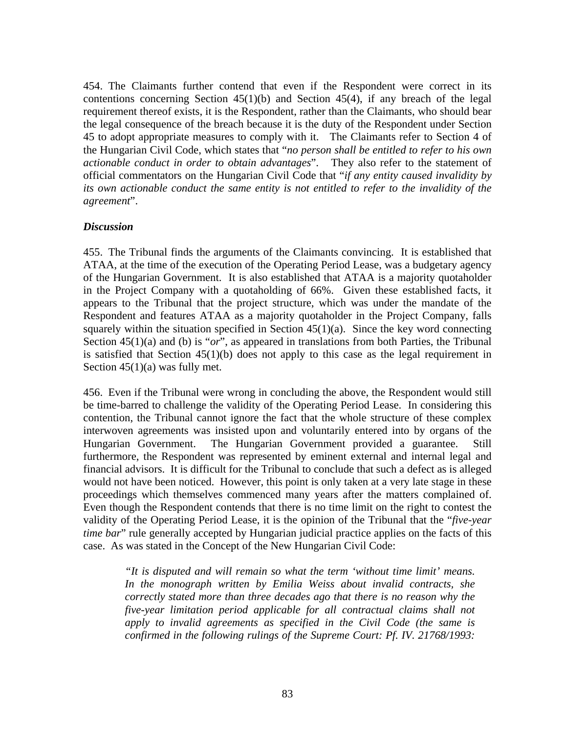454. The Claimants further contend that even if the Respondent were correct in its contentions concerning Section  $45(1)(b)$  and Section  $45(4)$ , if any breach of the legal requirement thereof exists, it is the Respondent, rather than the Claimants, who should bear the legal consequence of the breach because it is the duty of the Respondent under Section 45 to adopt appropriate measures to comply with it. The Claimants refer to Section 4 of the Hungarian Civil Code, which states that "*no person shall be entitled to refer to his own actionable conduct in order to obtain advantages*". They also refer to the statement of official commentators on the Hungarian Civil Code that "*if any entity caused invalidity by its own actionable conduct the same entity is not entitled to refer to the invalidity of the agreement*".

#### *Discussion*

455. The Tribunal finds the arguments of the Claimants convincing. It is established that ATAA, at the time of the execution of the Operating Period Lease, was a budgetary agency of the Hungarian Government. It is also established that ATAA is a majority quotaholder in the Project Company with a quotaholding of 66%. Given these established facts, it appears to the Tribunal that the project structure, which was under the mandate of the Respondent and features ATAA as a majority quotaholder in the Project Company, falls squarely within the situation specified in Section  $45(1)(a)$ . Since the key word connecting Section 45(1)(a) and (b) is "*or*", as appeared in translations from both Parties, the Tribunal is satisfied that Section 45(1)(b) does not apply to this case as the legal requirement in Section 45(1)(a) was fully met.

456. Even if the Tribunal were wrong in concluding the above, the Respondent would still be time-barred to challenge the validity of the Operating Period Lease. In considering this contention, the Tribunal cannot ignore the fact that the whole structure of these complex interwoven agreements was insisted upon and voluntarily entered into by organs of the Hungarian Government. The Hungarian Government provided a guarantee. Still furthermore, the Respondent was represented by eminent external and internal legal and financial advisors. It is difficult for the Tribunal to conclude that such a defect as is alleged would not have been noticed. However, this point is only taken at a very late stage in these proceedings which themselves commenced many years after the matters complained of. Even though the Respondent contends that there is no time limit on the right to contest the validity of the Operating Period Lease, it is the opinion of the Tribunal that the "*five-year time bar*" rule generally accepted by Hungarian judicial practice applies on the facts of this case. As was stated in the Concept of the New Hungarian Civil Code:

*"It is disputed and will remain so what the term 'without time limit' means. In the monograph written by Emilia Weiss about invalid contracts, she correctly stated more than three decades ago that there is no reason why the five-year limitation period applicable for all contractual claims shall not apply to invalid agreements as specified in the Civil Code (the same is confirmed in the following rulings of the Supreme Court: Pf. IV. 21768/1993:*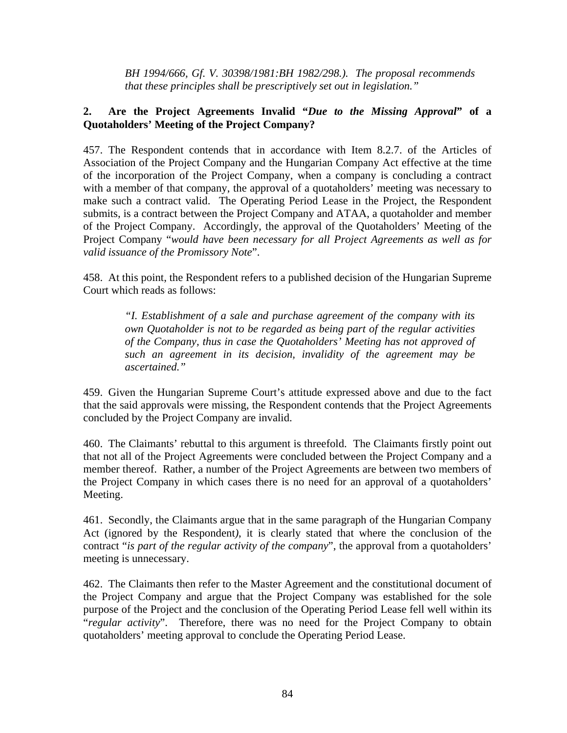*BH 1994/666, Gf. V. 30398/1981:BH 1982/298.). The proposal recommends that these principles shall be prescriptively set out in legislation."* 

#### **2. Are the Project Agreements Invalid "***Due to the Missing Approval***" of a Quotaholders' Meeting of the Project Company?**

457. The Respondent contends that in accordance with Item 8.2.7. of the Articles of Association of the Project Company and the Hungarian Company Act effective at the time of the incorporation of the Project Company, when a company is concluding a contract with a member of that company, the approval of a quotaholders' meeting was necessary to make such a contract valid. The Operating Period Lease in the Project, the Respondent submits, is a contract between the Project Company and ATAA, a quotaholder and member of the Project Company. Accordingly, the approval of the Quotaholders' Meeting of the Project Company "*would have been necessary for all Project Agreements as well as for valid issuance of the Promissory Note*".

458. At this point, the Respondent refers to a published decision of the Hungarian Supreme Court which reads as follows:

*"I. Establishment of a sale and purchase agreement of the company with its own Quotaholder is not to be regarded as being part of the regular activities of the Company, thus in case the Quotaholders' Meeting has not approved of such an agreement in its decision, invalidity of the agreement may be ascertained."* 

459. Given the Hungarian Supreme Court's attitude expressed above and due to the fact that the said approvals were missing, the Respondent contends that the Project Agreements concluded by the Project Company are invalid.

460. The Claimants' rebuttal to this argument is threefold. The Claimants firstly point out that not all of the Project Agreements were concluded between the Project Company and a member thereof. Rather, a number of the Project Agreements are between two members of the Project Company in which cases there is no need for an approval of a quotaholders' Meeting.

461. Secondly, the Claimants argue that in the same paragraph of the Hungarian Company Act (ignored by the Respondent*)*, it is clearly stated that where the conclusion of the contract "*is part of the regular activity of the company*", the approval from a quotaholders' meeting is unnecessary.

462. The Claimants then refer to the Master Agreement and the constitutional document of the Project Company and argue that the Project Company was established for the sole purpose of the Project and the conclusion of the Operating Period Lease fell well within its "*regular activity*". Therefore, there was no need for the Project Company to obtain quotaholders' meeting approval to conclude the Operating Period Lease.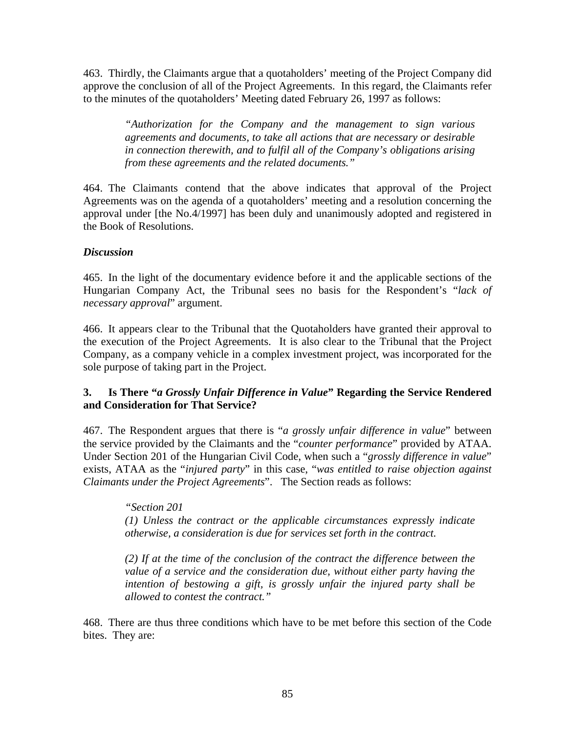463. Thirdly, the Claimants argue that a quotaholders' meeting of the Project Company did approve the conclusion of all of the Project Agreements. In this regard, the Claimants refer to the minutes of the quotaholders' Meeting dated February 26, 1997 as follows:

*"Authorization for the Company and the management to sign various agreements and documents, to take all actions that are necessary or desirable in connection therewith, and to fulfil all of the Company's obligations arising from these agreements and the related documents."* 

464. The Claimants contend that the above indicates that approval of the Project Agreements was on the agenda of a quotaholders' meeting and a resolution concerning the approval under [the No.4/1997] has been duly and unanimously adopted and registered in the Book of Resolutions.

#### *Discussion*

465. In the light of the documentary evidence before it and the applicable sections of the Hungarian Company Act, the Tribunal sees no basis for the Respondent's "*lack of necessary approval*" argument.

466. It appears clear to the Tribunal that the Quotaholders have granted their approval to the execution of the Project Agreements. It is also clear to the Tribunal that the Project Company, as a company vehicle in a complex investment project, was incorporated for the sole purpose of taking part in the Project.

### **3. Is There "***a Grossly Unfair Difference in Value***" Regarding the Service Rendered and Consideration for That Service?**

467. The Respondent argues that there is "*a grossly unfair difference in value*" between the service provided by the Claimants and the "*counter performance*" provided by ATAA. Under Section 201 of the Hungarian Civil Code, when such a "*grossly difference in value*" exists, ATAA as the "*injured party*" in this case, "*was entitled to raise objection against Claimants under the Project Agreements*". The Section reads as follows:

> *"Section 201 (1) Unless the contract or the applicable circumstances expressly indicate otherwise, a consideration is due for services set forth in the contract.*

> *(2) If at the time of the conclusion of the contract the difference between the value of a service and the consideration due, without either party having the intention of bestowing a gift, is grossly unfair the injured party shall be allowed to contest the contract."*

468. There are thus three conditions which have to be met before this section of the Code bites. They are: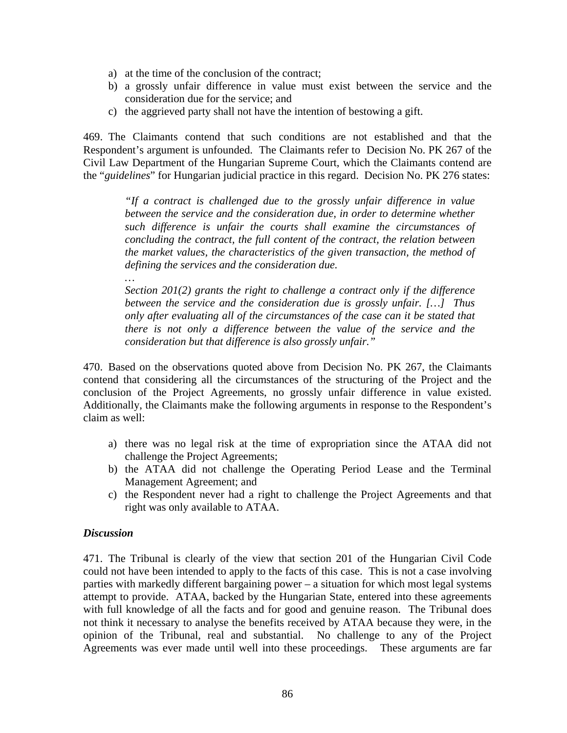- a) at the time of the conclusion of the contract;
- b) a grossly unfair difference in value must exist between the service and the consideration due for the service; and
- c) the aggrieved party shall not have the intention of bestowing a gift.

469. The Claimants contend that such conditions are not established and that the Respondent's argument is unfounded. The Claimants refer to Decision No. PK 267 of the Civil Law Department of the Hungarian Supreme Court, which the Claimants contend are the "*guidelines*" for Hungarian judicial practice in this regard. Decision No. PK 276 states:

> *"If a contract is challenged due to the grossly unfair difference in value between the service and the consideration due, in order to determine whether such difference is unfair the courts shall examine the circumstances of concluding the contract, the full content of the contract, the relation between the market values, the characteristics of the given transaction, the method of defining the services and the consideration due.*

*…* 

*Section 201(2) grants the right to challenge a contract only if the difference between the service and the consideration due is grossly unfair. […] Thus only after evaluating all of the circumstances of the case can it be stated that there is not only a difference between the value of the service and the consideration but that difference is also grossly unfair."* 

470. Based on the observations quoted above from Decision No. PK 267, the Claimants contend that considering all the circumstances of the structuring of the Project and the conclusion of the Project Agreements, no grossly unfair difference in value existed. Additionally, the Claimants make the following arguments in response to the Respondent's claim as well:

- a) there was no legal risk at the time of expropriation since the ATAA did not challenge the Project Agreements;
- b) the ATAA did not challenge the Operating Period Lease and the Terminal Management Agreement; and
- c) the Respondent never had a right to challenge the Project Agreements and that right was only available to ATAA.

#### *Discussion*

471. The Tribunal is clearly of the view that section 201 of the Hungarian Civil Code could not have been intended to apply to the facts of this case. This is not a case involving parties with markedly different bargaining power – a situation for which most legal systems attempt to provide. ATAA, backed by the Hungarian State, entered into these agreements with full knowledge of all the facts and for good and genuine reason. The Tribunal does not think it necessary to analyse the benefits received by ATAA because they were, in the opinion of the Tribunal, real and substantial. No challenge to any of the Project Agreements was ever made until well into these proceedings. These arguments are far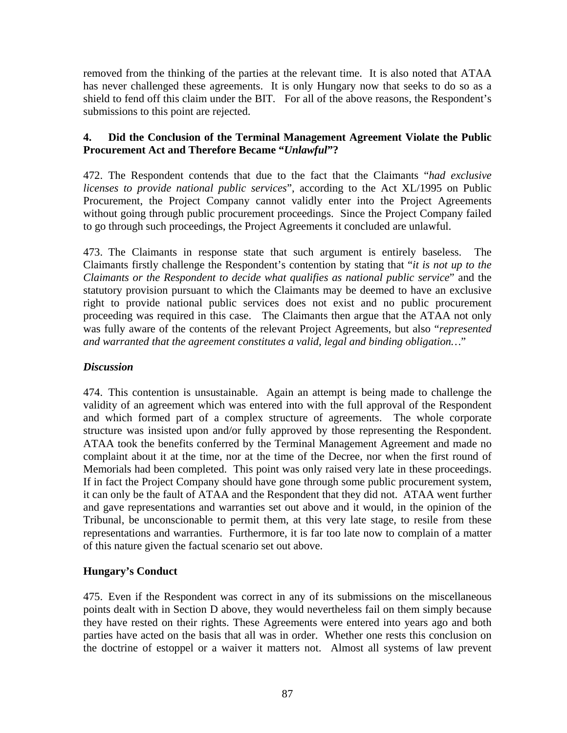removed from the thinking of the parties at the relevant time. It is also noted that ATAA has never challenged these agreements. It is only Hungary now that seeks to do so as a shield to fend off this claim under the BIT. For all of the above reasons, the Respondent's submissions to this point are rejected.

### **4. Did the Conclusion of the Terminal Management Agreement Violate the Public Procurement Act and Therefore Became "***Unlawful***"?**

472. The Respondent contends that due to the fact that the Claimants "*had exclusive licenses to provide national public services*", according to the Act XL/1995 on Public Procurement, the Project Company cannot validly enter into the Project Agreements without going through public procurement proceedings. Since the Project Company failed to go through such proceedings, the Project Agreements it concluded are unlawful.

473. The Claimants in response state that such argument is entirely baseless. The Claimants firstly challenge the Respondent's contention by stating that "*it is not up to the Claimants or the Respondent to decide what qualifies as national public service*" and the statutory provision pursuant to which the Claimants may be deemed to have an exclusive right to provide national public services does not exist and no public procurement proceeding was required in this case. The Claimants then argue that the ATAA not only was fully aware of the contents of the relevant Project Agreements, but also "*represented and warranted that the agreement constitutes a valid, legal and binding obligation…*"

### *Discussion*

474. This contention is unsustainable. Again an attempt is being made to challenge the validity of an agreement which was entered into with the full approval of the Respondent and which formed part of a complex structure of agreements. The whole corporate structure was insisted upon and/or fully approved by those representing the Respondent. ATAA took the benefits conferred by the Terminal Management Agreement and made no complaint about it at the time, nor at the time of the Decree, nor when the first round of Memorials had been completed. This point was only raised very late in these proceedings. If in fact the Project Company should have gone through some public procurement system, it can only be the fault of ATAA and the Respondent that they did not. ATAA went further and gave representations and warranties set out above and it would, in the opinion of the Tribunal, be unconscionable to permit them, at this very late stage, to resile from these representations and warranties. Furthermore, it is far too late now to complain of a matter of this nature given the factual scenario set out above.

#### **Hungary's Conduct**

475. Even if the Respondent was correct in any of its submissions on the miscellaneous points dealt with in Section D above, they would nevertheless fail on them simply because they have rested on their rights. These Agreements were entered into years ago and both parties have acted on the basis that all was in order. Whether one rests this conclusion on the doctrine of estoppel or a waiver it matters not. Almost all systems of law prevent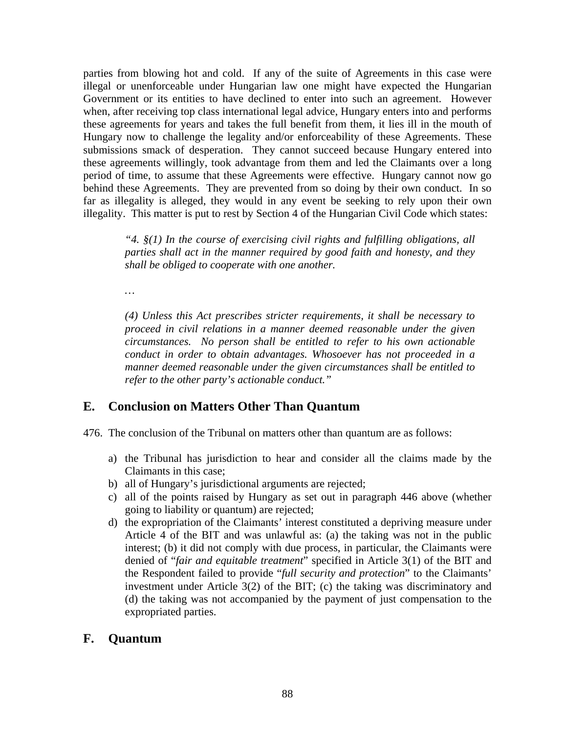parties from blowing hot and cold. If any of the suite of Agreements in this case were illegal or unenforceable under Hungarian law one might have expected the Hungarian Government or its entities to have declined to enter into such an agreement. However when, after receiving top class international legal advice, Hungary enters into and performs these agreements for years and takes the full benefit from them, it lies ill in the mouth of Hungary now to challenge the legality and/or enforceability of these Agreements. These submissions smack of desperation. They cannot succeed because Hungary entered into these agreements willingly, took advantage from them and led the Claimants over a long period of time, to assume that these Agreements were effective. Hungary cannot now go behind these Agreements. They are prevented from so doing by their own conduct. In so far as illegality is alleged, they would in any event be seeking to rely upon their own illegality. This matter is put to rest by Section 4 of the Hungarian Civil Code which states:

> *"4. §(1) In the course of exercising civil rights and fulfilling obligations, all parties shall act in the manner required by good faith and honesty, and they shall be obliged to cooperate with one another.*

*…* 

*(4) Unless this Act prescribes stricter requirements, it shall be necessary to proceed in civil relations in a manner deemed reasonable under the given circumstances. No person shall be entitled to refer to his own actionable conduct in order to obtain advantages. Whosoever has not proceeded in a manner deemed reasonable under the given circumstances shall be entitled to refer to the other party's actionable conduct."*

# **E. Conclusion on Matters Other Than Quantum**

476. The conclusion of the Tribunal on matters other than quantum are as follows:

- a) the Tribunal has jurisdiction to hear and consider all the claims made by the Claimants in this case;
- b) all of Hungary's jurisdictional arguments are rejected;
- c) all of the points raised by Hungary as set out in paragraph 446 above (whether going to liability or quantum) are rejected;
- d) the expropriation of the Claimants' interest constituted a depriving measure under Article 4 of the BIT and was unlawful as: (a) the taking was not in the public interest; (b) it did not comply with due process, in particular, the Claimants were denied of "*fair and equitable treatment*" specified in Article 3(1) of the BIT and the Respondent failed to provide "*full security and protection*" to the Claimants' investment under Article 3(2) of the BIT; (c) the taking was discriminatory and (d) the taking was not accompanied by the payment of just compensation to the expropriated parties.

# **F. Quantum**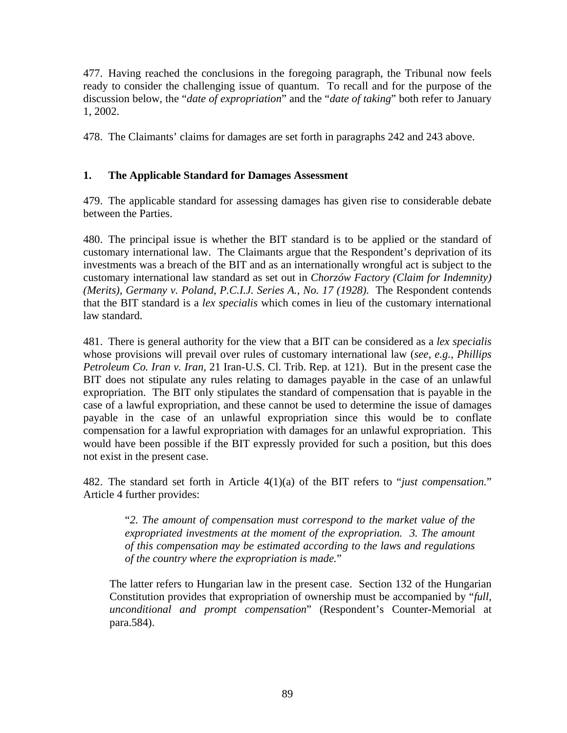477. Having reached the conclusions in the foregoing paragraph, the Tribunal now feels ready to consider the challenging issue of quantum. To recall and for the purpose of the discussion below, the "*date of expropriation*" and the "*date of taking*" both refer to January 1, 2002.

478. The Claimants' claims for damages are set forth in paragraphs 242 and 243 above.

## **1. The Applicable Standard for Damages Assessment**

479. The applicable standard for assessing damages has given rise to considerable debate between the Parties.

480. The principal issue is whether the BIT standard is to be applied or the standard of customary international law. The Claimants argue that the Respondent's deprivation of its investments was a breach of the BIT and as an internationally wrongful act is subject to the customary international law standard as set out in *Chorzów Factory (Claim for Indemnity) (Merits), Germany v. Poland, P.C.I.J. Series A., No. 17 (1928)*. The Respondent contends that the BIT standard is a *lex specialis* which comes in lieu of the customary international law standard.

481. There is general authority for the view that a BIT can be considered as a *lex specialis* whose provisions will prevail over rules of customary international law (*see*, *e.g.*, *Phillips Petroleum Co. Iran v. Iran*, 21 Iran-U.S. Cl. Trib. Rep. at 121). But in the present case the BIT does not stipulate any rules relating to damages payable in the case of an unlawful expropriation. The BIT only stipulates the standard of compensation that is payable in the case of a lawful expropriation, and these cannot be used to determine the issue of damages payable in the case of an unlawful expropriation since this would be to conflate compensation for a lawful expropriation with damages for an unlawful expropriation. This would have been possible if the BIT expressly provided for such a position, but this does not exist in the present case.

482. The standard set forth in Article 4(1)(a) of the BIT refers to "*just compensation.*" Article 4 further provides:

"*2. The amount of compensation must correspond to the market value of the expropriated investments at the moment of the expropriation. 3. The amount of this compensation may be estimated according to the laws and regulations of the country where the expropriation is made.*"

The latter refers to Hungarian law in the present case. Section 132 of the Hungarian Constitution provides that expropriation of ownership must be accompanied by "*full, unconditional and prompt compensation*" (Respondent's Counter-Memorial at para.584).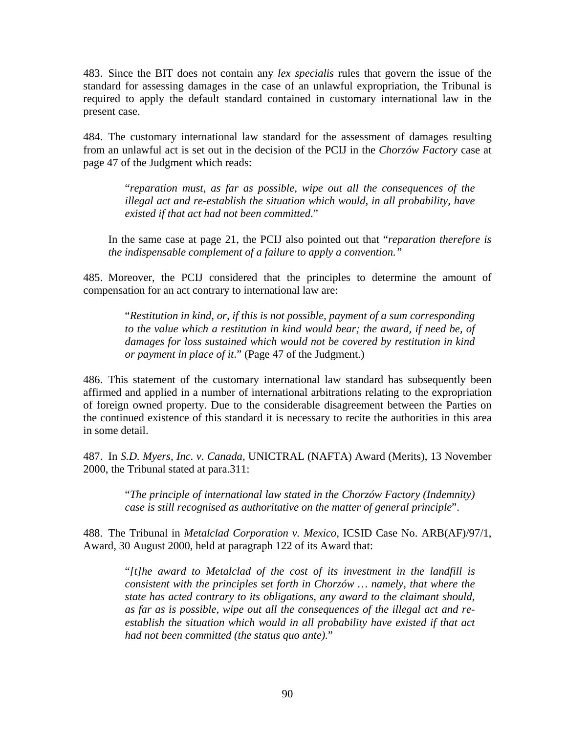483. Since the BIT does not contain any *lex specialis* rules that govern the issue of the standard for assessing damages in the case of an unlawful expropriation, the Tribunal is required to apply the default standard contained in customary international law in the present case.

484. The customary international law standard for the assessment of damages resulting from an unlawful act is set out in the decision of the PCIJ in the *Chorzów Factory* case at page 47 of the Judgment which reads:

> "*reparation must, as far as possible, wipe out all the consequences of the illegal act and re-establish the situation which would, in all probability, have existed if that act had not been committed*."

In the same case at page 21, the PCIJ also pointed out that "*reparation therefore is the indispensable complement of a failure to apply a convention."*

485. Moreover, the PCIJ considered that the principles to determine the amount of compensation for an act contrary to international law are:

"*Restitution in kind, or, if this is not possible, payment of a sum corresponding to the value which a restitution in kind would bear; the award, if need be, of damages for loss sustained which would not be covered by restitution in kind or payment in place of it*." (Page 47 of the Judgment.)

486. This statement of the customary international law standard has subsequently been affirmed and applied in a number of international arbitrations relating to the expropriation of foreign owned property. Due to the considerable disagreement between the Parties on the continued existence of this standard it is necessary to recite the authorities in this area in some detail.

487. In *[S.D. Myers, Inc. v. Canada](http://ita.law.uvic.ca/documents/SDMeyers-1stPartialAward.pdf)*, UNICTRAL (NAFTA) Award (Merits), 13 November 2000, the Tribunal stated at para.311:

"*The principle of international law stated in the Chorzów Factory (Indemnity) case is still recognised as authoritative on the matter of general principle*".

488. The Tribunal in *Metalclad Corporation v. Mexico*, ICSID Case No. ARB(AF)/97/1, Award, 30 August 2000, held at paragraph 122 of its Award that:

"*[t]he award to Metalclad of the cost of its investment in the landfill is consistent with the principles set forth in Chorzów … namely, that where the state has acted contrary to its obligations, any award to the claimant should, as far as is possible, wipe out all the consequences of the illegal act and reestablish the situation which would in all probability have existed if that act had not been committed (the status quo ante).*"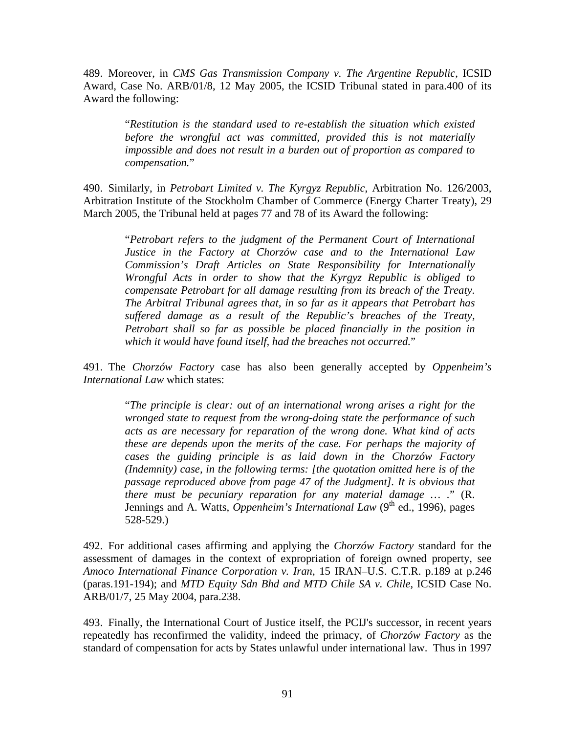489. Moreover, in *CMS Gas Transmission Company v. The Argentine Republic*, ICSID Award, Case No. ARB/01/8, 12 May 2005, the ICSID Tribunal stated in para.400 of its Award the following:

"*Restitution is the standard used to re-establish the situation which existed before the wrongful act was committed, provided this is not materially impossible and does not result in a burden out of proportion as compared to compensation.*"

490. Similarly, in *Petrobart Limited v. The Kyrgyz Republic*, Arbitration No. 126/2003, Arbitration Institute of the Stockholm Chamber of Commerce (Energy Charter Treaty), 29 March 2005, the Tribunal held at pages 77 and 78 of its Award the following:

"*Petrobart refers to the judgment of the Permanent Court of International Justice in the Factory at Chorzów case and to the International Law Commission's Draft Articles on State Responsibility for Internationally Wrongful Acts in order to show that the Kyrgyz Republic is obliged to compensate Petrobart for all damage resulting from its breach of the Treaty. The Arbitral Tribunal agrees that, in so far as it appears that Petrobart has suffered damage as a result of the Republic's breaches of the Treaty, Petrobart shall so far as possible be placed financially in the position in which it would have found itself, had the breaches not occurred.*"

491. The *Chorzów Factory* case has also been generally accepted by *Oppenheim's International Law* which states:

"*The principle is clear: out of an international wrong arises a right for the wronged state to request from the wrong-doing state the performance of such acts as are necessary for reparation of the wrong done. What kind of acts these are depends upon the merits of the case. For perhaps the majority of cases the guiding principle is as laid down in the Chorzów Factory (Indemnity) case, in the following terms: [the quotation omitted here is of the passage reproduced above from page 47 of the Judgment]. It is obvious that there must be pecuniary reparation for any material damage … .*" (R. Jennings and A. Watts, *Oppenheim's International Law* (9<sup>th</sup> ed., 1996), pages 528-529.)

492. For additional cases affirming and applying the *Chorzów Factory* standard for the assessment of damages in the context of expropriation of foreign owned property, see *Amoco International Finance Corporation v. Iran*, 15 IRAN–U.S. C.T.R. p.189 at p.246 (paras.191-194); and *MTD Equity Sdn Bhd and MTD Chile SA v. Chile*, ICSID Case No. ARB/01/7, 25 May 2004, para.238.

493. Finally, the International Court of Justice itself, the PCIJ's successor, in recent years repeatedly has reconfirmed the validity, indeed the primacy, of *Chorzów Factory* as the standard of compensation for acts by States unlawful under international law. Thus in 1997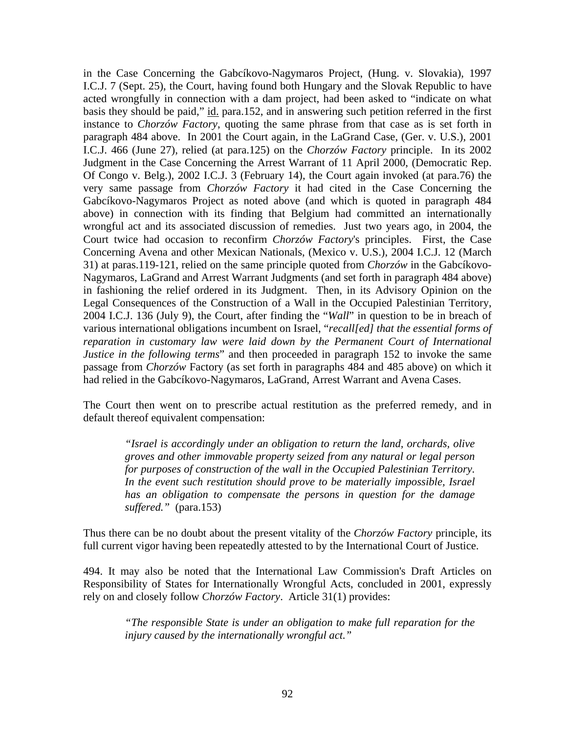in the Case Concerning the Gabcíkovo-Nagymaros Project, (Hung. v. Slovakia), 1997 I.C.J. 7 (Sept. 25), the Court, having found both Hungary and the Slovak Republic to have acted wrongfully in connection with a dam project, had been asked to "indicate on what basis they should be paid," id. para.152, and in answering such petition referred in the first instance to *Chorzów Factory*, quoting the same phrase from that case as is set forth in paragraph 484 above. In 2001 the Court again, in the LaGrand Case, (Ger. v. U.S.), 2001 I.C.J. 466 (June 27), relied (at para.125) on the *Chorzów Factory* principle. In its 2002 Judgment in the Case Concerning the Arrest Warrant of 11 April 2000, (Democratic Rep. Of Congo v. Belg.), 2002 I.C.J. 3 (February 14), the Court again invoked (at para.76) the very same passage from *Chorzów Factory* it had cited in the Case Concerning the Gabcíkovo-Nagymaros Project as noted above (and which is quoted in paragraph 484 above) in connection with its finding that Belgium had committed an internationally wrongful act and its associated discussion of remedies. Just two years ago, in 2004, the Court twice had occasion to reconfirm *Chorzów Factory*'s principles. First, the Case Concerning Avena and other Mexican Nationals, (Mexico v. U.S.), 2004 I.C.J. 12 (March 31) at paras.119-121, relied on the same principle quoted from *Chorzów* in the Gabcíkovo-Nagymaros, LaGrand and Arrest Warrant Judgments (and set forth in paragraph 484 above) in fashioning the relief ordered in its Judgment. Then, in its Advisory Opinion on the Legal Consequences of the Construction of a Wall in the Occupied Palestinian Territory, 2004 I.C.J. 136 (July 9), the Court, after finding the "*Wall*" in question to be in breach of various international obligations incumbent on Israel, "*recall[ed] that the essential forms of reparation in customary law were laid down by the Permanent Court of International Justice in the following terms*" and then proceeded in paragraph 152 to invoke the same passage from *Chorzów* Factory (as set forth in paragraphs 484 and 485 above) on which it had relied in the Gabcíkovo-Nagymaros, LaGrand, Arrest Warrant and Avena Cases.

The Court then went on to prescribe actual restitution as the preferred remedy, and in default thereof equivalent compensation:

*"Israel is accordingly under an obligation to return the land, orchards, olive groves and other immovable property seized from any natural or legal person for purposes of construction of the wall in the Occupied Palestinian Territory. In the event such restitution should prove to be materially impossible, Israel has an obligation to compensate the persons in question for the damage suffered."* (para.153)

Thus there can be no doubt about the present vitality of the *Chorzów Factory* principle, its full current vigor having been repeatedly attested to by the International Court of Justice.

494. It may also be noted that the International Law Commission's Draft Articles on Responsibility of States for Internationally Wrongful Acts, concluded in 2001, expressly rely on and closely follow *Chorzów Factory*. Article 31(1) provides:

*"The responsible State is under an obligation to make full reparation for the injury caused by the internationally wrongful act."*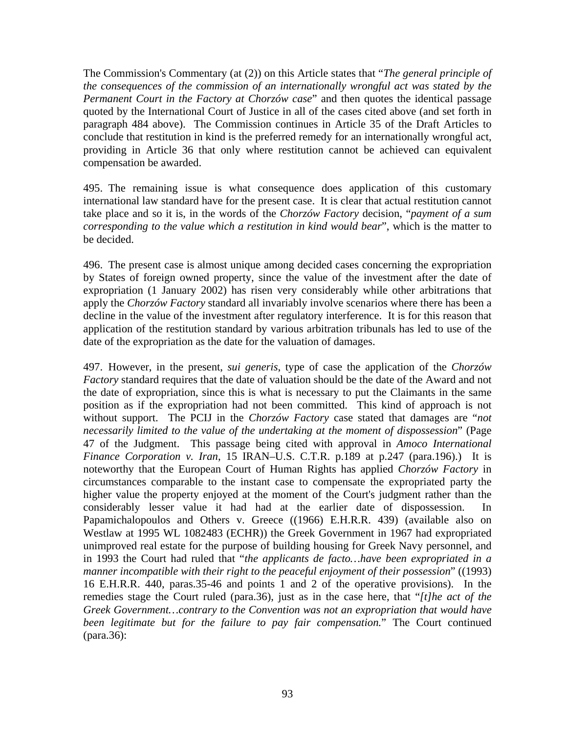The Commission's Commentary (at (2)) on this Article states that "*The general principle of the consequences of the commission of an internationally wrongful act was stated by the Permanent Court in the Factory at Chorzów case*" and then quotes the identical passage quoted by the International Court of Justice in all of the cases cited above (and set forth in paragraph 484 above). The Commission continues in Article 35 of the Draft Articles to conclude that restitution in kind is the preferred remedy for an internationally wrongful act, providing in Article 36 that only where restitution cannot be achieved can equivalent compensation be awarded.

495. The remaining issue is what consequence does application of this customary international law standard have for the present case. It is clear that actual restitution cannot take place and so it is, in the words of the *Chorzów Factory* decision, "*payment of a sum corresponding to the value which a restitution in kind would bear*", which is the matter to be decided.

496. The present case is almost unique among decided cases concerning the expropriation by States of foreign owned property, since the value of the investment after the date of expropriation (1 January 2002) has risen very considerably while other arbitrations that apply the *Chorzów Factory* standard all invariably involve scenarios where there has been a decline in the value of the investment after regulatory interference. It is for this reason that application of the restitution standard by various arbitration tribunals has led to use of the date of the expropriation as the date for the valuation of damages.

497. However, in the present, *sui generis*, type of case the application of the *Chorzów Factory* standard requires that the date of valuation should be the date of the Award and not the date of expropriation, since this is what is necessary to put the Claimants in the same position as if the expropriation had not been committed. This kind of approach is not without support. The PCIJ in the *Chorzów Factory* case stated that damages are "*not necessarily limited to the value of the undertaking at the moment of dispossession*" (Page 47 of the Judgment. This passage being cited with approval in *Amoco International Finance Corporation v. Iran*, 15 IRAN–U.S. C.T.R. p.189 at p.247 (para.196).) It is noteworthy that the European Court of Human Rights has applied *Chorzów Factory* in circumstances comparable to the instant case to compensate the expropriated party the higher value the property enjoyed at the moment of the Court's judgment rather than the considerably lesser value it had had at the earlier date of dispossession. In Papamichalopoulos and Others v. Greece ((1966) E.H.R.R. 439) (available also on Westlaw at 1995 WL 1082483 (ECHR)) the Greek Government in 1967 had expropriated unimproved real estate for the purpose of building housing for Greek Navy personnel, and in 1993 the Court had ruled that "*the applicants de facto…have been expropriated in a manner incompatible with their right to the peaceful enjoyment of their possession*" ((1993) 16 E.H.R.R. 440, paras.35-46 and points 1 and 2 of the operative provisions). In the remedies stage the Court ruled (para.36), just as in the case here, that "*[t]he act of the Greek Government…contrary to the Convention was not an expropriation that would have been legitimate but for the failure to pay fair compensation.*" The Court continued (para.36):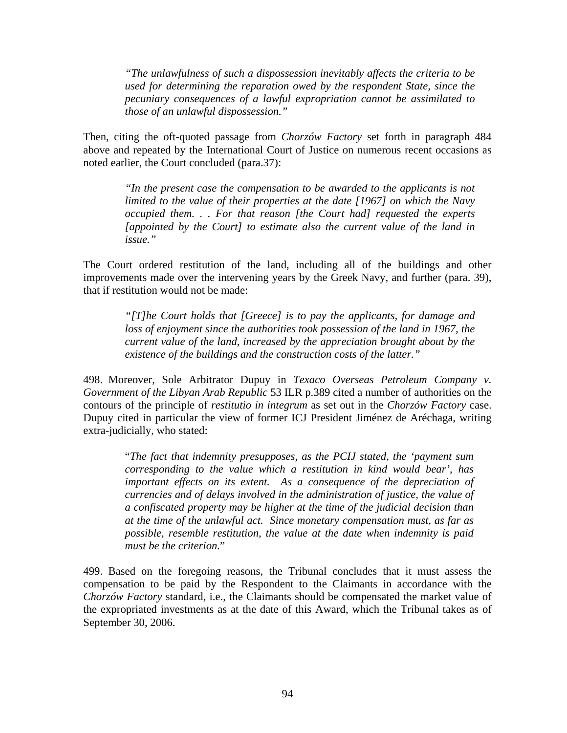*"The unlawfulness of such a dispossession inevitably affects the criteria to be used for determining the reparation owed by the respondent State, since the pecuniary consequences of a lawful expropriation cannot be assimilated to those of an unlawful dispossession."* 

Then, citing the oft-quoted passage from *Chorzów Factory* set forth in paragraph 484 above and repeated by the International Court of Justice on numerous recent occasions as noted earlier, the Court concluded (para.37):

> *"In the present case the compensation to be awarded to the applicants is not limited to the value of their properties at the date [1967] on which the Navy occupied them. . . For that reason [the Court had] requested the experts [appointed by the Court] to estimate also the current value of the land in issue."*

The Court ordered restitution of the land, including all of the buildings and other improvements made over the intervening years by the Greek Navy, and further (para. 39), that if restitution would not be made:

> *"[T]he Court holds that [Greece] is to pay the applicants, for damage and loss of enjoyment since the authorities took possession of the land in 1967, the current value of the land, increased by the appreciation brought about by the existence of the buildings and the construction costs of the latter."*

498. Moreover, Sole Arbitrator Dupuy in *Texaco Overseas Petroleum Company v. Government of the Libyan Arab Republic* 53 ILR p.389 cited a number of authorities on the contours of the principle of *restitutio in integrum* as set out in the *Chorzów Factory* case. Dupuy cited in particular the view of former ICJ President Jiménez de Aréchaga, writing extra-judicially, who stated:

"*The fact that indemnity presupposes, as the PCIJ stated, the 'payment sum corresponding to the value which a restitution in kind would bear', has important effects on its extent. As a consequence of the depreciation of currencies and of delays involved in the administration of justice, the value of a confiscated property may be higher at the time of the judicial decision than at the time of the unlawful act. Since monetary compensation must, as far as possible, resemble restitution, the value at the date when indemnity is paid must be the criterion.*"

499. Based on the foregoing reasons, the Tribunal concludes that it must assess the compensation to be paid by the Respondent to the Claimants in accordance with the *Chorzów Factory* standard, i.e., the Claimants should be compensated the market value of the expropriated investments as at the date of this Award, which the Tribunal takes as of September 30, 2006.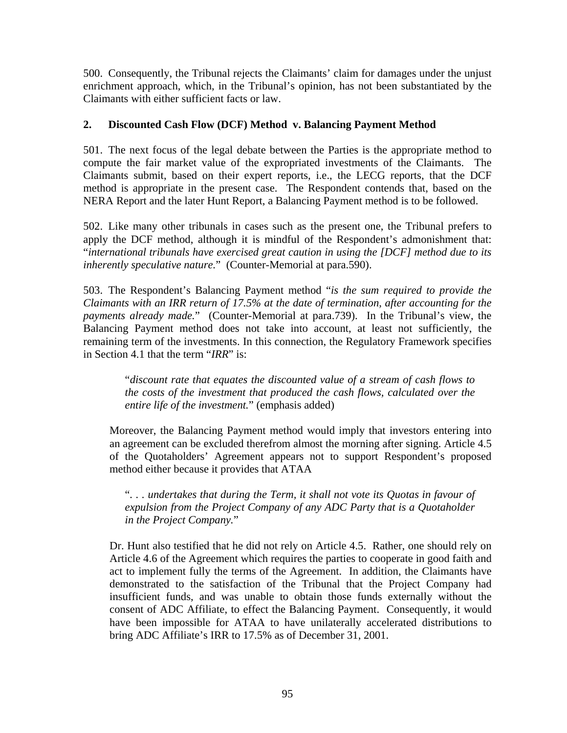500. Consequently, the Tribunal rejects the Claimants' claim for damages under the unjust enrichment approach, which, in the Tribunal's opinion, has not been substantiated by the Claimants with either sufficient facts or law.

### **2. Discounted Cash Flow (DCF) Method v. Balancing Payment Method**

501. The next focus of the legal debate between the Parties is the appropriate method to compute the fair market value of the expropriated investments of the Claimants. The Claimants submit, based on their expert reports, i.e., the LECG reports, that the DCF method is appropriate in the present case. The Respondent contends that, based on the NERA Report and the later Hunt Report, a Balancing Payment method is to be followed.

502. Like many other tribunals in cases such as the present one, the Tribunal prefers to apply the DCF method, although it is mindful of the Respondent's admonishment that: "*international tribunals have exercised great caution in using the [DCF] method due to its inherently speculative nature.*" (Counter-Memorial at para.590).

503. The Respondent's Balancing Payment method "*is the sum required to provide the Claimants with an IRR return of 17.5% at the date of termination, after accounting for the payments already made.*" (Counter-Memorial at para.739). In the Tribunal's view, the Balancing Payment method does not take into account, at least not sufficiently, the remaining term of the investments. In this connection, the Regulatory Framework specifies in Section 4.1 that the term "*IRR*" is:

"*discount rate that equates the discounted value of a stream of cash flows to the costs of the investment that produced the cash flows, calculated over the entire life of the investment.*" (emphasis added)

Moreover, the Balancing Payment method would imply that investors entering into an agreement can be excluded therefrom almost the morning after signing. Article 4.5 of the Quotaholders' Agreement appears not to support Respondent's proposed method either because it provides that ATAA

"*. . . undertakes that during the Term, it shall not vote its Quotas in favour of expulsion from the Project Company of any ADC Party that is a Quotaholder in the Project Company.*"

Dr. Hunt also testified that he did not rely on Article 4.5. Rather, one should rely on Article 4.6 of the Agreement which requires the parties to cooperate in good faith and act to implement fully the terms of the Agreement. In addition, the Claimants have demonstrated to the satisfaction of the Tribunal that the Project Company had insufficient funds, and was unable to obtain those funds externally without the consent of ADC Affiliate, to effect the Balancing Payment. Consequently, it would have been impossible for ATAA to have unilaterally accelerated distributions to bring ADC Affiliate's IRR to 17.5% as of December 31, 2001.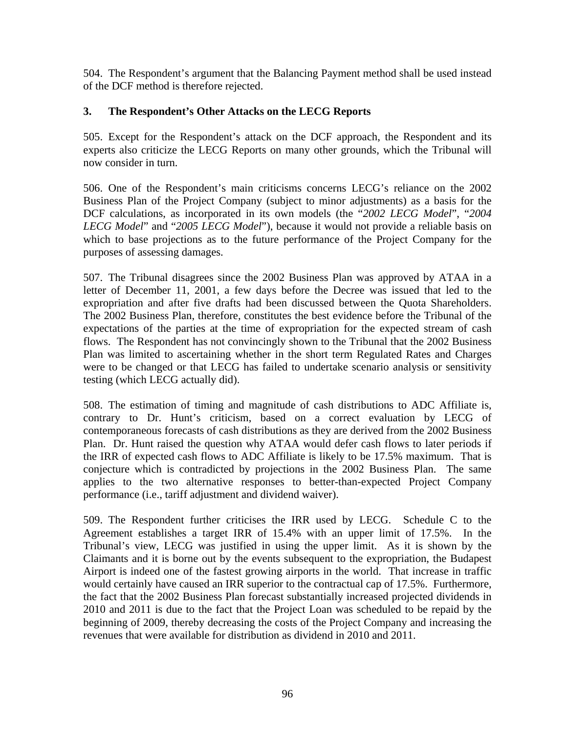504. The Respondent's argument that the Balancing Payment method shall be used instead of the DCF method is therefore rejected.

### **3. The Respondent's Other Attacks on the LECG Reports**

505. Except for the Respondent's attack on the DCF approach, the Respondent and its experts also criticize the LECG Reports on many other grounds, which the Tribunal will now consider in turn.

506. One of the Respondent's main criticisms concerns LECG's reliance on the 2002 Business Plan of the Project Company (subject to minor adjustments) as a basis for the DCF calculations, as incorporated in its own models (the "*2002 LECG Model*", "*2004 LECG Model*" and "*2005 LECG Model*"), because it would not provide a reliable basis on which to base projections as to the future performance of the Project Company for the purposes of assessing damages.

507. The Tribunal disagrees since the 2002 Business Plan was approved by ATAA in a letter of December 11, 2001, a few days before the Decree was issued that led to the expropriation and after five drafts had been discussed between the Quota Shareholders. The 2002 Business Plan, therefore, constitutes the best evidence before the Tribunal of the expectations of the parties at the time of expropriation for the expected stream of cash flows. The Respondent has not convincingly shown to the Tribunal that the 2002 Business Plan was limited to ascertaining whether in the short term Regulated Rates and Charges were to be changed or that LECG has failed to undertake scenario analysis or sensitivity testing (which LECG actually did).

508. The estimation of timing and magnitude of cash distributions to ADC Affiliate is, contrary to Dr. Hunt's criticism, based on a correct evaluation by LECG of contemporaneous forecasts of cash distributions as they are derived from the 2002 Business Plan. Dr. Hunt raised the question why ATAA would defer cash flows to later periods if the IRR of expected cash flows to ADC Affiliate is likely to be 17.5% maximum. That is conjecture which is contradicted by projections in the 2002 Business Plan. The same applies to the two alternative responses to better-than-expected Project Company performance (i.e., tariff adjustment and dividend waiver).

509. The Respondent further criticises the IRR used by LECG. Schedule C to the Agreement establishes a target IRR of 15.4% with an upper limit of 17.5%. In the Tribunal's view, LECG was justified in using the upper limit. As it is shown by the Claimants and it is borne out by the events subsequent to the expropriation, the Budapest Airport is indeed one of the fastest growing airports in the world. That increase in traffic would certainly have caused an IRR superior to the contractual cap of 17.5%. Furthermore, the fact that the 2002 Business Plan forecast substantially increased projected dividends in 2010 and 2011 is due to the fact that the Project Loan was scheduled to be repaid by the beginning of 2009, thereby decreasing the costs of the Project Company and increasing the revenues that were available for distribution as dividend in 2010 and 2011.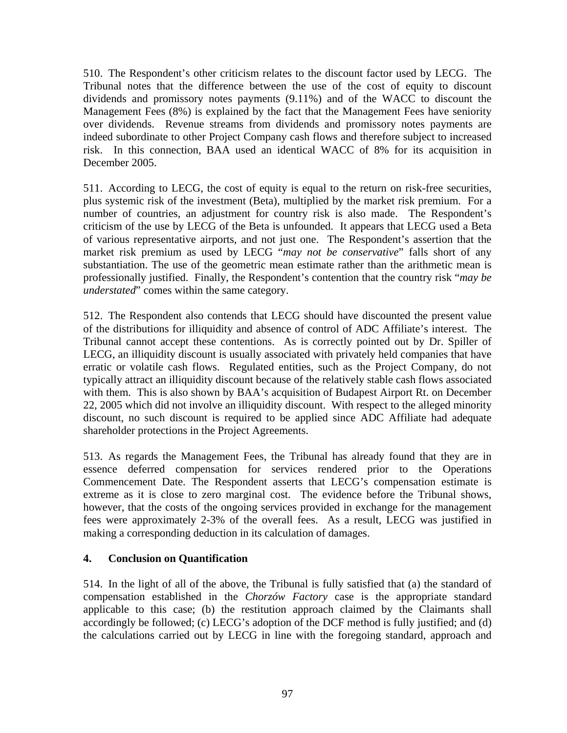510. The Respondent's other criticism relates to the discount factor used by LECG. The Tribunal notes that the difference between the use of the cost of equity to discount dividends and promissory notes payments (9.11%) and of the WACC to discount the Management Fees (8%) is explained by the fact that the Management Fees have seniority over dividends. Revenue streams from dividends and promissory notes payments are indeed subordinate to other Project Company cash flows and therefore subject to increased risk. In this connection, BAA used an identical WACC of 8% for its acquisition in December 2005.

511. According to LECG, the cost of equity is equal to the return on risk-free securities, plus systemic risk of the investment (Beta), multiplied by the market risk premium. For a number of countries, an adjustment for country risk is also made. The Respondent's criticism of the use by LECG of the Beta is unfounded. It appears that LECG used a Beta of various representative airports, and not just one. The Respondent's assertion that the market risk premium as used by LECG "*may not be conservative*" falls short of any substantiation. The use of the geometric mean estimate rather than the arithmetic mean is professionally justified. Finally, the Respondent's contention that the country risk "*may be understated*" comes within the same category.

512. The Respondent also contends that LECG should have discounted the present value of the distributions for illiquidity and absence of control of ADC Affiliate's interest. The Tribunal cannot accept these contentions. As is correctly pointed out by Dr. Spiller of LECG, an illiquidity discount is usually associated with privately held companies that have erratic or volatile cash flows. Regulated entities, such as the Project Company, do not typically attract an illiquidity discount because of the relatively stable cash flows associated with them. This is also shown by BAA's acquisition of Budapest Airport Rt. on December 22, 2005 which did not involve an illiquidity discount. With respect to the alleged minority discount, no such discount is required to be applied since ADC Affiliate had adequate shareholder protections in the Project Agreements.

513. As regards the Management Fees, the Tribunal has already found that they are in essence deferred compensation for services rendered prior to the Operations Commencement Date. The Respondent asserts that LECG's compensation estimate is extreme as it is close to zero marginal cost. The evidence before the Tribunal shows, however, that the costs of the ongoing services provided in exchange for the management fees were approximately 2-3% of the overall fees. As a result, LECG was justified in making a corresponding deduction in its calculation of damages.

### **4. Conclusion on Quantification**

514. In the light of all of the above, the Tribunal is fully satisfied that (a) the standard of compensation established in the *Chorzów Factory* case is the appropriate standard applicable to this case; (b) the restitution approach claimed by the Claimants shall accordingly be followed; (c) LECG's adoption of the DCF method is fully justified; and (d) the calculations carried out by LECG in line with the foregoing standard, approach and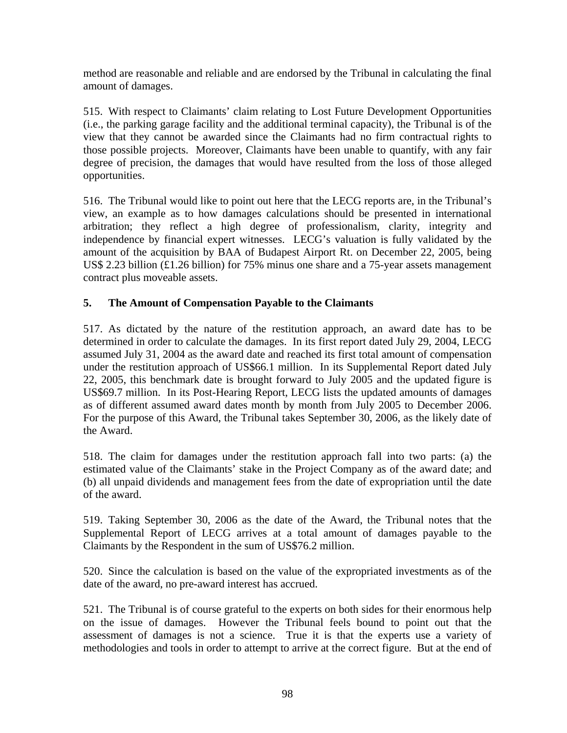method are reasonable and reliable and are endorsed by the Tribunal in calculating the final amount of damages.

515. With respect to Claimants' claim relating to Lost Future Development Opportunities (i.e., the parking garage facility and the additional terminal capacity), the Tribunal is of the view that they cannot be awarded since the Claimants had no firm contractual rights to those possible projects. Moreover, Claimants have been unable to quantify, with any fair degree of precision, the damages that would have resulted from the loss of those alleged opportunities.

516. The Tribunal would like to point out here that the LECG reports are, in the Tribunal's view, an example as to how damages calculations should be presented in international arbitration; they reflect a high degree of professionalism, clarity, integrity and independence by financial expert witnesses. LECG's valuation is fully validated by the amount of the acquisition by BAA of Budapest Airport Rt. on December 22, 2005, being US\$ 2.23 billion (£1.26 billion) for 75% minus one share and a 75-year assets management contract plus moveable assets.

## **5. The Amount of Compensation Payable to the Claimants**

517. As dictated by the nature of the restitution approach, an award date has to be determined in order to calculate the damages. In its first report dated July 29, 2004, LECG assumed July 31, 2004 as the award date and reached its first total amount of compensation under the restitution approach of US\$66.1 million. In its Supplemental Report dated July 22, 2005, this benchmark date is brought forward to July 2005 and the updated figure is US\$69.7 million. In its Post-Hearing Report, LECG lists the updated amounts of damages as of different assumed award dates month by month from July 2005 to December 2006. For the purpose of this Award, the Tribunal takes September 30, 2006, as the likely date of the Award.

518. The claim for damages under the restitution approach fall into two parts: (a) the estimated value of the Claimants' stake in the Project Company as of the award date; and (b) all unpaid dividends and management fees from the date of expropriation until the date of the award.

519. Taking September 30, 2006 as the date of the Award, the Tribunal notes that the Supplemental Report of LECG arrives at a total amount of damages payable to the Claimants by the Respondent in the sum of US\$76.2 million.

520. Since the calculation is based on the value of the expropriated investments as of the date of the award, no pre-award interest has accrued.

521. The Tribunal is of course grateful to the experts on both sides for their enormous help on the issue of damages. However the Tribunal feels bound to point out that the assessment of damages is not a science. True it is that the experts use a variety of methodologies and tools in order to attempt to arrive at the correct figure. But at the end of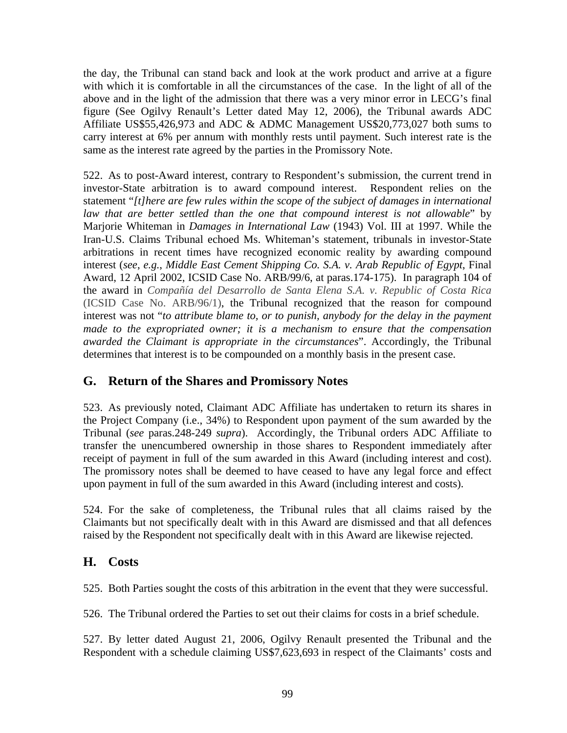the day, the Tribunal can stand back and look at the work product and arrive at a figure with which it is comfortable in all the circumstances of the case. In the light of all of the above and in the light of the admission that there was a very minor error in LECG's final figure (See Ogilvy Renault's Letter dated May 12, 2006), the Tribunal awards ADC Affiliate US\$55,426,973 and ADC & ADMC Management US\$20,773,027 both sums to carry interest at 6% per annum with monthly rests until payment. Such interest rate is the same as the interest rate agreed by the parties in the Promissory Note.

522. As to post-Award interest, contrary to Respondent's submission, the current trend in investor-State arbitration is to award compound interest. Respondent relies on the statement "*[t]here are few rules within the scope of the subject of damages in international law that are better settled than the one that compound interest is not allowable*" by Marjorie Whiteman in *Damages in International Law* (1943) Vol. III at 1997. While the Iran-U.S. Claims Tribunal echoed Ms. Whiteman's statement, tribunals in investor-State arbitrations in recent times have recognized economic reality by awarding compound interest (*see*, *e.g.*, *Middle East Cement Shipping Co. S.A. v. Arab Republic of Egypt*, Final Award, 12 April 2002, ICSID Case No. ARB/99/6, at paras.174-175). In paragraph 104 of the award in *Compañía del Desarrollo de Santa Elena S.A. v. Republic of Costa Rica*  (ICSID Case No. ARB/96/1), the Tribunal recognized that the reason for compound interest was not "*to attribute blame to, or to punish, anybody for the delay in the payment made to the expropriated owner; it is a mechanism to ensure that the compensation awarded the Claimant is appropriate in the circumstances*". Accordingly, the Tribunal determines that interest is to be compounded on a monthly basis in the present case.

# **G. Return of the Shares and Promissory Notes**

523. As previously noted, Claimant ADC Affiliate has undertaken to return its shares in the Project Company (i.e., 34%) to Respondent upon payment of the sum awarded by the Tribunal (*see* paras.248-249 *supra*). Accordingly, the Tribunal orders ADC Affiliate to transfer the unencumbered ownership in those shares to Respondent immediately after receipt of payment in full of the sum awarded in this Award (including interest and cost). The promissory notes shall be deemed to have ceased to have any legal force and effect upon payment in full of the sum awarded in this Award (including interest and costs).

524. For the sake of completeness, the Tribunal rules that all claims raised by the Claimants but not specifically dealt with in this Award are dismissed and that all defences raised by the Respondent not specifically dealt with in this Award are likewise rejected.

# **H. Costs**

525. Both Parties sought the costs of this arbitration in the event that they were successful.

526. The Tribunal ordered the Parties to set out their claims for costs in a brief schedule.

527. By letter dated August 21, 2006, Ogilvy Renault presented the Tribunal and the Respondent with a schedule claiming US\$7,623,693 in respect of the Claimants' costs and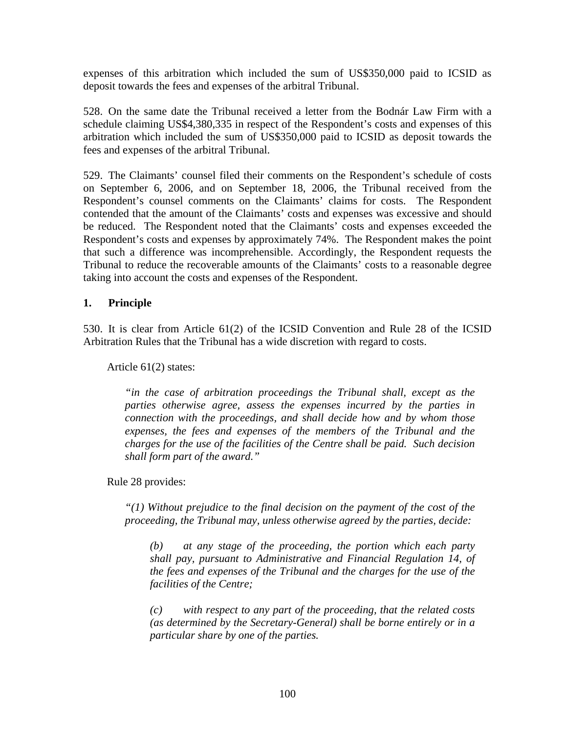expenses of this arbitration which included the sum of US\$350,000 paid to ICSID as deposit towards the fees and expenses of the arbitral Tribunal.

528. On the same date the Tribunal received a letter from the Bodnár Law Firm with a schedule claiming US\$4,380,335 in respect of the Respondent's costs and expenses of this arbitration which included the sum of US\$350,000 paid to ICSID as deposit towards the fees and expenses of the arbitral Tribunal.

529. The Claimants' counsel filed their comments on the Respondent's schedule of costs on September 6, 2006, and on September 18, 2006, the Tribunal received from the Respondent's counsel comments on the Claimants' claims for costs. The Respondent contended that the amount of the Claimants' costs and expenses was excessive and should be reduced. The Respondent noted that the Claimants' costs and expenses exceeded the Respondent's costs and expenses by approximately 74%. The Respondent makes the point that such a difference was incomprehensible. Accordingly, the Respondent requests the Tribunal to reduce the recoverable amounts of the Claimants' costs to a reasonable degree taking into account the costs and expenses of the Respondent.

### **1. Principle**

530. It is clear from Article 61(2) of the ICSID Convention and Rule 28 of the ICSID Arbitration Rules that the Tribunal has a wide discretion with regard to costs.

Article 61(2) states:

*"in the case of arbitration proceedings the Tribunal shall, except as the parties otherwise agree, assess the expenses incurred by the parties in connection with the proceedings, and shall decide how and by whom those expenses, the fees and expenses of the members of the Tribunal and the charges for the use of the facilities of the Centre shall be paid. Such decision shall form part of the award."* 

Rule 28 provides:

*"(1) Without prejudice to the final decision on the payment of the cost of the proceeding, the Tribunal may, unless otherwise agreed by the parties, decide:* 

*(b) at any stage of the proceeding, the portion which each party shall pay, pursuant to Administrative and Financial Regulation 14, of the fees and expenses of the Tribunal and the charges for the use of the facilities of the Centre;* 

*(c) with respect to any part of the proceeding, that the related costs (as determined by the Secretary-General) shall be borne entirely or in a particular share by one of the parties.*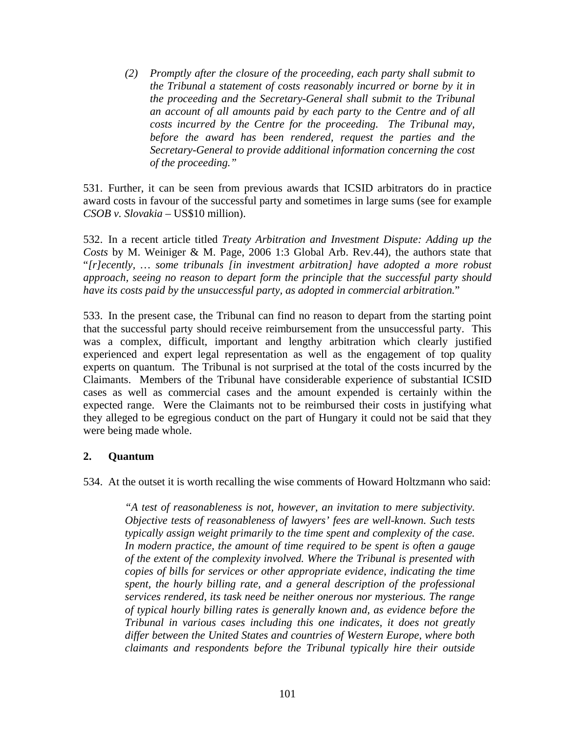*(2) Promptly after the closure of the proceeding, each party shall submit to the Tribunal a statement of costs reasonably incurred or borne by it in the proceeding and the Secretary-General shall submit to the Tribunal an account of all amounts paid by each party to the Centre and of all costs incurred by the Centre for the proceeding. The Tribunal may, before the award has been rendered, request the parties and the Secretary-General to provide additional information concerning the cost of the proceeding."* 

531. Further, it can be seen from previous awards that ICSID arbitrators do in practice award costs in favour of the successful party and sometimes in large sums (see for example *CSOB v. Slovakia* – US\$10 million).

532. In a recent article titled *Treaty Arbitration and Investment Dispute: Adding up the Costs* by M. Weiniger & M. Page, 2006 1:3 Global Arb. Rev.44), the authors state that "*[r]ecently, … some tribunals [in investment arbitration] have adopted a more robust approach, seeing no reason to depart form the principle that the successful party should have its costs paid by the unsuccessful party, as adopted in commercial arbitration.*"

533. In the present case, the Tribunal can find no reason to depart from the starting point that the successful party should receive reimbursement from the unsuccessful party. This was a complex, difficult, important and lengthy arbitration which clearly justified experienced and expert legal representation as well as the engagement of top quality experts on quantum. The Tribunal is not surprised at the total of the costs incurred by the Claimants. Members of the Tribunal have considerable experience of substantial ICSID cases as well as commercial cases and the amount expended is certainly within the expected range. Were the Claimants not to be reimbursed their costs in justifying what they alleged to be egregious conduct on the part of Hungary it could not be said that they were being made whole.

### **2. Quantum**

534. At the outset it is worth recalling the wise comments of Howard Holtzmann who said:

*"A test of reasonableness is not, however, an invitation to mere subjectivity. Objective tests of reasonableness of lawyers' fees are well-known. Such tests typically assign weight primarily to the time spent and complexity of the case. In modern practice, the amount of time required to be spent is often a gauge of the extent of the complexity involved. Where the Tribunal is presented with copies of bills for services or other appropriate evidence, indicating the time spent, the hourly billing rate, and a general description of the professional services rendered, its task need be neither onerous nor mysterious. The range of typical hourly billing rates is generally known and, as evidence before the Tribunal in various cases including this one indicates, it does not greatly differ between the United States and countries of Western Europe, where both claimants and respondents before the Tribunal typically hire their outside*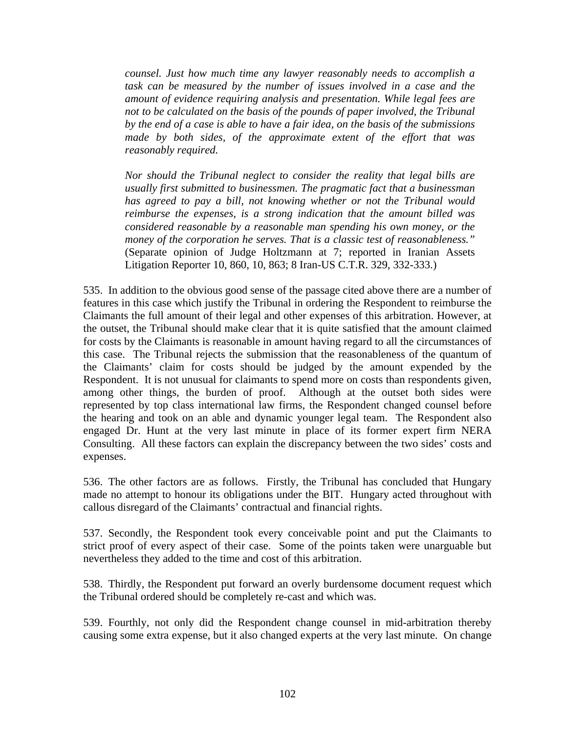*counsel. Just how much time any lawyer reasonably needs to accomplish a task can be measured by the number of issues involved in a case and the amount of evidence requiring analysis and presentation. While legal fees are not to be calculated on the basis of the pounds of paper involved, the Tribunal by the end of a case is able to have a fair idea, on the basis of the submissions made by both sides, of the approximate extent of the effort that was reasonably required.* 

*Nor should the Tribunal neglect to consider the reality that legal bills are usually first submitted to businessmen. The pragmatic fact that a businessman has agreed to pay a bill, not knowing whether or not the Tribunal would reimburse the expenses, is a strong indication that the amount billed was considered reasonable by a reasonable man spending his own money, or the money of the corporation he serves. That is a classic test of reasonableness."* (Separate opinion of Judge Holtzmann at 7; reported in Iranian Assets Litigation Reporter 10, 860, 10, 863; 8 Iran-US C.T.R. 329, 332-333.)

535. In addition to the obvious good sense of the passage cited above there are a number of features in this case which justify the Tribunal in ordering the Respondent to reimburse the Claimants the full amount of their legal and other expenses of this arbitration. However, at the outset, the Tribunal should make clear that it is quite satisfied that the amount claimed for costs by the Claimants is reasonable in amount having regard to all the circumstances of this case. The Tribunal rejects the submission that the reasonableness of the quantum of the Claimants' claim for costs should be judged by the amount expended by the Respondent. It is not unusual for claimants to spend more on costs than respondents given, among other things, the burden of proof. Although at the outset both sides were represented by top class international law firms, the Respondent changed counsel before the hearing and took on an able and dynamic younger legal team. The Respondent also engaged Dr. Hunt at the very last minute in place of its former expert firm NERA Consulting. All these factors can explain the discrepancy between the two sides' costs and expenses.

536. The other factors are as follows. Firstly, the Tribunal has concluded that Hungary made no attempt to honour its obligations under the BIT. Hungary acted throughout with callous disregard of the Claimants' contractual and financial rights.

537. Secondly, the Respondent took every conceivable point and put the Claimants to strict proof of every aspect of their case. Some of the points taken were unarguable but nevertheless they added to the time and cost of this arbitration.

538. Thirdly, the Respondent put forward an overly burdensome document request which the Tribunal ordered should be completely re-cast and which was.

539. Fourthly, not only did the Respondent change counsel in mid-arbitration thereby causing some extra expense, but it also changed experts at the very last minute. On change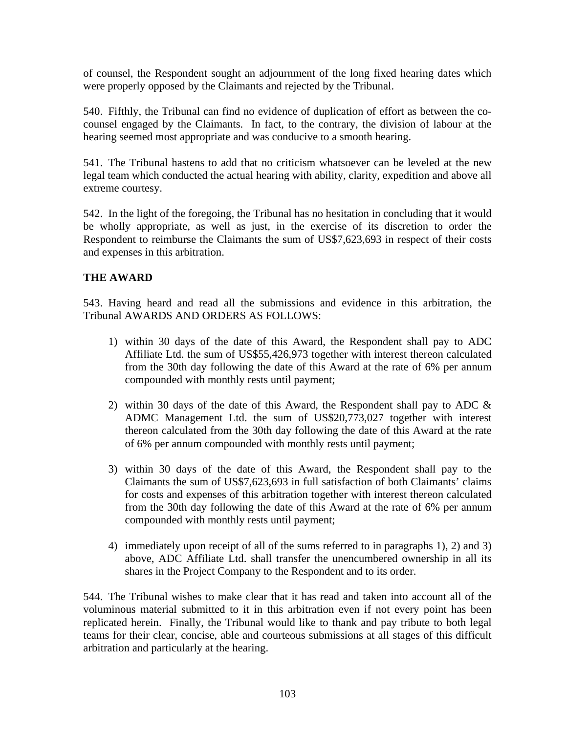of counsel, the Respondent sought an adjournment of the long fixed hearing dates which were properly opposed by the Claimants and rejected by the Tribunal.

540. Fifthly, the Tribunal can find no evidence of duplication of effort as between the cocounsel engaged by the Claimants. In fact, to the contrary, the division of labour at the hearing seemed most appropriate and was conducive to a smooth hearing.

541. The Tribunal hastens to add that no criticism whatsoever can be leveled at the new legal team which conducted the actual hearing with ability, clarity, expedition and above all extreme courtesy.

542. In the light of the foregoing, the Tribunal has no hesitation in concluding that it would be wholly appropriate, as well as just, in the exercise of its discretion to order the Respondent to reimburse the Claimants the sum of US\$7,623,693 in respect of their costs and expenses in this arbitration.

# **THE AWARD**

543. Having heard and read all the submissions and evidence in this arbitration, the Tribunal AWARDS AND ORDERS AS FOLLOWS:

- 1) within 30 days of the date of this Award, the Respondent shall pay to ADC Affiliate Ltd. the sum of US\$55,426,973 together with interest thereon calculated from the 30th day following the date of this Award at the rate of 6% per annum compounded with monthly rests until payment;
- 2) within 30 days of the date of this Award, the Respondent shall pay to ADC  $\&$ ADMC Management Ltd. the sum of US\$20,773,027 together with interest thereon calculated from the 30th day following the date of this Award at the rate of 6% per annum compounded with monthly rests until payment;
- 3) within 30 days of the date of this Award, the Respondent shall pay to the Claimants the sum of US\$7,623,693 in full satisfaction of both Claimants' claims for costs and expenses of this arbitration together with interest thereon calculated from the 30th day following the date of this Award at the rate of 6% per annum compounded with monthly rests until payment;
- 4) immediately upon receipt of all of the sums referred to in paragraphs 1), 2) and 3) above, ADC Affiliate Ltd. shall transfer the unencumbered ownership in all its shares in the Project Company to the Respondent and to its order.

544. The Tribunal wishes to make clear that it has read and taken into account all of the voluminous material submitted to it in this arbitration even if not every point has been replicated herein. Finally, the Tribunal would like to thank and pay tribute to both legal teams for their clear, concise, able and courteous submissions at all stages of this difficult arbitration and particularly at the hearing.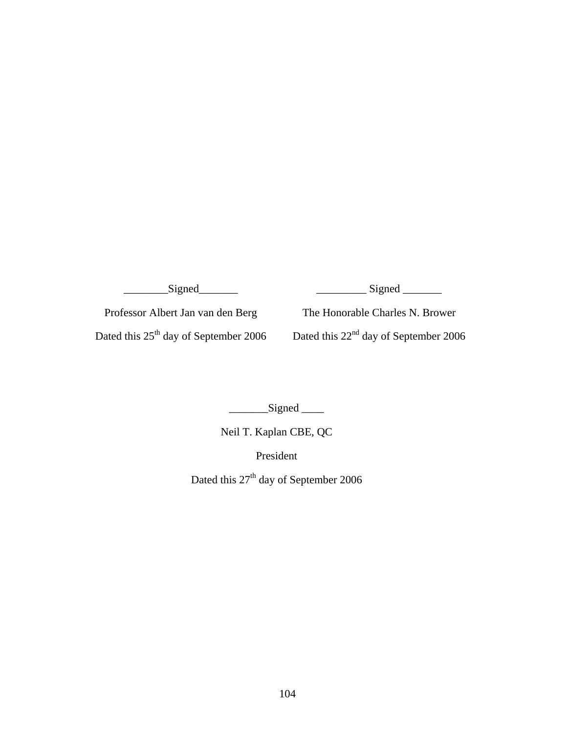\_\_\_\_\_\_\_\_Signed\_\_\_\_\_\_\_

 $\frac{\text{Signed}}{\text{Signed}}$ 

Professor Albert Jan van den Berg

Dated this  $25<sup>th</sup>$  day of September 2006

Dated this 22<sup>nd</sup> day of September 2006

The Honorable Charles N. Brower

 $Signed$ 

Neil T. Kaplan CBE, QC

President

Dated this 27<sup>th</sup> day of September 2006